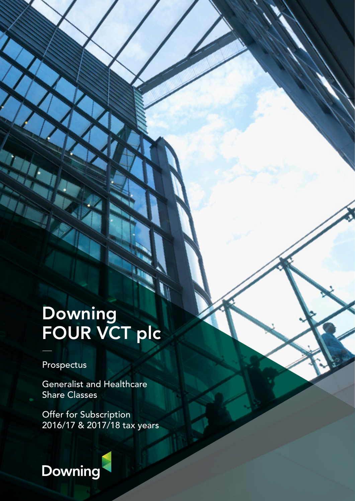# Downing FOUR VCT plc

Prospectus

Generalist and Healthcare Share Classes

Offer for Subscription 2016/17 & 2017/18 tax years

# Downing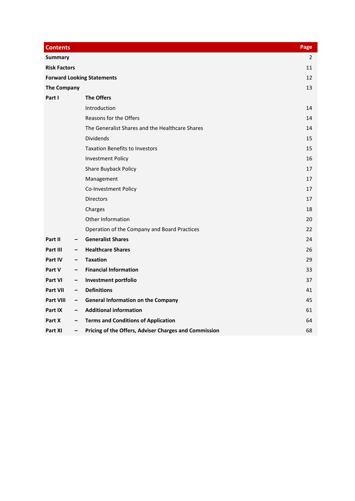| <b>Contents</b>     |                          |                                                       | Page |
|---------------------|--------------------------|-------------------------------------------------------|------|
| <b>Summary</b>      |                          |                                                       | 2    |
| <b>Risk Factors</b> |                          |                                                       | 11   |
|                     |                          | <b>Forward Looking Statements</b>                     | 12   |
| <b>The Company</b>  |                          |                                                       |      |
| Part I              |                          | <b>The Offers</b>                                     |      |
|                     |                          | Introduction                                          | 14   |
|                     |                          | Reasons for the Offers                                | 14   |
|                     |                          | The Generalist Shares and the Healthcare Shares       | 14   |
|                     |                          | <b>Dividends</b>                                      | 15   |
|                     |                          | <b>Taxation Benefits to Investors</b>                 | 15   |
|                     |                          | <b>Investment Policy</b>                              | 16   |
|                     |                          | <b>Share Buyback Policy</b>                           | 17   |
|                     |                          | Management                                            | 17   |
|                     |                          | Co-Investment Policy                                  | 17   |
|                     |                          | <b>Directors</b>                                      | 17   |
|                     |                          | Charges                                               | 18   |
|                     |                          | Other Information                                     | 20   |
|                     |                          | Operation of the Company and Board Practices          | 22   |
| Part II             | $\overline{\phantom{m}}$ | <b>Generalist Shares</b>                              | 24   |
| Part III            |                          | <b>Healthcare Shares</b>                              | 26   |
| Part IV             | $\qquad \qquad -$        | <b>Taxation</b>                                       | 29   |
| Part V              | $\overline{\phantom{m}}$ | <b>Financial Information</b>                          | 33   |
| Part VI             | $-$                      | Investment portfolio                                  | 37   |
| Part VII            | $\overline{\phantom{a}}$ | <b>Definitions</b>                                    | 41   |
| Part VIII           | $\overline{\phantom{a}}$ | <b>General Information on the Company</b>             | 45   |
| Part IX             | $\overline{\phantom{0}}$ | <b>Additional information</b>                         | 61   |
| Part X              | $\qquad \qquad -$        | <b>Terms and Conditions of Application</b>            | 64   |
| Part XI             | $\overline{\phantom{m}}$ | Pricing of the Offers, Adviser Charges and Commission | 68   |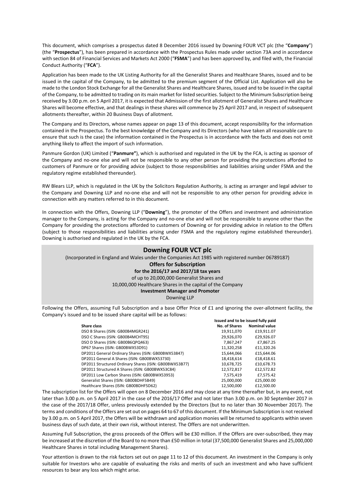This document, which comprises a prospectus dated 8 December 2016 issued by Downing FOUR VCT plc (the "**Company**") (the "**Prospectus**"), has been prepared in accordance with the Prospectus Rules made under section 73A and in accordance with section 84 of Financial Services and Markets Act 2000 ("**FSMA**") and has been approved by, and filed with, the Financial Conduct Authority ("**FCA**").

Application has been made to the UK Listing Authority for all the Generalist Shares and Healthcare Shares, issued and to be issued in the capital of the Company, to be admitted to the premium segment of the Official List. Application will also be made to the London Stock Exchange for all the Generalist Shares and Healthcare Shares, issued and to be issued in the capital of the Company, to be admitted to trading on its main market for listed securities. Subject to the Minimum Subscription being received by 3.00 p.m. on 5 April 2017, it is expected that Admission of the first allotment of Generalist Shares and Healthcare Shares will become effective, and that dealings in these shares will commence by 25 April 2017 and, in respect of subsequent allotments thereafter, within 20 Business Days of allotment.

The Company and its Directors, whose names appear on page 13 of this document, accept responsibility for the information contained in the Prospectus. To the best knowledge of the Company and its Directors (who have taken all reasonable care to ensure that such is the case) the information contained in the Prospectus is in accordance with the facts and does not omit anything likely to affect the import of such information.

Panmure Gordon (UK) Limited ("**Panmure"**), which is authorised and regulated in the UK by the FCA, is acting as sponsor of the Company and no-one else and will not be responsible to any other person for providing the protections afforded to customers of Panmure or for providing advice (subject to those responsibilities and liabilities arising under FSMA and the regulatory regime established thereunder).

RW Blears LLP, which is regulated in the UK by the Solicitors Regulation Authority, is acting as arranger and legal adviser to the Company and Downing LLP and no-one else and will not be responsible to any other person for providing advice in connection with any matters referred to in this document.

In connection with the Offers, Downing LLP ("**Downing**"), the promoter of the Offers and investment and administration manager to the Company, is acting for the Company and no-one else and will not be responsible to anyone other than the Company for providing the protections afforded to customers of Downing or for providing advice in relation to the Offers (subject to those responsibilities and liabilities arising under FSMA and the regulatory regime established thereunder). Downing is authorised and regulated in the UK by the FCA.

#### **Downing FOUR VCT plc**

(Incorporated in England and Wales under the Companies Act 1985 with registered number 06789187)

### **Offers for Subscription**

## **for the 2016/17 and 2017/18 tax years**

of up to 20,000,000 Generalist Shares and

10,000,000 Healthcare Shares in the capital of the Company

#### **Investment Manager and Promoter**

Downing LLP

Following the Offers, assuming Full Subscription and a base Offer Price of £1 and ignoring the over-allotment facility, the Company's issued and to be issued share capital will be as follows:

|                                                        | Issued and to be issued fully paid |                      |
|--------------------------------------------------------|------------------------------------|----------------------|
| Share class                                            | No. of Shares                      | <b>Nominal value</b> |
| DSO B Shares (ISIN: GB00B4MGR241)                      | 19.911.070                         | £19.911.07           |
| DSO C Shares (ISIN: GB00B4MCHT95)                      | 29,926,070                         | £29,926.07           |
| DSO D Shares (ISIN: GB00B6QPQ463)                      | 7,867,247                          | £7.867.25            |
| DP67 Shares (ISIN: GB00BWX53D91)                       | 11,320,258                         | £11.320.26           |
| DP2011 General Ordinary Shares (ISIN: GB00BWX53847)    | 15.644.066                         | £15.644.06           |
| DP2011 General A Shares (ISIN: GB00BWX53730)           | 18.418.614                         | £18,418.61           |
| DP2011 Structured Ordinary Shares (ISIN: GB00BWX53B77) | 10,678,725                         | £10,678.73           |
| DP2011 Structured A Shares (ISIN: GB00BWX53C84)        | 12,572,817                         | £12,572.82           |
| DP2011 Low Carbon Shares (ISIN: GB00BWX53953)          | 7,575,419                          | £7,575.42            |
| Generalist Shares (ISIN: GB00BDHF5B49)                 | 25,000,000                         | £25,000.00           |
| Healthcare Shares (ISIN: GB00BDHF5D62)                 | 12,500,000                         | £12,500.00           |

The subscription list for the Offers will open on 8 December 2016 and may close at any time thereafter but, in any event, not later than 3.00 p.m. on 5 April 2017 in the case of the 2016/17 Offer and not later than 3.00 p.m. on 30 September 2017 in the case of the 2017/18 Offer, unless previously extended by the Directors (but to no later than 30 November 2017). The terms and conditions of the Offers are set out on pages 64 to 67 of this document. If the Minimum Subscription is not received by 3.00 p.m. on 5 April 2017, the Offers will be withdrawn and application monies will be returned to applicants within seven business days of such date, at their own risk, without interest. The Offers are not underwritten.

Assuming Full Subscription, the gross proceeds of the Offers will be £30 million. If the Offers are over‐subscribed, they may be increased at the discretion of the Board to no more than £50 million in total (37,500,000 Generalist Shares and 25,000,000 Healthcare Shares in total including Management Shares).

Your attention is drawn to the risk factors set out on page 11 to 12 of this document. An investment in the Company is only suitable for Investors who are capable of evaluating the risks and merits of such an investment and who have sufficient resources to bear any loss which might arise.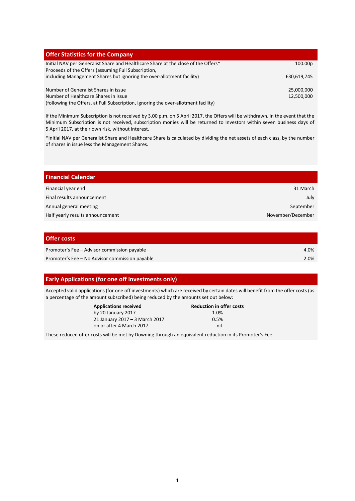| <b>Offer Statistics for the Company</b>                                            |             |
|------------------------------------------------------------------------------------|-------------|
| Initial NAV per Generalist Share and Healthcare Share at the close of the Offers*  | 100.00p     |
| Proceeds of the Offers (assuming Full Subscription,                                |             |
| including Management Shares but ignoring the over-allotment facility)              | £30,619,745 |
| Number of Generalist Shares in issue                                               | 25,000,000  |
|                                                                                    |             |
| Number of Healthcare Shares in issue                                               | 12,500,000  |
| (following the Offers, at Full Subscription, ignoring the over-allotment facility) |             |

If the Minimum Subscription is not received by 3.00 p.m. on 5 April 2017, the Offers will be withdrawn. In the event that the Minimum Subscription is not received, subscription monies will be returned to Investors within seven business days of 5 April 2017, at their own risk, without interest.

\*Initial NAV per Generalist Share and Healthcare Share is calculated by dividing the net assets of each class, by the number of shares in issue less the Management Shares.

| <b>Financial Calendar</b>        |                   |
|----------------------------------|-------------------|
| Financial year end               | 31 March          |
| Final results announcement       | July              |
| Annual general meeting           | September         |
| Half yearly results announcement | November/December |
|                                  |                   |

### **Offer costs**

| Promoter's Fee - Advisor commission payable    | 4.0% |
|------------------------------------------------|------|
| Promoter's Fee - No Advisor commission payable | 2.0% |

## **Early Applications (for one off investments only)**

Accepted valid applications (for one off investments) which are received by certain dates will benefit from the offer costs (as a percentage of the amount subscribed) being reduced by the amounts set out below:

| <b>Applications received</b>   | <b>Reduction in offer costs</b> |
|--------------------------------|---------------------------------|
| by 20 January 2017             | 1.0%                            |
| 21 January 2017 - 3 March 2017 | 0.5%                            |
| on or after 4 March 2017       | nil                             |

These reduced offer costs will be met by Downing through an equivalent reduction in its Promoter's Fee.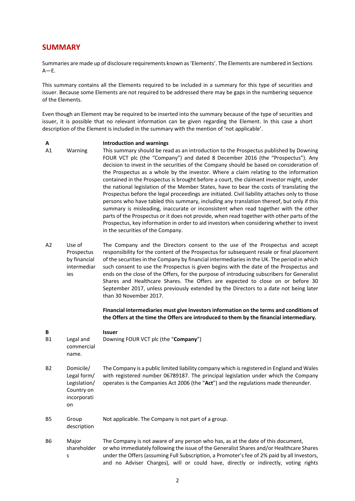## **SUMMARY**

Summaries are made up of disclosure requirements known as 'Elements'. The Elements are numbered in Sections  $A$ –E.

This summary contains all the Elements required to be included in a summary for this type of securities and issuer. Because some Elements are not required to be addressed there may be gaps in the numbering sequence of the Elements.

Even though an Element may be required to be inserted into the summary because of the type of securities and issuer, it is possible that no relevant information can be given regarding the Element. In this case a short description of the Element is included in the summary with the mention of 'not applicable'.

#### **A Introduction and warnings**

- A1 Warning This summary should be read as an introduction to the Prospectus published by Downing FOUR VCT plc (the "Company") and dated 8 December 2016 (the "Prospectus"). Any decision to invest in the securities of the Company should be based on consideration of the Prospectus as a whole by the investor. Where a claim relating to the information contained in the Prospectus is brought before a court, the claimant investor might, under the national legislation of the Member States, have to bear the costs of translating the Prospectus before the legal proceedings are initiated. Civil liability attaches only to those persons who have tabled this summary, including any translation thereof, but only if this summary is misleading, inaccurate or inconsistent when read together with the other parts of the Prospectus or it does not provide, when read together with other parts of the Prospectus, key information in order to aid investors when considering whether to invest in the securities of the Company.
- A2 Use of Prospectus by financial intermediar ies The Company and the Directors consent to the use of the Prospectus and accept responsibility for the content of the Prospectus for subsequent resale or final placement of the securities in the Company by financial intermediaries in the UK. The period in which such consent to use the Prospectus is given begins with the date of the Prospectus and ends on the close of the Offers, for the purpose of introducing subscribers for Generalist Shares and Healthcare Shares. The Offers are expected to close on or before 30 September 2017, unless previously extended by the Directors to a date not being later than 30 November 2017.

**Financial intermediaries must give Investors information on the terms and conditions of the Offers at the time the Offers are introduced to them by the financial intermediary.** 

**B Issuer**  B1 Legal and commercial name. Downing FOUR VCT plc (the "**Company**") B2 Domicile/ Legal form/ Legislation/ Country on incorporati on The Company is a public limited liability company which is registered in England and Wales with registered number 06789187. The principal legislation under which the Company operates is the Companies Act 2006 (the "**Act**") and the regulations made thereunder. B5 Group description Not applicable. The Company is not part of a group. B6 Major shareholder s The Company is not aware of any person who has, as at the date of this document, or who immediately following the issue of the Generalist Shares and/or Healthcare Shares under the Offers (assuming Full Subscription, a Promoter's fee of 2% paid by all Investors, and no Adviser Charges), will or could have, directly or indirectly, voting rights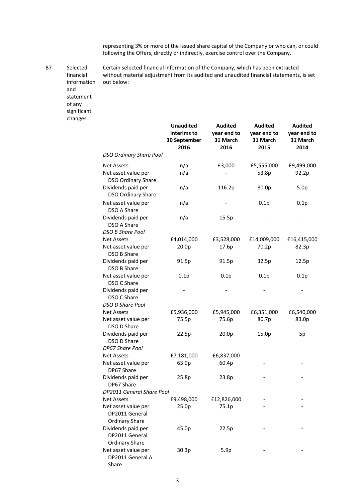representing 3% or more of the issued share capital of the Company or who can, or could following the Offers, directly or indirectly, exercise control over the Company.

B7 Selected financial information Certain selected financial information of the Company, which has been extracted without material adjustment from its audited and unaudited financial statements, is set out below:

and statement of any significant changes

|                                                                | <b>Unaudited</b><br>interims to<br>30 September<br>2016 | <b>Audited</b><br>year end to<br>31 March<br>2016 | <b>Audited</b><br>year end to<br>31 March<br>2015 | <b>Audited</b><br>year end to<br>31 March<br>2014 |
|----------------------------------------------------------------|---------------------------------------------------------|---------------------------------------------------|---------------------------------------------------|---------------------------------------------------|
| <b>DSO Ordinary Share Pool</b>                                 |                                                         |                                                   |                                                   |                                                   |
| <b>Net Assets</b>                                              | n/a                                                     | £3,000                                            | £5,555,000                                        | £9,499,000                                        |
| Net asset value per<br><b>DSO Ordinary Share</b>               | n/a                                                     |                                                   | 53.8p                                             | 92.2p                                             |
| Dividends paid per<br><b>DSO Ordinary Share</b>                | n/a                                                     | 116.2p                                            | 80.0p                                             | 5.0 <sub>p</sub>                                  |
| Net asset value per<br>DSO A Share                             | n/a                                                     |                                                   | 0.1p                                              | 0.1p                                              |
| Dividends paid per<br>DSO A Share<br><b>DSO B Share Pool</b>   | n/a                                                     | 15.5p                                             |                                                   |                                                   |
| <b>Net Assets</b>                                              | £4,014,000                                              | £3,528,000                                        | £14,009,000                                       | £16,415,000                                       |
| Net asset value per<br>DSO B Share                             | 20.0p                                                   | 17.6p                                             | 70.2p                                             | 82.3p                                             |
| Dividends paid per<br><b>DSO B Share</b>                       | 91.5p                                                   | 91.5p                                             | 32.5p                                             | 12.5p                                             |
| Net asset value per<br>DSO C Share                             | 0.1p                                                    | 0.1p                                              | 0.1p                                              | 0.1p                                              |
| Dividends paid per<br>DSO C Share                              |                                                         |                                                   |                                                   |                                                   |
| DSO D Share Pool                                               |                                                         |                                                   |                                                   |                                                   |
| <b>Net Assets</b>                                              | £5,936,000                                              | £5,945,000                                        | £6,351,000                                        | £6,540,000                                        |
| Net asset value per<br>DSO D Share                             | 75.5p                                                   | 75.6p                                             | 80.7p                                             | 83.0p                                             |
| Dividends paid per<br>DSO D Share<br>DP67 Share Pool           | 22.5p                                                   | 20.0p                                             | 15.0p                                             | 5p                                                |
| <b>Net Assets</b>                                              | £7,181,000                                              | £6,837,000                                        |                                                   |                                                   |
| Net asset value per<br>DP67 Share                              | 63.9p                                                   | 60.4p                                             |                                                   |                                                   |
| Dividends paid per<br>DP67 Share                               | 25.8p                                                   | 23.8p                                             |                                                   |                                                   |
| DP2011 General Share Pool                                      |                                                         |                                                   |                                                   |                                                   |
| <b>Net Assets</b>                                              | £9,498,000                                              | £12,826,000                                       |                                                   |                                                   |
| Net asset value per<br>DP2011 General<br><b>Ordinary Share</b> | 25.0p                                                   | 75.1p                                             |                                                   |                                                   |
| Dividends paid per<br>DP2011 General<br><b>Ordinary Share</b>  | 45.0p                                                   | 22.5p                                             |                                                   |                                                   |
| Net asset value per<br>DP2011 General A<br>Share               | 30.3p                                                   | 5.9p                                              |                                                   |                                                   |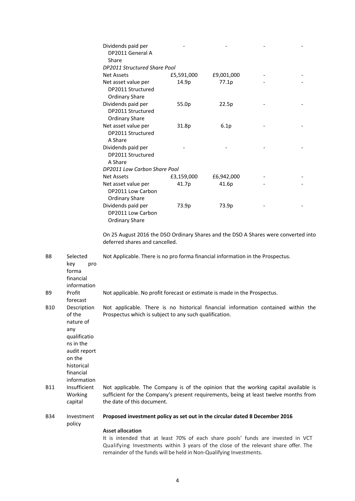| Dividends paid per<br>DP2011 General A                            |            |            |  |
|-------------------------------------------------------------------|------------|------------|--|
| Share                                                             |            |            |  |
| <b>DP2011 Structured Share Pool</b>                               |            |            |  |
| <b>Net Assets</b>                                                 | £5,591,000 | £9,001,000 |  |
| Net asset value per<br>DP2011 Structured<br><b>Ordinary Share</b> | 14.9p      | 77.1p      |  |
| Dividends paid per<br>DP2011 Structured<br><b>Ordinary Share</b>  | 55.0p      | 22.5p      |  |
| Net asset value per<br>DP2011 Structured<br>A Share               | 31.8p      | 6.1p       |  |
| Dividends paid per<br>DP2011 Structured<br>A Share                |            |            |  |
| DP2011 Low Carbon Share Pool                                      |            |            |  |
| <b>Net Assets</b>                                                 | £3,159,000 | £6,942,000 |  |
| Net asset value per<br>DP2011 Low Carbon<br><b>Ordinary Share</b> | 41.7p      | 41.6p      |  |
| Dividends paid per<br>DP2011 Low Carbon<br><b>Ordinary Share</b>  | 73.9p      | 73.9p      |  |

On 25 August 2016 the DSO Ordinary Shares and the DSO A Shares were converted into deferred shares and cancelled.

B8 Selected key pro forma financial information Not Applicable. There is no pro forma financial information in the Prospectus. B9 Profit forecast Not applicable. No profit forecast or estimate is made in the Prospectus. B10 Description of the nature of any qualificatio ns in the audit report on the historical financial information Not applicable. There is no historical financial information contained within the Prospectus which is subject to any such qualification. B11 Insufficient Working capital Not applicable. The Company is of the opinion that the working capital available is sufficient for the Company's present requirements, being at least twelve months from the date of this document. B34 Investment policy **Proposed investment policy as set out in the circular dated 8 December 2016 Asset allocation**

It is intended that at least 70% of each share pools' funds are invested in VCT Qualifying Investments within 3 years of the close of the relevant share offer. The remainder of the funds will be held in Non‐Qualifying Investments.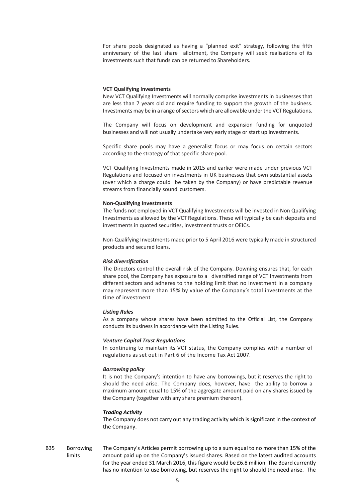For share pools designated as having a "planned exit" strategy, following the fifth anniversary of the last share allotment, the Company will seek realisations of its investments such that funds can be returned to Shareholders.

#### **VCT Qualifying Investments**

New VCT Qualifying Investments will normally comprise investments in businesses that are less than 7 years old and require funding to support the growth of the business. Investments may be in a range of sectors which are allowable under the VCT Regulations.

The Company will focus on development and expansion funding for unquoted businesses and will not usually undertake very early stage or start up investments.

Specific share pools may have a generalist focus or may focus on certain sectors according to the strategy of that specific share pool.

VCT Qualifying Investments made in 2015 and earlier were made under previous VCT Regulations and focused on investments in UK businesses that own substantial assets (over which a charge could be taken by the Company) or have predictable revenue streams from financially sound customers.

#### **Non‐Qualifying Investments**

The funds not employed in VCT Qualifying Investments will be invested in Non Qualifying Investments as allowed by the VCT Regulations. These will typically be cash deposits and investments in quoted securities, investment trusts or OEICs.

Non‐Qualifying Investments made prior to 5 April 2016 were typically made in structured products and secured loans.

#### *Risk diversification*

The Directors control the overall risk of the Company. Downing ensures that, for each share pool, the Company has exposure to a diversified range of VCT Investments from different sectors and adheres to the holding limit that no investment in a company may represent more than 15% by value of the Company's total investments at the time of investment

#### *Listing Rules*

As a company whose shares have been admitted to the Official List, the Company conducts its business in accordance with the Listing Rules.

#### *Venture Capital Trust Regulations*

In continuing to maintain its VCT status, the Company complies with a number of regulations as set out in Part 6 of the Income Tax Act 2007.

#### *Borrowing policy*

It is not the Company's intention to have any borrowings, but it reserves the right to should the need arise. The Company does, however, have the ability to borrow a maximum amount equal to 15% of the aggregate amount paid on any shares issued by the Company (together with any share premium thereon).

#### *Trading Activity*

The Company does not carry out any trading activity which is significant in the context of the Company.

B35 Borrowing limits The Company's Articles permit borrowing up to a sum equal to no more than 15% of the amount paid up on the Company's issued shares. Based on the latest audited accounts for the year ended 31 March 2016, this figure would be £6.8 million. The Board currently has no intention to use borrowing, but reserves the right to should the need arise. The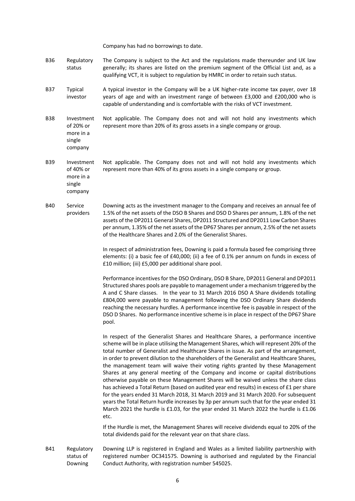Company has had no borrowings to date.

- B36 Regulatory status The Company is subject to the Act and the regulations made thereunder and UK law generally; its shares are listed on the premium segment of the Official List and, as a qualifying VCT, it is subject to regulation by HMRC in order to retain such status.
- B37 Typical investor A typical investor in the Company will be a UK higher‐rate income tax payer, over 18 years of age and with an investment range of between £3,000 and £200,000 who is capable of understanding and is comfortable with the risks of VCT investment.
- B38 Investment of 20% or more in a Not applicable. The Company does not and will not hold any investments which represent more than 20% of its gross assets in a single company or group.
	- single company
- B39 Investment of 40% or more in a single company Not applicable. The Company does not and will not hold any investments which represent more than 40% of its gross assets in a single company or group.
- B40 Service providers Downing acts as the investment manager to the Company and receives an annual fee of 1.5% of the net assets of the DSO B Shares and DSO D Shares per annum, 1.8% of the net assets of the DP2011 General Shares, DP2011 Structured and DP2011 Low Carbon Shares per annum, 1.35% of the net assets of the DP67 Shares per annum, 2.5% of the net assets of the Healthcare Shares and 2.0% of the Generalist Shares.

In respect of administration fees, Downing is paid a formula based fee comprising three elements: (i) a basic fee of £40,000; (ii) a fee of 0.1% per annum on funds in excess of £10 million; (iii) £5,000 per additional share pool.

Performance incentives for the DSO Ordinary, DSO B Share, DP2011 General and DP2011 Structured shares pools are payable to management under a mechanism triggered by the A and C Share classes. In the year to 31 March 2016 DSO A Share dividends totalling £804,000 were payable to management following the DSO Ordinary Share dividends reaching the necessary hurdles. A performance incentive fee is payable in respect of the DSO D Shares. No performance incentive scheme is in place in respect of the DP67 Share pool.

In respect of the Generalist Shares and Healthcare Shares, a performance incentive scheme will be in place utilising the Management Shares, which will represent 20% of the total number of Generalist and Healthcare Shares in issue. As part of the arrangement, in order to prevent dilution to the shareholders of the Generalist and Healthcare Shares, the management team will waive their voting rights granted by these Management Shares at any general meeting of the Company and income or capital distributions otherwise payable on these Management Shares will be waived unless the share class has achieved a Total Return (based on audited year end results) in excess of £1 per share for the years ended 31 March 2018, 31 March 2019 and 31 March 2020. For subsequent years the Total Return hurdle increases by 3p per annum such that for the year ended 31 March 2021 the hurdle is £1.03, for the year ended 31 March 2022 the hurdle is £1.06 etc.

If the Hurdle is met, the Management Shares will receive dividends equal to 20% of the total dividends paid for the relevant year on that share class.

B41 Regulatory status of Downing Downing LLP is registered in England and Wales as a limited liability partnership with registered number OC341575. Downing is authorised and regulated by the Financial Conduct Authority, with registration number 545025.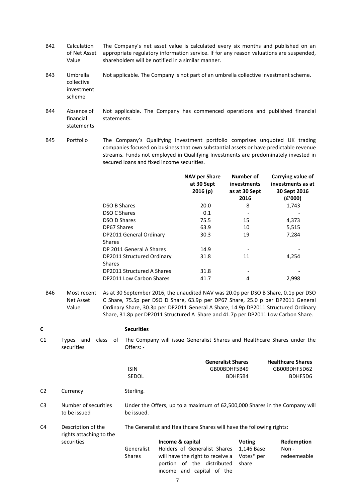- B42 Calculation of Net Asset Value The Company's net asset value is calculated every six months and published on an appropriate regulatory information service. If for any reason valuations are suspended, shareholders will be notified in a similar manner.
- B43 Umbrella collective investment scheme Not applicable. The Company is not part of an umbrella collective investment scheme.
- B44 Absence of financial statements Not applicable. The Company has commenced operations and published financial statements.
- B45 Portfolio The Company's Qualifying Investment portfolio comprises unquoted UK trading companies focused on business that own substantial assets or have predictable revenue streams. Funds not employed in Qualifying Investments are predominately invested in secured loans and fixed income securities.

|                                             | <b>NAV per Share</b><br>at 30 Sept<br>2016(p) | Number of<br><i>investments</i><br>as at 30 Sept<br>2016 | Carrying value of<br>investments as at<br>30 Sept 2016<br>(E'000) |
|---------------------------------------------|-----------------------------------------------|----------------------------------------------------------|-------------------------------------------------------------------|
| <b>DSO B Shares</b>                         | 20.0                                          | 8                                                        | 1,743                                                             |
| <b>DSO C Shares</b>                         | 0.1                                           |                                                          |                                                                   |
| <b>DSO D Shares</b>                         | 75.5                                          | 15                                                       | 4,373                                                             |
| DP67 Shares                                 | 63.9                                          | 10                                                       | 5,515                                                             |
| DP2011 General Ordinary<br><b>Shares</b>    | 30.3                                          | 19                                                       | 7,284                                                             |
| DP 2011 General A Shares                    | 14.9                                          |                                                          |                                                                   |
| DP2011 Structured Ordinary<br><b>Shares</b> | 31.8                                          | 11                                                       | 4,254                                                             |
| DP2011 Structured A Shares                  | 31.8                                          | $\overline{\phantom{a}}$                                 |                                                                   |
| DP2011 Low Carbon Shares                    | 41.7                                          | 4                                                        | 2,998                                                             |
|                                             |                                               |                                                          |                                                                   |

B46 Most recent As at 30 September 2016, the unaudited NAV was 20.0p per DSO B Share, 0.1p per DSO Net Asset Value C Share, 75.5p per DSO D Share, 63.9p per DP67 Share, 25.0 p per DP2011 General Ordinary Share, 30.3p per DP2011 General A Share, 14.9p DP2011 Structured Ordinary Share, 31.8p per DP2011 Structured A Share and 41.7p per DP2011 Low Carbon Share.

| C              |                                               | <b>Securities</b>           |                                                                                                                                                 |                                                    |                                                     |
|----------------|-----------------------------------------------|-----------------------------|-------------------------------------------------------------------------------------------------------------------------------------------------|----------------------------------------------------|-----------------------------------------------------|
| C1             | Types and<br>class of<br>securities           | Offers: -                   | The Company will issue Generalist Shares and Healthcare Shares under the                                                                        |                                                    |                                                     |
|                |                                               | <b>ISIN</b><br><b>SEDOL</b> | <b>Generalist Shares</b><br>GB00BDHF5B49                                                                                                        | BDHF5B4                                            | <b>Healthcare Shares</b><br>GB00BDHF5D62<br>BDHF5D6 |
| C <sub>2</sub> | Currency                                      | Sterling.                   |                                                                                                                                                 |                                                    |                                                     |
| C <sub>3</sub> | Number of securities<br>to be issued          | be issued.                  | Under the Offers, up to a maximum of 62,500,000 Shares in the Company will                                                                      |                                                    |                                                     |
| C4             | Description of the<br>rights attaching to the |                             | The Generalist and Healthcare Shares will have the following rights:                                                                            |                                                    |                                                     |
|                | securities                                    | Generalist<br><b>Shares</b> | Income & capital<br>Holders of Generalist Shares<br>will have the right to receive a<br>portion of the distributed<br>income and capital of the | <b>Voting</b><br>1,146 Base<br>Votes* per<br>share | Redemption<br>Non -<br>redeemeable                  |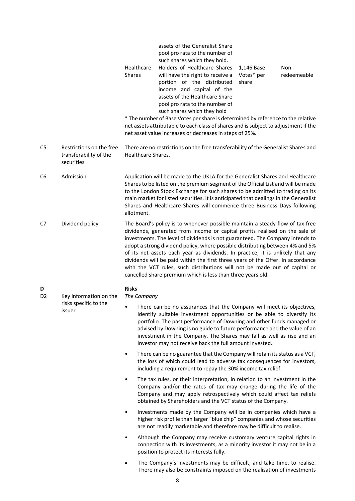|                     |                                                                  | Healthcare<br>Shares                                                                                                                                                                                                                                                                                                                                                                                                                 | assets of the Generalist Share<br>pool pro rata to the number of<br>such shares which they hold.<br>Holders of Healthcare Shares<br>will have the right to receive a<br>portion of the distributed<br>income and capital of the<br>assets of the Healthcare Share<br>pool pro rata to the number of<br>such shares which they hold<br>* The number of Base Votes per share is determined by reference to the relative<br>net assets attributable to each class of shares and is subject to adjustment if the<br>net asset value increases or decreases in steps of 25%.                                                                         | 1,146 Base<br>Votes* per<br>share | Non -<br>redeemeable |
|---------------------|------------------------------------------------------------------|--------------------------------------------------------------------------------------------------------------------------------------------------------------------------------------------------------------------------------------------------------------------------------------------------------------------------------------------------------------------------------------------------------------------------------------|-------------------------------------------------------------------------------------------------------------------------------------------------------------------------------------------------------------------------------------------------------------------------------------------------------------------------------------------------------------------------------------------------------------------------------------------------------------------------------------------------------------------------------------------------------------------------------------------------------------------------------------------------|-----------------------------------|----------------------|
| C <sub>5</sub>      | Restrictions on the free<br>transferability of the<br>securities | Healthcare Shares.                                                                                                                                                                                                                                                                                                                                                                                                                   | There are no restrictions on the free transferability of the Generalist Shares and                                                                                                                                                                                                                                                                                                                                                                                                                                                                                                                                                              |                                   |                      |
| C6                  | Admission                                                        | Application will be made to the UKLA for the Generalist Shares and Healthcare<br>Shares to be listed on the premium segment of the Official List and will be made<br>to the London Stock Exchange for such shares to be admitted to trading on its<br>main market for listed securities. It is anticipated that dealings in the Generalist<br>Shares and Healthcare Shares will commence three Business Days following<br>allotment. |                                                                                                                                                                                                                                                                                                                                                                                                                                                                                                                                                                                                                                                 |                                   |                      |
| C7                  | Dividend policy                                                  |                                                                                                                                                                                                                                                                                                                                                                                                                                      | The Board's policy is to whenever possible maintain a steady flow of tax-free<br>dividends, generated from income or capital profits realised on the sale of<br>investments. The level of dividends is not guaranteed. The Company intends to<br>adopt a strong dividend policy, where possible distributing between 4% and 5%<br>of its net assets each year as dividends. In practice, it is unlikely that any<br>dividends will be paid within the first three years of the Offer. In accordance<br>with the VCT rules, such distributions will not be made out of capital or<br>cancelled share premium which is less than three years old. |                                   |                      |
| D<br>D <sub>2</sub> | Key information on the                                           | <b>Risks</b><br>The Company                                                                                                                                                                                                                                                                                                                                                                                                          |                                                                                                                                                                                                                                                                                                                                                                                                                                                                                                                                                                                                                                                 |                                   |                      |
|                     | risks specific to the<br>$\bullet$<br>issuer                     |                                                                                                                                                                                                                                                                                                                                                                                                                                      | There can be no assurances that the Company will meet its objectives,<br>identify suitable investment opportunities or be able to diversify its<br>portfolio. The past performance of Downing and other funds managed or<br>advised by Downing is no guide to future performance and the value of an<br>investment in the Company. The Shares may fall as well as rise and an<br>investor may not receive back the full amount invested.                                                                                                                                                                                                        |                                   |                      |
|                     |                                                                  | ٠                                                                                                                                                                                                                                                                                                                                                                                                                                    | There can be no guarantee that the Company will retain its status as a VCT,<br>the loss of which could lead to adverse tax consequences for investors,<br>including a requirement to repay the 30% income tax relief.                                                                                                                                                                                                                                                                                                                                                                                                                           |                                   |                      |
|                     |                                                                  | ٠                                                                                                                                                                                                                                                                                                                                                                                                                                    | The tax rules, or their interpretation, in relation to an investment in the<br>Company and/or the rates of tax may change during the life of the<br>Company and may apply retrospectively which could affect tax reliefs<br>obtained by Shareholders and the VCT status of the Company.                                                                                                                                                                                                                                                                                                                                                         |                                   |                      |
|                     |                                                                  | ٠                                                                                                                                                                                                                                                                                                                                                                                                                                    | Investments made by the Company will be in companies which have a<br>higher risk profile than larger "blue chip" companies and whose securities<br>are not readily marketable and therefore may be difficult to realise.                                                                                                                                                                                                                                                                                                                                                                                                                        |                                   |                      |
|                     |                                                                  | $\bullet$                                                                                                                                                                                                                                                                                                                                                                                                                            | Although the Company may receive customary venture capital rights in<br>connection with its investments, as a minority investor it may not be in a<br>position to protect its interests fully.                                                                                                                                                                                                                                                                                                                                                                                                                                                  |                                   |                      |
|                     |                                                                  | $\bullet$                                                                                                                                                                                                                                                                                                                                                                                                                            | The Company's investments may be difficult, and take time, to realise.<br>There may also be constraints imposed on the realisation of investments                                                                                                                                                                                                                                                                                                                                                                                                                                                                                               |                                   |                      |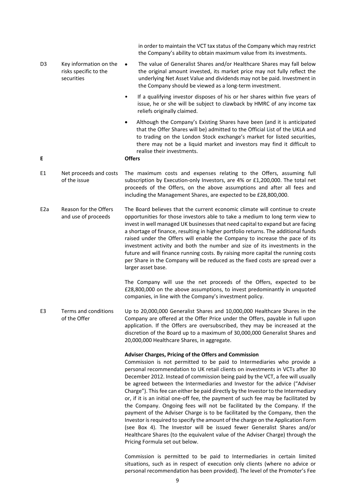|                  |                                                               | in order to maintain the VCT tax status of the Company which may restrict<br>the Company's ability to obtain maximum value from its investments.                                                                                                                                                                                                                                                                                                                                                                                                                                                                                                                                                                                                                                                                                                                                                                                                                                                         |
|------------------|---------------------------------------------------------------|----------------------------------------------------------------------------------------------------------------------------------------------------------------------------------------------------------------------------------------------------------------------------------------------------------------------------------------------------------------------------------------------------------------------------------------------------------------------------------------------------------------------------------------------------------------------------------------------------------------------------------------------------------------------------------------------------------------------------------------------------------------------------------------------------------------------------------------------------------------------------------------------------------------------------------------------------------------------------------------------------------|
| D3               | Key information on the<br>risks specific to the<br>securities | The value of Generalist Shares and/or Healthcare Shares may fall below<br>$\bullet$<br>the original amount invested, its market price may not fully reflect the<br>underlying Net Asset Value and dividends may not be paid. Investment in<br>the Company should be viewed as a long-term investment.                                                                                                                                                                                                                                                                                                                                                                                                                                                                                                                                                                                                                                                                                                    |
|                  |                                                               | If a qualifying investor disposes of his or her shares within five years of<br>$\bullet$<br>issue, he or she will be subject to clawback by HMRC of any income tax<br>reliefs originally claimed.                                                                                                                                                                                                                                                                                                                                                                                                                                                                                                                                                                                                                                                                                                                                                                                                        |
| E                |                                                               | Although the Company's Existing Shares have been (and it is anticipated<br>$\bullet$<br>that the Offer Shares will be) admitted to the Official List of the UKLA and<br>to trading on the London Stock exchange's market for listed securities,<br>there may not be a liquid market and investors may find it difficult to<br>realise their investments.<br><b>Offers</b>                                                                                                                                                                                                                                                                                                                                                                                                                                                                                                                                                                                                                                |
| E1               | Net proceeds and costs<br>of the issue                        | The maximum costs and expenses relating to the Offers, assuming full<br>subscription by Execution-only Investors, are 4% or £1,200,000. The total net<br>proceeds of the Offers, on the above assumptions and after all fees and<br>including the Management Shares, are expected to be £28,800,000.                                                                                                                                                                                                                                                                                                                                                                                                                                                                                                                                                                                                                                                                                                     |
| E <sub>2</sub> a | Reason for the Offers<br>and use of proceeds                  | The Board believes that the current economic climate will continue to create<br>opportunities for those investors able to take a medium to long term view to<br>invest in well managed UK businesses that need capital to expand but are facing<br>a shortage of finance, resulting in higher portfolio returns. The additional funds<br>raised under the Offers will enable the Company to increase the pace of its<br>investment activity and both the number and size of its investments in the<br>future and will finance running costs. By raising more capital the running costs<br>per Share in the Company will be reduced as the fixed costs are spread over a<br>larger asset base.                                                                                                                                                                                                                                                                                                            |
|                  |                                                               | The Company will use the net proceeds of the Offers, expected to be<br>£28,800,000 on the above assumptions, to invest predominantly in unquoted<br>companies, in line with the Company's investment policy.                                                                                                                                                                                                                                                                                                                                                                                                                                                                                                                                                                                                                                                                                                                                                                                             |
| E <sub>3</sub>   | Terms and conditions<br>of the Offer                          | Up to 20,000,000 Generalist Shares and 10,000,000 Healthcare Shares in the<br>Company are offered at the Offer Price under the Offers, payable in full upon<br>application. If the Offers are oversubscribed, they may be increased at the<br>discretion of the Board up to a maximum of 30,000,000 Generalist Shares and<br>20,000,000 Healthcare Shares, in aggregate.                                                                                                                                                                                                                                                                                                                                                                                                                                                                                                                                                                                                                                 |
|                  |                                                               | Adviser Charges, Pricing of the Offers and Commission<br>Commission is not permitted to be paid to Intermediaries who provide a<br>personal recommendation to UK retail clients on investments in VCTs after 30<br>December 2012. Instead of commission being paid by the VCT, a fee will usually<br>be agreed between the Intermediaries and Investor for the advice ("Adviser<br>Charge"). This fee can either be paid directly by the Investor to the Intermediary<br>or, if it is an initial one-off fee, the payment of such fee may be facilitated by<br>the Company. Ongoing fees will not be facilitated by the Company. If the<br>payment of the Adviser Charge is to be facilitated by the Company, then the<br>Investor is required to specify the amount of the charge on the Application Form<br>(see Box 4). The Investor will be issued fewer Generalist Shares and/or<br>Healthcare Shares (to the equivalent value of the Adviser Charge) through the<br>Pricing Formula set out below. |
|                  |                                                               | Commission is permitted to be paid to Intermediaries in certain limited<br>situations, such as in respect of execution only clients (where no advice or                                                                                                                                                                                                                                                                                                                                                                                                                                                                                                                                                                                                                                                                                                                                                                                                                                                  |

personal recommendation has been provided). The level of the Promoter's Fee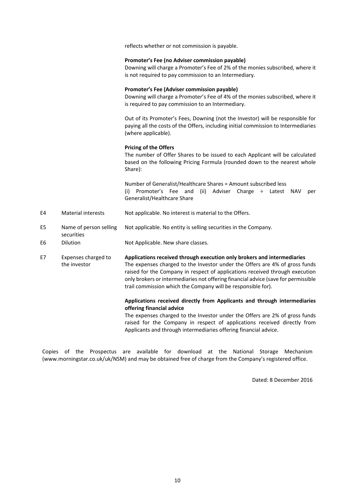reflects whether or not commission is payable.

#### **Promoter's Fee (no Adviser commission payable)**

Downing will charge a Promoter's Fee of 2% of the monies subscribed, where it is not required to pay commission to an Intermediary.

#### **Promoter's Fee (Adviser commission payable)**

Downing will charge a Promoter's Fee of 4% of the monies subscribed, where it is required to pay commission to an Intermediary.

Out of its Promoter's Fees, Downing (not the Investor) will be responsible for paying all the costs of the Offers, including initial commission to Intermediaries (where applicable).

#### **Pricing of the Offers**

The number of Offer Shares to be issued to each Applicant will be calculated based on the following Pricing Formula (rounded down to the nearest whole Share):

Number of Generalist/Healthcare Shares = Amount subscribed less (i) Promoter's Fee and (ii) Adviser Charge ÷ Latest NAV per Generalist/Healthcare Share

- E4 Material interests Not applicable. No interest is material to the Offers.
- E5 Name of person selling Not applicable. No entity is selling securities in the Company.
- E6 Dilution Not Applicable. New share classes.

securities

E7 Expenses charged to the investor **Applications received through execution only brokers and intermediaries** The expenses charged to the Investor under the Offers are 4% of gross funds raised for the Company in respect of applications received through execution only brokers or intermediaries not offering financial advice (save for permissible

trail commission which the Company will be responsible for).

### **Applications received directly from Applicants and through intermediaries offering financial advice**

The expenses charged to the Investor under the Offers are 2% of gross funds raised for the Company in respect of applications received directly from Applicants and through intermediaries offering financial advice.

Copies of the Prospectus are available for download at the National Storage Mechanism (www.morningstar.co.uk/uk/NSM) and may be obtained free of charge from the Company's registered office.

Dated: 8 December 2016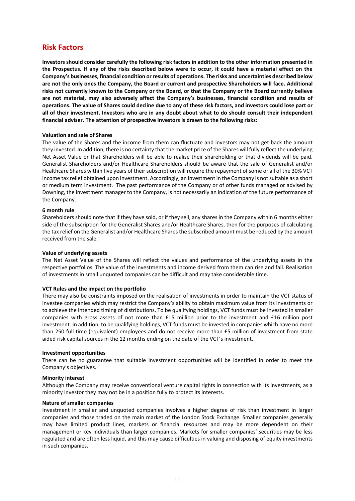## **Risk Factors**

**Investors should consider carefully the following risk factors in addition to the other information presented in the Prospectus. If any of the risks described below were to occur, it could have a material effect on the Company's businesses, financial condition or results of operations. The risks and uncertainties described below are not the only ones the Company, the Board or current and prospective Shareholders will face. Additional risks not currently known to the Company or the Board, or that the Company or the Board currently believe are not material, may also adversely affect the Company's businesses, financial condition and results of operations. The value of Shares could decline due to any of these risk factors, and investors could lose part or all of their investment. Investors who are in any doubt about what to do should consult their independent financial adviser. The attention of prospective investors is drawn to the following risks:** 

#### **Valuation and sale of Shares**

The value of the Shares and the income from them can fluctuate and investors may not get back the amount they invested. In addition, there is no certainty that the market price of the Shares will fully reflect the underlying Net Asset Value or that Shareholders will be able to realise their shareholding or that dividends will be paid. Generalist Shareholders and/or Healthcare Shareholders should be aware that the sale of Generalist and/or Healthcare Shares within five years of their subscription will require the repayment of some or all of the 30% VCT income tax relief obtained upon investment. Accordingly, an investment in the Company is not suitable as a short or medium term investment. The past performance of the Company or of other funds managed or advised by Downing, the investment manager to the Company, is not necessarily an indication of the future performance of the Company.

#### **6 month rule**

Shareholders should note that if they have sold, or if they sell, any shares in the Company within 6 months either side of the subscription for the Generalist Shares and/or Healthcare Shares, then for the purposes of calculating the tax relief on the Generalist and/or Healthcare Shares the subscribed amount must be reduced by the amount received from the sale.

#### **Value of underlying assets**

The Net Asset Value of the Shares will reflect the values and performance of the underlying assets in the respective portfolios. The value of the investments and income derived from them can rise and fall. Realisation of investments in small unquoted companies can be difficult and may take considerable time.

### **VCT Rules and the impact on the portfolio**

There may also be constraints imposed on the realisation of investments in order to maintain the VCT status of investee companies which may restrict the Company's ability to obtain maximum value from its investments or to achieve the intended timing of distributions. To be qualifying holdings, VCT funds must be invested in smaller companies with gross assets of not more than £15 million prior to the investment and £16 million post investment. In addition, to be qualifying holdings, VCT funds must be invested in companies which have no more than 250 full time (equivalent) employees and do not receive more than £5 million of investment from state aided risk capital sources in the 12 months ending on the date of the VCT's investment.

#### **Investment opportunities**

There can be no guarantee that suitable investment opportunities will be identified in order to meet the Company's objectives.

#### **Minority interest**

Although the Company may receive conventional venture capital rights in connection with its investments, as a minority investor they may not be in a position fully to protect its interests.

#### **Nature of smaller companies**

Investment in smaller and unquoted companies involves a higher degree of risk than investment in larger companies and those traded on the main market of the London Stock Exchange. Smaller companies generally may have limited product lines, markets or financial resources and may be more dependent on their management or key individuals than larger companies. Markets for smaller companies' securities may be less regulated and are often less liquid, and this may cause difficulties in valuing and disposing of equity investments in such companies.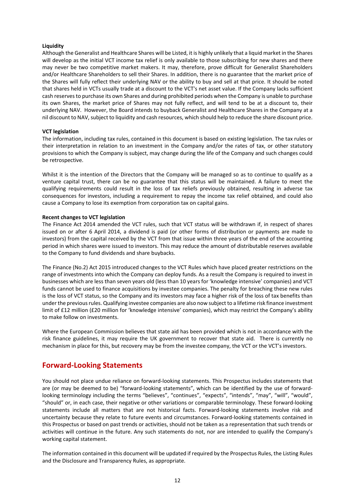#### **Liquidity**

Although the Generalist and Healthcare Shares will be Listed, it is highly unlikely that a liquid market in the Shares will develop as the initial VCT income tax relief is only available to those subscribing for new shares and there may never be two competitive market makers. It may, therefore, prove difficult for Generalist Shareholders and/or Healthcare Shareholders to sell their Shares. In addition, there is no guarantee that the market price of the Shares will fully reflect their underlying NAV or the ability to buy and sell at that price. It should be noted that shares held in VCTs usually trade at a discount to the VCT's net asset value. If the Company lacks sufficient cash reserves to purchase its own Shares and during prohibited periods when the Company is unable to purchase its own Shares, the market price of Shares may not fully reflect, and will tend to be at a discount to, their underlying NAV. However, the Board intends to buyback Generalist and Healthcare Shares in the Company at a nil discount to NAV, subject to liquidity and cash resources, which should help to reduce the share discount price.

#### **VCT legislation**

The information, including tax rules, contained in this document is based on existing legislation. The tax rules or their interpretation in relation to an investment in the Company and/or the rates of tax, or other statutory provisions to which the Company is subject, may change during the life of the Company and such changes could be retrospective.

Whilst it is the intention of the Directors that the Company will be managed so as to continue to qualify as a venture capital trust, there can be no guarantee that this status will be maintained. A failure to meet the qualifying requirements could result in the loss of tax reliefs previously obtained, resulting in adverse tax consequences for investors, including a requirement to repay the income tax relief obtained, and could also cause a Company to lose its exemption from corporation tax on capital gains.

#### **Recent changes to VCT legislation**

The Finance Act 2014 amended the VCT rules, such that VCT status will be withdrawn if, in respect of shares issued on or after 6 April 2014, a dividend is paid (or other forms of distribution or payments are made to investors) from the capital received by the VCT from that issue within three years of the end of the accounting period in which shares were issued to investors. This may reduce the amount of distributable reserves available to the Company to fund dividends and share buybacks.

The Finance (No.2) Act 2015 introduced changes to the VCT Rules which have placed greater restrictions on the range of investments into which the Company can deploy funds. As a result the Company is required to invest in businesses which are less than seven years old (less than 10 years for 'knowledge intensive' companies) and VCT funds cannot be used to finance acquisitions by investee companies. The penalty for breaching these new rules is the loss of VCT status, so the Company and its investors may face a higher risk of the loss of tax benefits than under the previous rules. Qualifying investee companies are also now subject to a lifetime risk finance investment limit of £12 million (£20 million for 'knowledge intensive' companies), which may restrict the Company's ability to make follow on investments.

Where the European Commission believes that state aid has been provided which is not in accordance with the risk finance guidelines, it may require the UK government to recover that state aid. There is currently no mechanism in place for this, but recovery may be from the investee company, the VCT or the VCT's investors.

## **Forward‐Looking Statements**

You should not place undue reliance on forward‐looking statements. This Prospectus includes statements that are (or may be deemed to be) "forward-looking statements", which can be identified by the use of forwardlooking terminology including the terms "believes", "continues", "expects", "intends", "may", "will", "would", "should" or, in each case, their negative or other variations or comparable terminology. These forward‐looking statements include all matters that are not historical facts. Forward-looking statements involve risk and uncertainty because they relate to future events and circumstances. Forward‐looking statements contained in this Prospectus or based on past trends or activities, should not be taken as a representation that such trends or activities will continue in the future. Any such statements do not, nor are intended to qualify the Company's working capital statement.

The information contained in this document will be updated if required by the Prospectus Rules, the Listing Rules and the Disclosure and Transparency Rules, as appropriate.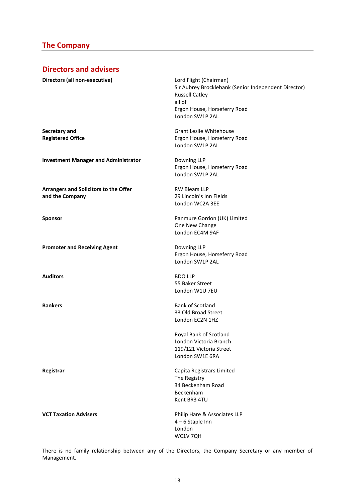# **The Company**

# **Directors and advisers**

| Directors (all non-executive)                            | Lord Flight (Chairman)<br>Sir Aubrey Brocklebank (Senior Independent Director)<br><b>Russell Catley</b><br>all of<br>Ergon House, Horseferry Road<br>London SW1P 2AL |
|----------------------------------------------------------|----------------------------------------------------------------------------------------------------------------------------------------------------------------------|
| Secretary and<br><b>Registered Office</b>                | Grant Leslie Whitehouse<br>Ergon House, Horseferry Road<br>London SW1P 2AL                                                                                           |
| <b>Investment Manager and Administrator</b>              | Downing LLP<br>Ergon House, Horseferry Road<br>London SW1P 2AL                                                                                                       |
| Arrangers and Solicitors to the Offer<br>and the Company | <b>RW Blears LLP</b><br>29 Lincoln's Inn Fields<br>London WC2A 3EE                                                                                                   |
| Sponsor                                                  | Panmure Gordon (UK) Limited<br>One New Change<br>London EC4M 9AF                                                                                                     |
| <b>Promoter and Receiving Agent</b>                      | Downing LLP<br>Ergon House, Horseferry Road<br>London SW1P 2AL                                                                                                       |
| <b>Auditors</b>                                          | <b>BDO LLP</b><br>55 Baker Street<br>London W1U 7EU                                                                                                                  |
| <b>Bankers</b>                                           | Bank of Scotland<br>33 Old Broad Street<br>London EC2N 1HZ                                                                                                           |
|                                                          | Royal Bank of Scotland<br>London Victoria Branch<br>119/121 Victoria Street<br>London SW1E 6RA                                                                       |
| Registrar                                                | Capita Registrars Limited<br>The Registry<br>34 Beckenham Road<br>Beckenham<br>Kent BR3 4TU                                                                          |
| <b>VCT Taxation Advisers</b>                             | Philip Hare & Associates LLP<br>$4-6$ Staple Inn<br>London<br>WC1V 7QH                                                                                               |

There is no family relationship between any of the Directors, the Company Secretary or any member of Management.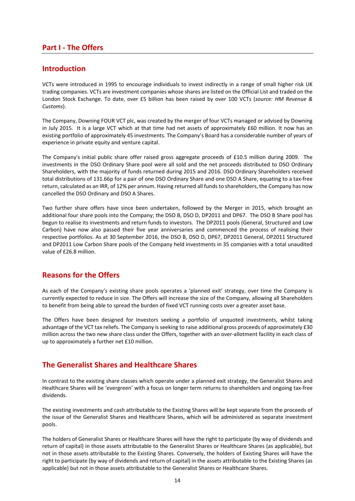## **Part I ‐ The Offers**

## **Introduction**

VCTs were introduced in 1995 to encourage individuals to invest indirectly in a range of small higher risk UK trading companies. VCTs are investment companies whose shares are listed on the Official List and traded on the London Stock Exchange. To date, over £5 billion has been raised by over 100 VCTs (*source: HM Revenue & Customs*).

The Company, Downing FOUR VCT plc, was created by the merger of four VCTs managed or advised by Downing in July 2015. It is a large VCT which at that time had net assets of approximately £60 million. It now has an existing portfolio of approximately 45 investments. The Company's Board has a considerable number of years of experience in private equity and venture capital.

The Company's initial public share offer raised gross aggregate proceeds of £10.5 million during 2009. The investments in the DSO Ordinary Share pool were all sold and the net proceeds distributed to DSO Ordinary Shareholders, with the majority of funds returned during 2015 and 2016. DSO Ordinary Shareholders received total distributions of 131.66p for a pair of one DSO Ordinary Share and one DSO A Share, equating to a tax-free return, calculated as an IRR, of 12% per annum. Having returned all funds to shareholders, the Company has now cancelled the DSO Ordinary and DSO A Shares.

Two further share offers have since been undertaken, followed by the Merger in 2015, which brought an additional four share pools into the Company; the DSO B, DSO D, DP2011 and DP67. The DSO B Share pool has begun to realise its investments and return funds to investors. The DP2011 pools (General, Structured and Low Carbon) have now also passed their five year anniversaries and commenced the process of realising their respective portfolios. As at 30 September 2016, the DSO B, DSO D, DP67, DP2011 General, DP2011 Structured and DP2011 Low Carbon Share pools of the Company held investments in 35 companies with a total unaudited value of £26.8 million.

## **Reasons for the Offers**

As each of the Company's existing share pools operates a 'planned exit' strategy, over time the Company is currently expected to reduce in size. The Offers will increase the size of the Company, allowing all Shareholders to benefit from being able to spread the burden of fixed VCT running costs over a greater asset base.

The Offers have been designed for Investors seeking a portfolio of unquoted investments, whilst taking advantage of the VCT tax reliefs. The Company is seeking to raise additional gross proceeds of approximately £30 million across the two new share class under the Offers, together with an over-allotment facility in each class of up to approximately a further net £10 million.

## **The Generalist Shares and Healthcare Shares**

In contrast to the existing share classes which operate under a planned exit strategy, the Generalist Shares and Healthcare Shares will be 'evergreen' with a focus on longer term returns to shareholders and ongoing tax‐free dividends.

The existing investments and cash attributable to the Existing Shares will be kept separate from the proceeds of the issue of the Generalist Shares and Healthcare Shares, which will be administered as separate investment pools.

The holders of Generalist Shares or Healthcare Shares will have the right to participate (by way of dividends and return of capital) in those assets attributable to the Generalist Shares or Healthcare Shares (as applicable), but not in those assets attributable to the Existing Shares. Conversely, the holders of Existing Shares will have the right to participate (by way of dividends and return of capital) in the assets attributable to the Existing Shares (as applicable) but not in those assets attributable to the Generalist Shares or Healthcare Shares.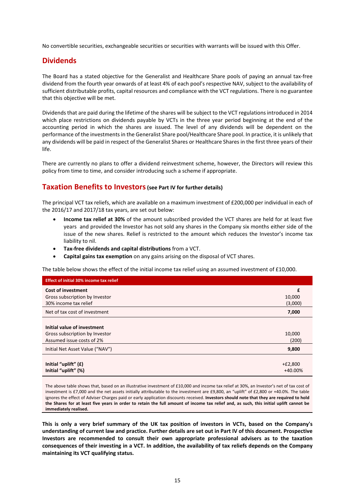No convertible securities, exchangeable securities or securities with warrants will be issued with this Offer.

## **Dividends**

The Board has a stated objective for the Generalist and Healthcare Share pools of paying an annual tax‐free dividend from the fourth year onwards of at least 4% of each pool's respective NAV, subject to the availability of sufficient distributable profits, capital resources and compliance with the VCT regulations. There is no guarantee that this objective will be met.

Dividends that are paid during the lifetime of the shares will be subject to the VCT regulations introduced in 2014 which place restrictions on dividends payable by VCTs in the three year period beginning at the end of the accounting period in which the shares are issued. The level of any dividends will be dependent on the performance of the investments in the Generalist Share pool/Healthcare Share pool. In practice, it is unlikely that any dividends will be paid in respect of the Generalist Shares or Healthcare Shares in the first three years of their life.

There are currently no plans to offer a dividend reinvestment scheme, however, the Directors will review this policy from time to time, and consider introducing such a scheme if appropriate.

## **Taxation Benefits to Investors (see Part IV for further details)**

The principal VCT tax reliefs, which are available on a maximum investment of £200,000 per individual in each of the 2016/17 and 2017/18 tax years, are set out below:

- **Income tax relief at 30%** of the amount subscribed provided the VCT shares are held for at least five years and provided the Investor has not sold any shares in the Company six months either side of the issue of the new shares. Relief is restricted to the amount which reduces the Investor's income tax liability to nil.
- **Tax‐free dividends and capital distributions** from a VCT.
- **Capital gains tax exemption** on any gains arising on the disposal of VCT shares.

The table below shows the effect of the initial income tax relief using an assumed investment of £10,000.

| <b>Effect of initial 30% income tax relief</b> |           |
|------------------------------------------------|-----------|
| <b>Cost of investment</b>                      | £         |
| Gross subscription by Investor                 | 10,000    |
| 30% income tax relief                          | (3,000)   |
| Net of tax cost of investment                  | 7,000     |
|                                                |           |
| Initial value of investment                    |           |
| Gross subscription by Investor                 | 10,000    |
| Assumed issue costs of 2%                      | (200)     |
| Initial Net Asset Value ("NAV")                | 9,800     |
|                                                |           |
| Initial "uplift" (£)                           | $+£2,800$ |
| Initial "uplift" (%)                           | +40.00%   |

The above table shows that, based on an illustrative investment of £10,000 and income tax relief at 30%, an Investor's net of tax cost of investment is £7,000 and the net assets initially attributable to the investment are £9,800, an "uplift" of £2,800 or +40.0%. The table ignores the effect of Adviser Charges paid or early application discounts received. **Investors should note that they are required to hold the Shares for at least five years in order to retain the full amount of income tax relief and, as such, this initial uplift cannot be immediately realised.** 

**This is only a very brief summary of the UK tax position of investors in VCTs, based on the Company's understanding of current law and practice. Further details are set out in Part IV of this document. Prospective Investors are recommended to consult their own appropriate professional advisers as to the taxation consequences of their investing in a VCT. In addition, the availability of tax reliefs depends on the Company maintaining its VCT qualifying status.**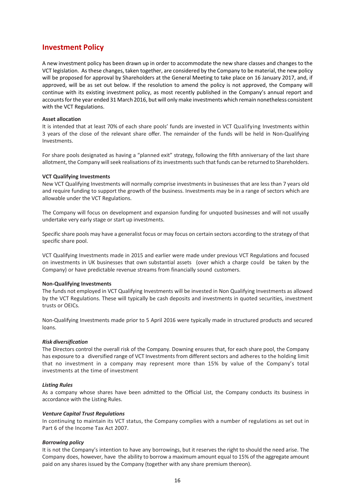## **Investment Policy**

A new investment policy has been drawn up in order to accommodate the new share classes and changes to the VCT legislation. As these changes, taken together, are considered by the Company to be material, the new policy will be proposed for approval by Shareholders at the General Meeting to take place on 16 January 2017, and, if approved, will be as set out below. If the resolution to amend the policy is not approved, the Company will continue with its existing investment policy, as most recently published in the Company's annual report and accounts for the year ended 31 March 2016, but will only make investments which remain nonetheless consistent with the VCT Regulations.

#### **Asset allocation**

It is intended that at least 70% of each share pools' funds are invested in VCT Qualifying Investments within 3 years of the close of the relevant share offer. The remainder of the funds will be held in Non‐Qualifying Investments.

For share pools designated as having a "planned exit" strategy, following the fifth anniversary of the last share allotment, the Company will seek realisations of its investments such that funds can be returned to Shareholders.

#### **VCT Qualifying Investments**

New VCT Qualifying Investments will normally comprise investments in businesses that are less than 7 years old and require funding to support the growth of the business. Investments may be in a range of sectors which are allowable under the VCT Regulations.

The Company will focus on development and expansion funding for unquoted businesses and will not usually undertake very early stage or start up investments.

Specific share pools may have a generalist focus or may focus on certain sectors according to the strategy of that specific share pool.

VCT Qualifying Investments made in 2015 and earlier were made under previous VCT Regulations and focused on investments in UK businesses that own substantial assets (over which a charge could be taken by the Company) or have predictable revenue streams from financially sound customers.

#### **Non‐Qualifying Investments**

The funds not employed in VCT Qualifying Investments will be invested in Non Qualifying Investments as allowed by the VCT Regulations. These will typically be cash deposits and investments in quoted securities, investment trusts or OEICs.

Non‐Qualifying Investments made prior to 5 April 2016 were typically made in structured products and secured loans.

#### *Risk diversification*

The Directors control the overall risk of the Company. Downing ensures that, for each share pool, the Company has exposure to a diversified range of VCT Investments from different sectors and adheres to the holding limit that no investment in a company may represent more than 15% by value of the Company's total investments at the time of investment

#### *Listing Rules*

As a company whose shares have been admitted to the Official List, the Company conducts its business in accordance with the Listing Rules.

#### *Venture Capital Trust Regulations*

In continuing to maintain its VCT status, the Company complies with a number of regulations as set out in Part 6 of the Income Tax Act 2007.

### *Borrowing policy*

It is not the Company's intention to have any borrowings, but it reserves the right to should the need arise. The Company does, however, have the ability to borrow a maximum amount equal to 15% of the aggregate amount paid on any shares issued by the Company (together with any share premium thereon).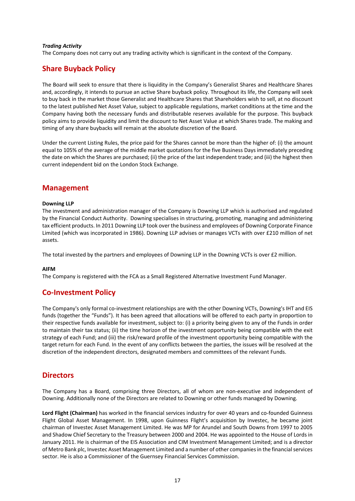### *Trading Activity*

The Company does not carry out any trading activity which is significant in the context of the Company.

## **Share Buyback Policy**

The Board will seek to ensure that there is liquidity in the Company's Generalist Shares and Healthcare Shares and, accordingly, it intends to pursue an active Share buyback policy. Throughout its life, the Company will seek to buy back in the market those Generalist and Healthcare Shares that Shareholders wish to sell, at no discount to the latest published Net Asset Value, subject to applicable regulations, market conditions at the time and the Company having both the necessary funds and distributable reserves available for the purpose. This buyback policy aims to provide liquidity and limit the discount to Net Asset Value at which Shares trade. The making and timing of any share buybacks will remain at the absolute discretion of the Board.

Under the current Listing Rules, the price paid for the Shares cannot be more than the higher of: (i) the amount equal to 105% of the average of the middle market quotations for the five Business Days immediately preceding the date on which the Shares are purchased; (ii) the price of the last independent trade; and (iii) the highest then current independent bid on the London Stock Exchange.

## **Management**

#### **Downing LLP**

The investment and administration manager of the Company is Downing LLP which is authorised and regulated by the Financial Conduct Authority. Downing specialises in structuring, promoting, managing and administering tax efficient products. In 2011 Downing LLP took over the business and employees of Downing Corporate Finance Limited (which was incorporated in 1986). Downing LLP advises or manages VCTs with over £210 million of net assets.

The total invested by the partners and employees of Downing LLP in the Downing VCTs is over £2 million.

### **AIFM**

The Company is registered with the FCA as a Small Registered Alternative Investment Fund Manager.

## **Co‐Investment Policy**

The Company's only formal co-investment relationships are with the other Downing VCTs, Downing's IHT and EIS funds (together the "Funds"). It has been agreed that allocations will be offered to each party in proportion to their respective funds available for investment, subject to: (i) a priority being given to any of the Funds in order to maintain their tax status; (ii) the time horizon of the investment opportunity being compatible with the exit strategy of each Fund; and (iii) the risk/reward profile of the investment opportunity being compatible with the target return for each Fund. In the event of any conflicts between the parties, the issues will be resolved at the discretion of the independent directors, designated members and committees of the relevant Funds.

## **Directors**

The Company has a Board, comprising three Directors, all of whom are non-executive and independent of Downing. Additionally none of the Directors are related to Downing or other funds managed by Downing.

Lord Flight (Chairman) has worked in the financial services industry for over 40 years and co-founded Guinness Flight Global Asset Management. In 1998, upon Guinness Flight's acquisition by Investec, he became joint chairman of Investec Asset Management Limited. He was MP for Arundel and South Downs from 1997 to 2005 and Shadow Chief Secretary to the Treasury between 2000 and 2004. He was appointed to the House of Lords in January 2011. He is chairman of the EIS Association and CIM Investment Management Limited; and is a director of Metro Bank plc, Investec Asset Management Limited and a number of other companies in the financial services sector. He is also a Commissioner of the Guernsey Financial Services Commission.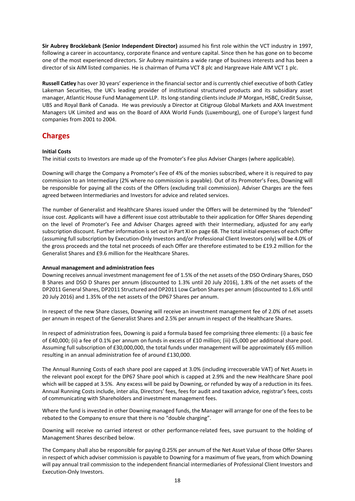**Sir Aubrey Brocklebank (Senior Independent Director)** assumed his first role within the VCT industry in 1997, following a career in accountancy, corporate finance and venture capital. Since then he has gone on to become one of the most experienced directors. Sir Aubrey maintains a wide range of business interests and has been a director of six AIM listed companies. He is chairman of Puma VCT 8 plc and Hargreave Hale AIM VCT 1 plc.

**Russell Catley** has over 30 years' experience in the financial sector and is currently chief executive of both Catley Lakeman Securities, the UK's leading provider of institutional structured products and its subsidiary asset manager, Atlantic House Fund Management LLP. Its long‐standing clients include JP Morgan, HSBC, Credit Suisse, UBS and Royal Bank of Canada. He was previously a Director at Citigroup Global Markets and AXA Investment Managers UK Limited and was on the Board of AXA World Funds (Luxembourg), one of Europe's largest fund companies from 2001 to 2004.

# **Charges**

## **Initial Costs**

The initial costs to Investors are made up of the Promoter's Fee plus Adviser Charges (where applicable).

Downing will charge the Company a Promoter's Fee of 4% of the monies subscribed, where it is required to pay commission to an Intermediary (2% where no commission is payable). Out of its Promoter's Fees, Downing will be responsible for paying all the costs of the Offers (excluding trail commission). Adviser Charges are the fees agreed between Intermediaries and Investors for advice and related services.

The number of Generalist and Healthcare Shares issued under the Offers will be determined by the "blended" issue cost. Applicants will have a different issue cost attributable to their application for Offer Shares depending on the level of Promoter's Fee and Adviser Charges agreed with their Intermediary, adjusted for any early subscription discount. Further information is set out in Part XI on page 68. The total initial expenses of each Offer (assuming full subscription by Execution‐Only Investors and/or Professional Client Investors only) will be 4.0% of the gross proceeds and the total net proceeds of each Offer are therefore estimated to be £19.2 million for the Generalist Shares and £9.6 million for the Healthcare Shares.

### **Annual management and administration fees**

Downing receives annual investment management fee of 1.5% of the net assets of the DSO Ordinary Shares, DSO B Shares and DSO D Shares per annum (discounted to 1.3% until 20 July 2016), 1.8% of the net assets of the DP2011 General Shares, DP2011 Structured and DP2011 Low Carbon Shares per annum (discounted to 1.6% until 20 July 2016) and 1.35% of the net assets of the DP67 Shares per annum.

In respect of the new Share classes, Downing will receive an investment management fee of 2.0% of net assets per annum in respect of the Generalist Shares and 2.5% per annum in respect of the Healthcare Shares.

In respect of administration fees, Downing is paid a formula based fee comprising three elements: (i) a basic fee of £40,000; (ii) a fee of 0.1% per annum on funds in excess of £10 million; (iii) £5,000 per additional share pool. Assuming full subscription of £30,000,000, the total funds under management will be approximately £65 million resulting in an annual administration fee of around £130,000.

The Annual Running Costs of each share pool are capped at 3.0% (including irrecoverable VAT) of Net Assets in the relevant pool except for the DP67 Share pool which is capped at 2.9% and the new Healthcare Share pool which will be capped at 3.5%. Any excess will be paid by Downing, or refunded by way of a reduction in its fees. Annual Running Costs include, inter alia, Directors' fees, fees for audit and taxation advice, registrar's fees, costs of communicating with Shareholders and investment management fees.

Where the fund is invested in other Downing managed funds, the Manager will arrange for one of the fees to be rebated to the Company to ensure that there is no "double charging".

Downing will receive no carried interest or other performance-related fees, save pursuant to the holding of Management Shares described below.

The Company shall also be responsible for paying 0.25% per annum of the Net Asset Value of those Offer Shares in respect of which adviser commission is payable to Downing for a maximum of five years, from which Downing will pay annual trail commission to the independent financial intermediaries of Professional Client Investors and Execution‐Only Investors.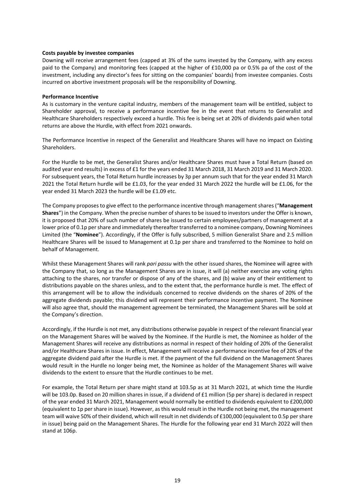#### **Costs payable by investee companies**

Downing will receive arrangement fees (capped at 3% of the sums invested by the Company, with any excess paid to the Company) and monitoring fees (capped at the higher of £10,000 pa or 0.5% pa of the cost of the investment, including any director's fees for sitting on the companies' boards) from investee companies. Costs incurred on abortive investment proposals will be the responsibility of Downing.

#### **Performance Incentive**

As is customary in the venture capital industry, members of the management team will be entitled, subject to Shareholder approval, to receive a performance incentive fee in the event that returns to Generalist and Healthcare Shareholders respectively exceed a hurdle. This fee is being set at 20% of dividends paid when total returns are above the Hurdle, with effect from 2021 onwards.

The Performance Incentive in respect of the Generalist and Healthcare Shares will have no impact on Existing Shareholders.

For the Hurdle to be met, the Generalist Shares and/or Healthcare Shares must have a Total Return (based on audited year end results) in excess of £1 for the years ended 31 March 2018, 31 March 2019 and 31 March 2020. For subsequent years, the Total Return hurdle increases by 3p per annum such that for the year ended 31 March 2021 the Total Return hurdle will be £1.03, for the year ended 31 March 2022 the hurdle will be £1.06, for the year ended 31 March 2023 the hurdle will be £1.09 etc.

The Company proposes to give effect to the performance incentive through management shares ("**Management Shares**") in the Company. When the precise number of shares to be issued to investors under the Offer is known, it is proposed that 20% of such number of shares be issued to certain employees/partners of management at a lower price of 0.1p per share and immediately thereafter transferred to a nominee company, Downing Nominees Limited (the "**Nominee**"). Accordingly, if the Offer is fully subscribed, 5 million Generalist Share and 2.5 million Healthcare Shares will be issued to Management at 0.1p per share and transferred to the Nominee to hold on behalf of Management.

Whilst these Management Shares will rank *pari passu* with the other issued shares, the Nominee will agree with the Company that, so long as the Management Shares are in issue, it will (a) neither exercise any voting rights attaching to the shares, nor transfer or dispose of any of the shares, and (b) waive any of their entitlement to distributions payable on the shares unless, and to the extent that, the performance hurdle is met. The effect of this arrangement will be to allow the individuals concerned to receive dividends on the shares of 20% of the aggregate dividends payable; this dividend will represent their performance incentive payment. The Nominee will also agree that, should the management agreement be terminated, the Management Shares will be sold at the Company's direction.

Accordingly, if the Hurdle is not met, any distributions otherwise payable in respect of the relevant financial year on the Management Shares will be waived by the Nominee. If the Hurdle is met, the Nominee as holder of the Management Shares will receive any distributions as normal in respect of their holding of 20% of the Generalist and/or Healthcare Shares in issue. In effect, Management will receive a performance incentive fee of 20% of the aggregate dividend paid after the Hurdle is met. If the payment of the full dividend on the Management Shares would result in the Hurdle no longer being met, the Nominee as holder of the Management Shares will waive dividends to the extent to ensure that the Hurdle continues to be met.

For example, the Total Return per share might stand at 103.5p as at 31 March 2021, at which time the Hurdle will be 103.0p. Based on 20 million shares in issue, if a dividend of £1 million (5p per share) is declared in respect of the year ended 31 March 2021, Management would normally be entitled to dividends equivalent to £200,000 (equivalent to 1p per share in issue). However, as this would result in the Hurdle not being met, the management team will waive 50% of their dividend, which will result in net dividends of £100,000 (equivalent to 0.5p per share in issue) being paid on the Management Shares. The Hurdle for the following year end 31 March 2022 will then stand at 106p.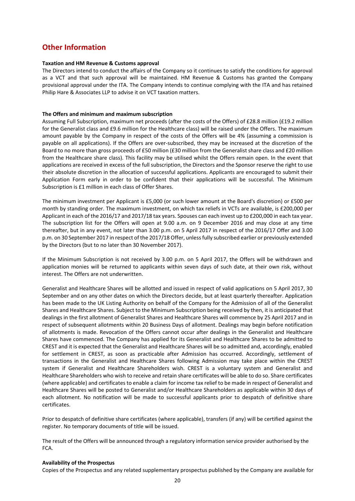# **Other Information**

#### **Taxation and HM Revenue & Customs approval**

The Directors intend to conduct the affairs of the Company so it continues to satisfy the conditions for approval as a VCT and that such approval will be maintained. HM Revenue & Customs has granted the Company provisional approval under the ITA. The Company intends to continue complying with the ITA and has retained Philip Hare & Associates LLP to advise it on VCT taxation matters.

#### **The Offers and minimum and maximum subscription**

Assuming Full Subscription, maximum net proceeds (after the costs of the Offers) of £28.8 million (£19.2 million for the Generalist class and £9.6 million for the Healthcare class) will be raised under the Offers. The maximum amount payable by the Company in respect of the costs of the Offers will be 4% (assuming a commission is payable on all applications). If the Offers are over‐subscribed, they may be increased at the discretion of the Board to no more than gross proceeds of £50 million (£30 million from the Generalist share class and £20 million from the Healthcare share class). This facility may be utilised whilst the Offers remain open. In the event that applications are received in excess of the full subscription, the Directors and the Sponsor reserve the right to use their absolute discretion in the allocation of successful applications. Applicants are encouraged to submit their Application Form early in order to be confident that their applications will be successful. The Minimum Subscription is £1 million in each class of Offer Shares.

The minimum investment per Applicant is £5,000 (or such lower amount at the Board's discretion) or £500 per month by standing order. The maximum investment, on which tax reliefs in VCTs are available, is £200,000 per Applicant in each of the 2016/17 and 2017/18 tax years. Spouses can each invest up to £200,000 in each tax year. The subscription list for the Offers will open at 9.00 a.m. on 9 December 2016 and may close at any time thereafter, but in any event, not later than 3.00 p.m. on 5 April 2017 in respect of the 2016/17 Offer and 3.00 p.m. on 30 September 2017 in respect of the 2017/18 Offer, unless fully subscribed earlier or previously extended by the Directors (but to no later than 30 November 2017).

If the Minimum Subscription is not received by 3.00 p.m. on 5 April 2017, the Offers will be withdrawn and application monies will be returned to applicants within seven days of such date, at their own risk, without interest. The Offers are not underwritten.

Generalist and Healthcare Shares will be allotted and issued in respect of valid applications on 5 April 2017, 30 September and on any other dates on which the Directors decide, but at least quarterly thereafter. Application has been made to the UK Listing Authority on behalf of the Company for the Admission of all of the Generalist Shares and Healthcare Shares. Subject to the Minimum Subscription being received by then, it is anticipated that dealings in the first allotment of Generalist Shares and Healthcare Shares will commence by 25 April 2017 and in respect of subsequent allotments within 20 Business Days of allotment. Dealings may begin before notification of allotments is made. Revocation of the Offers cannot occur after dealings in the Generalist and Healthcare Shares have commenced. The Company has applied for its Generalist and Healthcare Shares to be admitted to CREST and it is expected that the Generalist and Healthcare Shares will be so admitted and, accordingly, enabled for settlement in CREST, as soon as practicable after Admission has occurred. Accordingly, settlement of transactions in the Generalist and Healthcare Shares following Admission may take place within the CREST system if Generalist and Healthcare Shareholders wish. CREST is a voluntary system and Generalist and Healthcare Shareholders who wish to receive and retain share certificates will be able to do so. Share certificates (where applicable) and certificates to enable a claim for income tax relief to be made in respect of Generalist and Healthcare Shares will be posted to Generalist and/or Healthcare Shareholders as applicable within 30 days of each allotment. No notification will be made to successful applicants prior to despatch of definitive share certificates.

Prior to despatch of definitive share certificates (where applicable), transfers (if any) will be certified against the register. No temporary documents of title will be issued.

The result of the Offers will be announced through a regulatory information service provider authorised by the FCA.

#### **Availability of the Prospectus**

Copies of the Prospectus and any related supplementary prospectus published by the Company are available for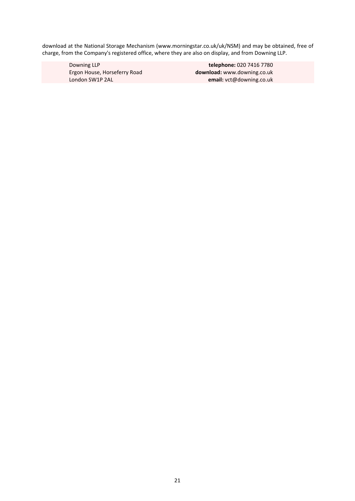download at the National Storage Mechanism (www.morningstar.co.uk/uk/NSM) and may be obtained, free of charge, from the Company's registered office, where they are also on display, and from Downing LLP.

 Downing LLP **telephone:** 020 7416 7780 Ergon House, Horseferry Road **download:** www.downing.co.uk London SW1P 2AL **email:** vct@downing.co.uk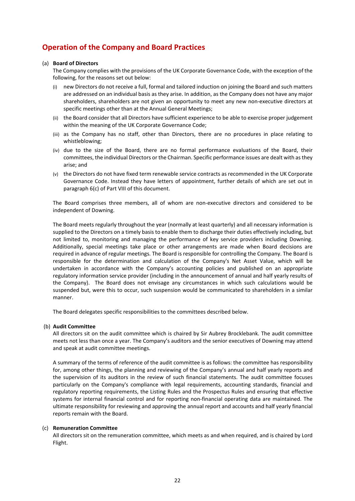# **Operation of the Company and Board Practices**

### (a) **Board of Directors**

The Company complies with the provisions of the UK Corporate Governance Code, with the exception of the following, for the reasons set out below:

- (i) new Directors do not receive a full, formal and tailored induction on joining the Board and such matters are addressed on an individual basis as they arise. In addition, as the Company does not have any major shareholders, shareholders are not given an opportunity to meet any new non‐executive directors at specific meetings other than at the Annual General Meetings;
- (ii) the Board consider that all Directors have sufficient experience to be able to exercise proper judgement within the meaning of the UK Corporate Governance Code;
- (iii) as the Company has no staff, other than Directors, there are no procedures in place relating to whistleblowing;
- (iv) due to the size of the Board, there are no formal performance evaluations of the Board, their committees, the individual Directors or the Chairman. Specific performance issues are dealt with as they arise; and
- (v) the Directors do not have fixed term renewable service contracts as recommended in the UK Corporate Governance Code. Instead they have letters of appointment, further details of which are set out in paragraph 6(c) of Part VIII of this document.

The Board comprises three members, all of whom are non-executive directors and considered to be independent of Downing.

The Board meets regularly throughout the year (normally at least quarterly) and all necessary information is supplied to the Directors on a timely basis to enable them to discharge their duties effectively including, but not limited to, monitoring and managing the performance of key service providers including Downing. Additionally, special meetings take place or other arrangements are made when Board decisions are required in advance of regular meetings. The Board is responsible for controlling the Company. The Board is responsible for the determination and calculation of the Company's Net Asset Value, which will be undertaken in accordance with the Company's accounting policies and published on an appropriate regulatory information service provider (including in the announcement of annual and half yearly results of the Company). The Board does not envisage any circumstances in which such calculations would be suspended but, were this to occur, such suspension would be communicated to shareholders in a similar manner.

The Board delegates specific responsibilities to the committees described below.

### (b) **Audit Committee**

All directors sit on the audit committee which is chaired by Sir Aubrey Brocklebank. The audit committee meets not less than once a year. The Company's auditors and the senior executives of Downing may attend and speak at audit committee meetings.

A summary of the terms of reference of the audit committee is as follows: the committee has responsibility for, among other things, the planning and reviewing of the Company's annual and half yearly reports and the supervision of its auditors in the review of such financial statements. The audit committee focuses particularly on the Company's compliance with legal requirements, accounting standards, financial and regulatory reporting requirements, the Listing Rules and the Prospectus Rules and ensuring that effective systems for internal financial control and for reporting non-financial operating data are maintained. The ultimate responsibility for reviewing and approving the annual report and accounts and half yearly financial reports remain with the Board.

### (c) **Remuneration Committee**

All directors sit on the remuneration committee, which meets as and when required, and is chaired by Lord Flight.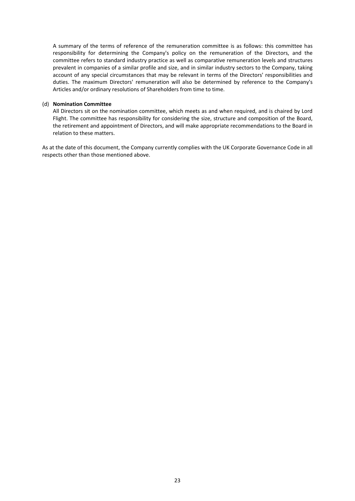A summary of the terms of reference of the remuneration committee is as follows: this committee has responsibility for determining the Company's policy on the remuneration of the Directors, and the committee refers to standard industry practice as well as comparative remuneration levels and structures prevalent in companies of a similar profile and size, and in similar industry sectors to the Company, taking account of any special circumstances that may be relevant in terms of the Directors' responsibilities and duties. The maximum Directors' remuneration will also be determined by reference to the Company's Articles and/or ordinary resolutions of Shareholders from time to time.

#### (d) **Nomination Committee**

All Directors sit on the nomination committee, which meets as and when required, and is chaired by Lord Flight. The committee has responsibility for considering the size, structure and composition of the Board, the retirement and appointment of Directors, and will make appropriate recommendations to the Board in relation to these matters.

As at the date of this document, the Company currently complies with the UK Corporate Governance Code in all respects other than those mentioned above.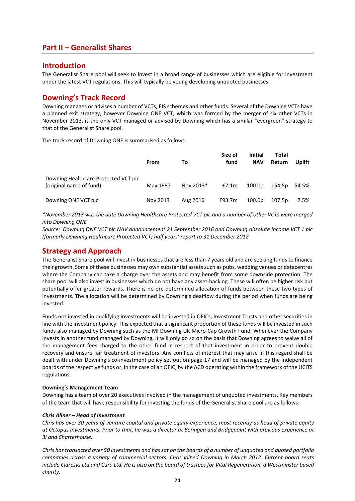## **Part II – Generalist Shares**

## **Introduction**

The Generalist Share pool will seek to invest in a broad range of businesses which are eligible for investment under the latest VCT regulations. This will typically be young developing unquoted businesses.

## **Downing's Track Record**

Downing manages or advises a number of VCTs, EIS schemes and other funds. Several of the Downing VCTs have a planned exit strategy, however Downing ONE VCT, which was formed by the merger of six other VCTs in November 2013, is the only VCT managed or advised by Downing which has a similar "evergreen" strategy to that of the Generalist Share pool.

The track record of Downing ONE is summarised as follows:

|                                                                 | <b>From</b> | Τo        | Size of<br>fund | <b>Initial</b><br><b>NAV</b> | Total<br><b>Return</b> | Uplift |
|-----------------------------------------------------------------|-------------|-----------|-----------------|------------------------------|------------------------|--------|
| Downing Healthcare Protected VCT plc<br>(original name of fund) | May 1997    | Nov 2013* | E7.1m           | 100.0p                       | 154.5p 54.5%           |        |
| Downing ONE VCT plc                                             | Nov 2013    | Aug 2016  | £93.7m          | 100.0 <sub>p</sub>           | 107.5p                 | 7.5%   |

*\*November 2013 was the date Downing Healthcare Protected VCT plc and a number of other VCTs were merged into Downing ONE* 

*Source: Downing ONE VCT plc NAV announcement 21 September 2016 and Downing Absolute Income VCT 1 plc (formerly Downing Healthcare Protected VCT) half years' report to 31 December 2012* 

## **Strategy and Approach**

The Generalist Share pool will invest in businesses that are less than 7 years old and are seeking funds to finance their growth. Some of these businesses may own substantial assets such as pubs, wedding venues or datacentres where the Company can take a charge over the assets and may benefit from some downside protection. The share pool will also invest in businesses which do not have any asset‐backing. These will often be higher risk but potentially offer greater rewards. There is no pre‐determined allocation of funds between these two types of investments. The allocation will be determined by Downing's dealflow during the period when funds are being invested.

Funds not invested in qualifying investments will be invested in OEICs, Investment Trusts and other securities in line with the investment policy. It is expected that a significant proportion of these funds will be invested in such funds also managed by Downing such as the MI Downing UK Micro‐Cap Growth Fund. Whenever the Company invests in another fund managed by Downing, it will only do so on the basis that Downing agrees to waive all of the management fees charged to the other fund in respect of that investment in order to prevent double recovery and ensure fair treatment of investors. Any conflicts of interest that may arise in this regard shall be dealt with under Downing's co-investment policy set out on page 17 and will be managed by the independent boards of the respective funds or, in the case of an OEIC, by the ACD operating within the framework of the UCITS regulations.

### **Downing's Management Team**

Downing has a team of over 20 executives involved in the management of unquoted investments. Key members of the team that will have responsibility for investing the funds of the Generalist Share pool are as follows:

### *Chris Allner – Head of Investment*

*Chris has over 30 years of venture capital and private equity experience, most recently as head of private equity at Octopus Investments. Prior to that, he was a director at Beringea and Bridgepoint with previous experience at 3i and Charterhouse.* 

*Chris has transacted over 50 investments and has sat on the boards of a number of unquoted and quoted portfolio companies across a variety of commercial sectors. Chris joined Downing in March 2012. Current board seats include Claresys Ltd and Curo Ltd. He is also on the board of trustees for Vital Regeneration, a Westminster based charity.*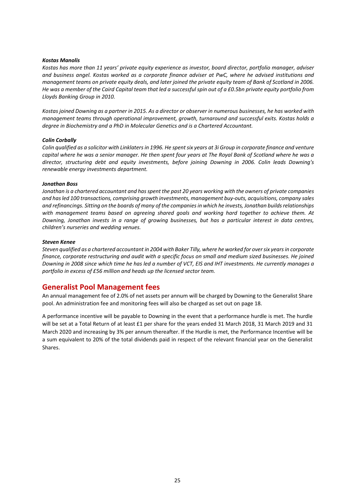#### *Kostas Manolis*

*Kostas has more than 11 years' private equity experience as investor, board director, portfolio manager, adviser and business angel. Kostas worked as a corporate finance adviser at PwC, where he advised institutions and management teams on private equity deals, and later joined the private equity team of Bank of Scotland in 2006. He was a member of the Caird Capital team that led a successful spin out of a £0.5bn private equity portfolio from Lloyds Banking Group in 2010.* 

*Kostas joined Downing as a partner in 2015. As a director or observer in numerous businesses, he has worked with management teams through operational improvement, growth, turnaround and successful exits. Kostas holds a degree in Biochemistry and a PhD in Molecular Genetics and is a Chartered Accountant.* 

#### *Colin Corbally*

*Colin qualified as a solicitor with Linklaters in 1996. He spent six years at 3i Group in corporate finance and venture capital where he was a senior manager. He then spent four years at The Royal Bank of Scotland where he was a director, structuring debt and equity investments, before joining Downing in 2006. Colin leads Downing's renewable energy investments department.* 

#### *Jonathan Boss*

*Jonathan is a chartered accountant and has spent the past 20 years working with the owners of private companies and has led 100 transactions, comprising growth investments, management buy‐outs, acquisitions, company sales and refinancings. Sitting on the boards of many of the companies in which he invests, Jonathan builds relationships with management teams based on agreeing shared goals and working hard together to achieve them. At Downing, Jonathan invests in a range of growing businesses, but has a particular interest in data centres, children's nurseries and wedding venues.* 

#### *Steven Kenee*

*Steven qualified as a chartered accountant in 2004 with Baker Tilly, where he worked for over six years in corporate finance, corporate restructuring and audit with a specific focus on small and medium sized businesses. He joined Downing in 2008 since which time he has led a number of VCT, EIS and IHT investments. He currently manages a portfolio in excess of £56 million and heads up the licensed sector team.* 

## **Generalist Pool Management fees**

An annual management fee of 2.0% of net assets per annum will be charged by Downing to the Generalist Share pool. An administration fee and monitoring fees will also be charged as set out on page 18.

A performance incentive will be payable to Downing in the event that a performance hurdle is met. The hurdle will be set at a Total Return of at least £1 per share for the years ended 31 March 2018, 31 March 2019 and 31 March 2020 and increasing by 3% per annum thereafter. If the Hurdle is met, the Performance Incentive will be a sum equivalent to 20% of the total dividends paid in respect of the relevant financial year on the Generalist Shares.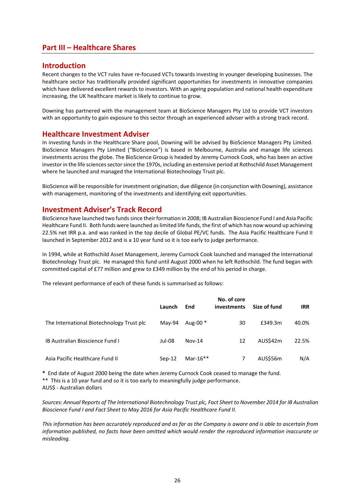## **Part III – Healthcare Shares**

## **Introduction**

Recent changes to the VCT rules have re‐focused VCTs towards investing in younger developing businesses. The healthcare sector has traditionally provided significant opportunities for investments in innovative companies which have delivered excellent rewards to investors. With an ageing population and national health expenditure increasing, the UK healthcare market is likely to continue to grow.

Downing has partnered with the management team at BioScience Managers Pty Ltd to provide VCT investors with an opportunity to gain exposure to this sector through an experienced adviser with a strong track record.

## **Healthcare Investment Adviser**

In investing funds in the Healthcare Share pool, Downing will be advised by BioScience Managers Pty Limited. BioScience Managers Pty Limited ("BioScience") is based in Melbourne, Australia and manage life sciences investments across the globe. The BioScience Group is headed by Jeremy Curnock Cook, who has been an active investor in the life sciences sector since the 1970s, including an extensive period at Rothschild Asset Management where he launched and managed the International Biotechnology Trust plc.

BioScience will be responsible for investment origination, due diligence (in conjunction with Downing), assistance with management, monitoring of the investments and identifying exit opportunities.

## **Investment Adviser's Track Record**

BioScience have launched two funds since their formation in 2008; IB Australian Bioscience Fund I and Asia Pacific Healthcare Fund II. Both funds were launched as limited life funds, the first of which has now wound up achieving 22.5% net IRR p.a. and was ranked in the top decile of Global PE/VC funds. The Asia Pacific Healthcare Fund II launched in September 2012 and is a 10 year fund so it is too early to judge performance.

In 1994, while at Rothschild Asset Management, Jeremy Curnock Cook launched and managed the International Biotechnology Trust plc. He managed this fund until August 2000 when he left Rothschild. The fund began with committed capital of £77 million and grew to £349 million by the end of his period in charge.

The relevant performance of each of these funds is summarised as follows:

|                                           | Launch   | End         | No. of core<br><i>investments</i> | Size of fund | <b>IRR</b> |
|-------------------------------------------|----------|-------------|-----------------------------------|--------------|------------|
| The International Biotechnology Trust plc | May-94   | Aug-00 $*$  | 30                                | £349.3m      | 40.0%      |
| <b>IB Australian Bioscience Fund I</b>    | Jul-08   | $Nov-14$    | 12                                | AUS\$42m     | 22.5%      |
| Asia Pacific Healthcare Fund II           | $Sep-12$ | Mar-16 $**$ | 7                                 | AUS\$56m     | N/A        |

**\*** End date of August 2000 being the date when Jeremy Curnock Cook ceased to manage the fund.

\*\* This is a 10 year fund and so it is too early to meaningfully judge performance.

AUS\$ ‐ Australian dollars

*Sources: Annual Reports of The International Biotechnology Trust plc, Fact Sheet to November 2014 for IB Australian Bioscience Fund I and Fact Sheet to May 2016 for Asia Pacific Healthcare Fund II.* 

*This information has been accurately reproduced and as far as the Company is aware and is able to ascertain from information published, no facts have been omitted which would render the reproduced information inaccurate or misleading.*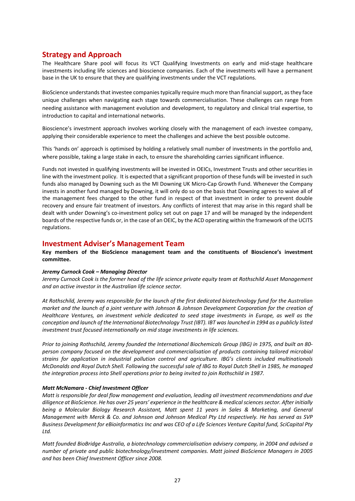## **Strategy and Approach**

The Healthcare Share pool will focus its VCT Qualifying Investments on early and mid‐stage healthcare investments including life sciences and bioscience companies. Each of the investments will have a permanent base in the UK to ensure that they are qualifying investments under the VCT regulations.

BioScience understands that investee companies typically require much more than financial support, as they face unique challenges when navigating each stage towards commercialisation. These challenges can range from needing assistance with management evolution and development, to regulatory and clinical trial expertise, to introduction to capital and international networks.

Bioscience's investment approach involves working closely with the management of each investee company, applying their considerable experience to meet the challenges and achieve the best possible outcome.

This 'hands on' approach is optimised by holding a relatively small number of investments in the portfolio and, where possible, taking a large stake in each, to ensure the shareholding carries significant influence.

Funds not invested in qualifying investments will be invested in OEICs, Investment Trusts and other securities in line with the investment policy. It is expected that a significant proportion of these funds will be invested in such funds also managed by Downing such as the MI Downing UK Micro‐Cap Growth Fund. Whenever the Company invests in another fund managed by Downing, it will only do so on the basis that Downing agrees to waive all of the management fees charged to the other fund in respect of that investment in order to prevent double recovery and ensure fair treatment of investors. Any conflicts of interest that may arise in this regard shall be dealt with under Downing's co-investment policy set out on page 17 and will be managed by the independent boards of the respective funds or, in the case of an OEIC, by the ACD operating within the framework of the UCITS regulations.

## **Investment Adviser's Management Team**

**Key members of the BioScience management team and the constituents of Bioscience's investment committee.** 

### *Jeremy Curnock Cook – Managing Director*

*Jeremy Curnock Cook is the former head of the life science private equity team at Rothschild Asset Management and an active investor in the Australian life science sector.* 

*At Rothschild, Jeremy was responsible for the launch of the first dedicated biotechnology fund for the Australian market and the launch of a joint venture with Johnson & Johnson Development Corporation for the creation of Healthcare Ventures, an investment vehicle dedicated to seed stage investments in Europe, as well as the conception and launch of the International Biotechnology Trust (IBT). IBT was launched in 1994 as a publicly listed investment trust focused internationally on mid stage investments in life sciences.* 

*Prior to joining Rothschild, Jeremy founded the International Biochemicals Group (IBG) in 1975, and built an 80‐ person company focused on the development and commercialisation of products containing tailored microbial strains for application in industrial pollution control and agriculture. IBG's clients included multinationals McDonalds and Royal Dutch Shell. Following the successful sale of IBG to Royal Dutch Shell in 1985, he managed the integration process into Shell operations prior to being invited to join Rothschild in 1987.* 

### *Matt McNamara ‐ Chief Investment Officer*

*Matt is responsible for deal flow management and evaluation, leading all investment recommendations and due diligence at BioScience. He has over 25 years' experience in the healthcare & medical sciences sector. After initially being a Molecular Biology Research Assistant, Matt spent 11 years in Sales & Marketing, and General Management with Merck & Co. and Johnson and Johnson Medical Pty Ltd respectively. He has served as SVP Business Development for eBioinformatics Inc and was CEO of a Life Sciences Venture Capital fund, SciCapital Pty Ltd.* 

*Matt founded BioBridge Australia, a biotechnology commercialisation advisery company, in 2004 and advised a number of private and public biotechnology/investment companies. Matt joined BioScience Managers in 2005 and has been Chief Investment Officer since 2008.*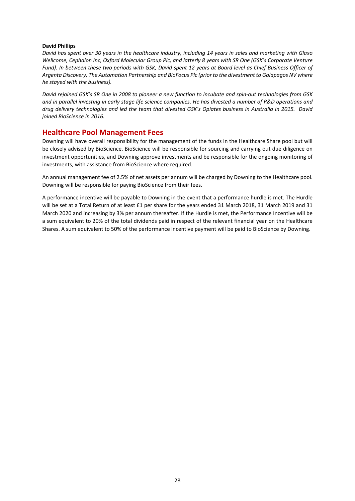#### **David Phillips**

*David has spent over 30 years in the healthcare industry, including 14 years in sales and marketing with Glaxo Wellcome, Cephalon Inc, Oxford Molecular Group Plc, and latterly 8 years with SR One (GSK's Corporate Venture Fund). In between these two periods with GSK, David spent 12 years at Board level as Chief Business Officer of Argenta Discovery, The Automation Partnership and BioFocus Plc (prior to the divestment to Galapagos NV where he stayed with the business).* 

*David rejoined GSK's SR One in 2008 to pioneer a new function to incubate and spin‐out technologies from GSK and in parallel investing in early stage life science companies. He has divested a number of R&D operations and drug delivery technologies and led the team that divested GSK's Opiates business in Australia in 2015. David joined BioScience in 2016.*

## **Healthcare Pool Management Fees**

Downing will have overall responsibility for the management of the funds in the Healthcare Share pool but will be closely advised by BioScience. BioScience will be responsible for sourcing and carrying out due diligence on investment opportunities, and Downing approve investments and be responsible for the ongoing monitoring of investments, with assistance from BioScience where required.

An annual management fee of 2.5% of net assets per annum will be charged by Downing to the Healthcare pool. Downing will be responsible for paying BioScience from their fees.

A performance incentive will be payable to Downing in the event that a performance hurdle is met. The Hurdle will be set at a Total Return of at least £1 per share for the years ended 31 March 2018, 31 March 2019 and 31 March 2020 and increasing by 3% per annum thereafter. If the Hurdle is met, the Performance Incentive will be a sum equivalent to 20% of the total dividends paid in respect of the relevant financial year on the Healthcare Shares. A sum equivalent to 50% of the performance incentive payment will be paid to BioScience by Downing.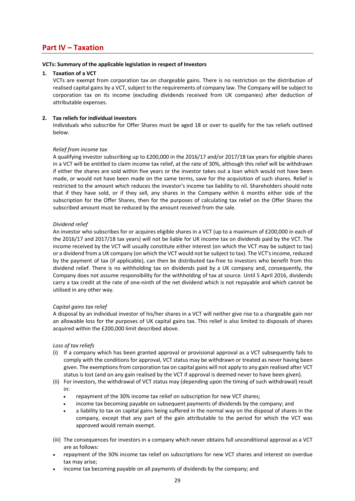## **Part IV – Taxation**

#### **VCTs: Summary of the applicable legislation in respect of Investors**

## **1. Taxation of a VCT**

VCTs are exempt from corporation tax on chargeable gains. There is no restriction on the distribution of realised capital gains by a VCT, subject to the requirements of company law. The Company will be subject to corporation tax on its income (excluding dividends received from UK companies) after deduction of attributable expenses.

## **2. Tax reliefs for individual investors**

Individuals who subscribe for Offer Shares must be aged 18 or over to qualify for the tax reliefs outlined below.

### *Relief from income tax*

A qualifying investor subscribing up to £200,000 in the 2016/17 and/or 2017/18 tax years for eligible shares in a VCT will be entitled to claim income tax relief, at the rate of 30%, although this relief will be withdrawn if either the shares are sold within five years or the investor takes out a loan which would not have been made, or would not have been made on the same terms, save for the acquisition of such shares. Relief is restricted to the amount which reduces the investor's income tax liability to nil. Shareholders should note that if they have sold, or if they sell, any shares in the Company within 6 months either side of the subscription for the Offer Shares, then for the purposes of calculating tax relief on the Offer Shares the subscribed amount must be reduced by the amount received from the sale.

### *Dividend relief*

An investor who subscribes for or acquires eligible shares in a VCT (up to a maximum of £200,000 in each of the 2016/17 and 2017/18 tax years) will not be liable for UK income tax on dividends paid by the VCT. The income received by the VCT will usually constitute either interest (on which the VCT may be subject to tax) or a dividend from a UK company (on which the VCT would not be subject to tax). The VCT's income, reduced by the payment of tax (if applicable), can then be distributed tax‐free to investors who benefit from this dividend relief. There is no withholding tax on dividends paid by a UK company and, consequently, the Company does not assume responsibility for the withholding of tax at source. Until 5 April 2016, dividends carry a tax credit at the rate of one-ninth of the net dividend which is not repayable and which cannot be utilised in any other way.

### *Capital gains tax relief*

A disposal by an individual investor of his/her shares in a VCT will neither give rise to a chargeable gain nor an allowable loss for the purposes of UK capital gains tax. This relief is also limited to disposals of shares acquired within the £200,000 limit described above.

### *Loss of tax reliefs*

- (i) If a company which has been granted approval or provisional approval as a VCT subsequently fails to comply with the conditions for approval, VCT status may be withdrawn or treated as never having been given. The exemptions from corporation tax on capital gains will not apply to any gain realised after VCT status is lost (and on any gain realised by the VCT if approval is deemed never to have been given).
- (ii) For investors, the withdrawal of VCT status may (depending upon the timing of such withdrawal) result in:
	- repayment of the 30% income tax relief on subscription for new VCT shares;
	- income tax becoming payable on subsequent payments of dividends by the company; and
	- a liability to tax on capital gains being suffered in the normal way on the disposal of shares in the company, except that any part of the gain attributable to the period for which the VCT was approved would remain exempt.
- (iii) The consequences for investors in a company which never obtains full unconditional approval as a VCT are as follows:
- repayment of the 30% income tax relief on subscriptions for new VCT shares and interest on overdue tax may arise;
- income tax becoming payable on all payments of dividends by the company; and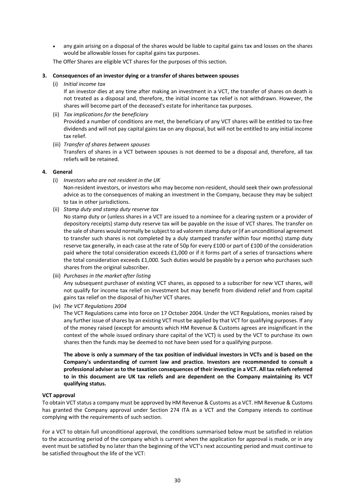any gain arising on a disposal of the shares would be liable to capital gains tax and losses on the shares would be allowable losses for capital gains tax purposes.

The Offer Shares are eligible VCT shares for the purposes of this section.

#### **3. Consequences of an investor dying or a transfer of shares between spouses**

(i) *Initial income tax* 

If an investor dies at any time after making an investment in a VCT, the transfer of shares on death is not treated as a disposal and, therefore, the initial income tax relief is not withdrawn. However, the shares will become part of the deceased's estate for inheritance tax purposes.

(ii) *Tax implications for the beneficiary*

Provided a number of conditions are met, the beneficiary of any VCT shares will be entitled to tax‐free dividends and will not pay capital gains tax on any disposal, but will not be entitled to any initial income tax relief.

(iii) *Transfer of shares between spouses* 

Transfers of shares in a VCT between spouses is not deemed to be a disposal and, therefore, all tax reliefs will be retained.

#### **4. General**

(i) *Investors who are not resident in the UK* 

Non-resident investors, or investors who may become non-resident, should seek their own professional advice as to the consequences of making an investment in the Company, because they may be subject to tax in other jurisdictions.

(ii) *Stamp duty and stamp duty reserve tax*

No stamp duty or (unless shares in a VCT are issued to a nominee for a clearing system or a provider of depository receipts) stamp duty reserve tax will be payable on the issue of VCT shares. The transfer on the sale of shares would normally be subject to ad valorem stamp duty or (if an unconditional agreement to transfer such shares is not completed by a duly stamped transfer within four months) stamp duty reserve tax generally, in each case at the rate of 50p for every £100 or part of £100 of the consideration paid where the total consideration exceeds £1,000 or if it forms part of a series of transactions where the total consideration exceeds £1,000. Such duties would be payable by a person who purchases such shares from the original subscriber.

(iii) *Purchases in the market after listing* 

Any subsequent purchaser of existing VCT shares, as opposed to a subscriber for new VCT shares, will not qualify for income tax relief on investment but may benefit from dividend relief and from capital gains tax relief on the disposal of his/her VCT shares.

(iv) *The VCT Regulations 2004* 

The VCT Regulations came into force on 17 October 2004. Under the VCT Regulations, monies raised by any further issue of shares by an existing VCT must be applied by that VCT for qualifying purposes. If any of the money raised (except for amounts which HM Revenue & Customs agrees are insignificant in the context of the whole issued ordinary share capital of the VCT) is used by the VCT to purchase its own shares then the funds may be deemed to not have been used for a qualifying purpose.

**The above is only a summary of the tax position of individual investors in VCTs and is based on the Company's understanding of current law and practice. Investors are recommended to consult a professional adviser as to the taxation consequences of their investing in a VCT. All tax reliefs referred to in this document are UK tax reliefs and are dependent on the Company maintaining its VCT qualifying status.** 

### **VCT approval**

To obtain VCT status a company must be approved by HM Revenue & Customs as a VCT. HM Revenue & Customs has granted the Company approval under Section 274 ITA as a VCT and the Company intends to continue complying with the requirements of such section.

For a VCT to obtain full unconditional approval, the conditions summarised below must be satisfied in relation to the accounting period of the company which is current when the application for approval is made, or in any event must be satisfied by no later than the beginning of the VCT's next accounting period and must continue to be satisfied throughout the life of the VCT: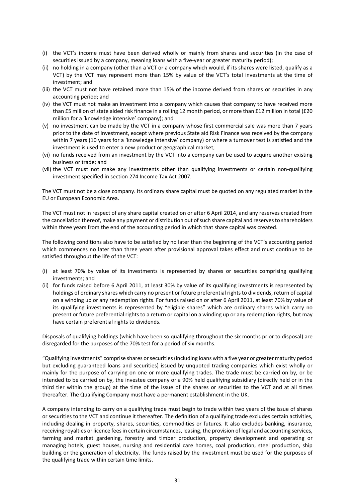- (i) the VCT's income must have been derived wholly or mainly from shares and securities (in the case of securities issued by a company, meaning loans with a five-year or greater maturity period);
- (ii) no holding in a company (other than a VCT or a company which would, if its shares were listed, qualify as a VCT) by the VCT may represent more than 15% by value of the VCT's total investments at the time of investment; and
- (iii) the VCT must not have retained more than 15% of the income derived from shares or securities in any accounting period; and
- (iv) the VCT must not make an investment into a company which causes that company to have received more than £5 million of state aided risk finance in a rolling 12 month period, or more than £12 million in total (£20 million for a 'knowledge intensive' company); and
- (v) no investment can be made by the VCT in a company whose first commercial sale was more than 7 years prior to the date of investment, except where previous State aid Risk Finance was received by the company within 7 years (10 years for a 'knowledge intensive' company) or where a turnover test is satisfied and the investment is used to enter a new product or geographical market;
- (vi) no funds received from an investment by the VCT into a company can be used to acquire another existing business or trade; and
- (vii) the VCT must not make any investments other than qualifying investments or certain non‐qualifying investment specified in section 274 Income Tax Act 2007.

The VCT must not be a close company. Its ordinary share capital must be quoted on any regulated market in the EU or European Economic Area.

The VCT must not in respect of any share capital created on or after 6 April 2014, and any reserves created from the cancellation thereof, make any payment or distribution out of such share capital and reserves to shareholders within three years from the end of the accounting period in which that share capital was created.

The following conditions also have to be satisfied by no later than the beginning of the VCT's accounting period which commences no later than three years after provisional approval takes effect and must continue to be satisfied throughout the life of the VCT:

- (i) at least 70% by value of its investments is represented by shares or securities comprising qualifying investments; and
- (ii) for funds raised before 6 April 2011, at least 30% by value of its qualifying investments is represented by holdings of ordinary shares which carry no present or future preferential rights to dividends, return of capital on a winding up or any redemption rights. For funds raised on or after 6 April 2011, at least 70% by value of its qualifying investments is represented by "eligible shares" which are ordinary shares which carry no present or future preferential rights to a return or capital on a winding up or any redemption rights, but may have certain preferential rights to dividends.

Disposals of qualifying holdings (which have been so qualifying throughout the six months prior to disposal) are disregarded for the purposes of the 70% test for a period of six months.

"Qualifying investments" comprise shares or securities (including loans with a five year or greater maturity period but excluding guaranteed loans and securities) issued by unquoted trading companies which exist wholly or mainly for the purpose of carrying on one or more qualifying trades. The trade must be carried on by, or be intended to be carried on by, the investee company or a 90% held qualifying subsidiary (directly held or in the third tier within the group) at the time of the issue of the shares or securities to the VCT and at all times thereafter. The Qualifying Company must have a permanent establishment in the UK.

A company intending to carry on a qualifying trade must begin to trade within two years of the issue of shares or securities to the VCT and continue it thereafter. The definition of a qualifying trade excludes certain activities, including dealing in property, shares, securities, commodities or futures. It also excludes banking, insurance, receiving royalties or licence fees in certain circumstances, leasing, the provision of legal and accounting services, farming and market gardening, forestry and timber production, property development and operating or managing hotels, guest houses, nursing and residential care homes, coal production, steel production, ship building or the generation of electricity. The funds raised by the investment must be used for the purposes of the qualifying trade within certain time limits.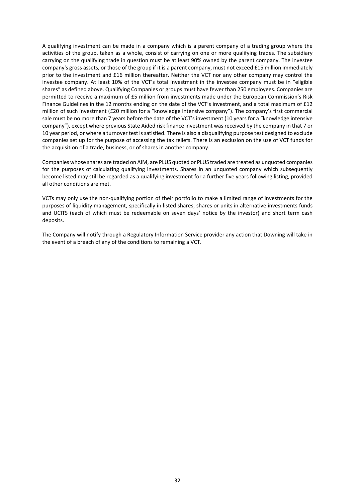A qualifying investment can be made in a company which is a parent company of a trading group where the activities of the group, taken as a whole, consist of carrying on one or more qualifying trades. The subsidiary carrying on the qualifying trade in question must be at least 90% owned by the parent company. The investee company's gross assets, or those of the group if it is a parent company, must not exceed £15 million immediately prior to the investment and £16 million thereafter. Neither the VCT nor any other company may control the investee company. At least 10% of the VCT's total investment in the investee company must be in "eligible shares" as defined above. Qualifying Companies or groups must have fewer than 250 employees. Companies are permitted to receive a maximum of £5 million from investments made under the European Commission's Risk Finance Guidelines in the 12 months ending on the date of the VCT's investment, and a total maximum of £12 million of such investment (£20 million for a "knowledge intensive company"). The company's first commercial sale must be no more than 7 years before the date of the VCT's investment (10 years for a "knowledge intensive company"), except where previous State Aided risk finance investment was received by the company in that 7 or 10 year period, or where a turnover test is satisfied. There is also a disqualifying purpose test designed to exclude companies set up for the purpose of accessing the tax reliefs. There is an exclusion on the use of VCT funds for the acquisition of a trade, business, or of shares in another company.

Companies whose shares are traded on AIM, are PLUS quoted or PLUS traded are treated as unquoted companies for the purposes of calculating qualifying investments. Shares in an unquoted company which subsequently become listed may still be regarded as a qualifying investment for a further five years following listing, provided all other conditions are met.

VCTs may only use the non‐qualifying portion of their portfolio to make a limited range of investments for the purposes of liquidity management, specifically in listed shares, shares or units in alternative investments funds and UCITS (each of which must be redeemable on seven days' notice by the investor) and short term cash deposits.

The Company will notify through a Regulatory Information Service provider any action that Downing will take in the event of a breach of any of the conditions to remaining a VCT.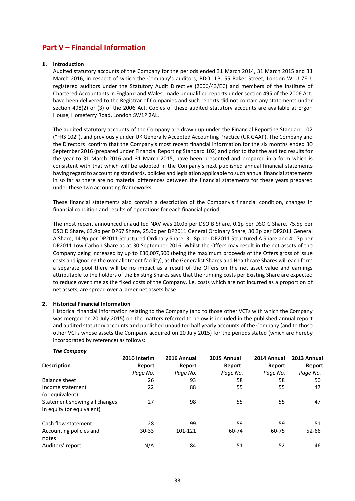## **Part V – Financial Information**

### **1. Introduction**

Audited statutory accounts of the Company for the periods ended 31 March 2014, 31 March 2015 and 31 March 2016, in respect of which the Company's auditors, BDO LLP, 55 Baker Street, London W1U 7EU, registered auditors under the Statutory Audit Directive (2006/43/EC) and members of the Institute of Chartered Accountants in England and Wales, made unqualified reports under section 495 of the 2006 Act, have been delivered to the Registrar of Companies and such reports did not contain any statements under section 498(2) or (3) of the 2006 Act. Copies of these audited statutory accounts are available at Ergon House, Horseferry Road, London SW1P 2AL.

The audited statutory accounts of the Company are drawn up under the Financial Reporting Standard 102 ("FRS 102"), and previously under UK Generally Accepted Accounting Practice (UK GAAP). The Company and the Directors confirm that the Company's most recent financial information for the six months ended 30 September 2016 (prepared under Financial Reporting Standard 102) and prior to that the audited results for the year to 31 March 2016 and 31 March 2015, have been presented and prepared in a form which is consistent with that which will be adopted in the Company's next published annual financial statements having regard to accounting standards, policies and legislation applicable to such annual financial statements in so far as there are no material differences between the financial statements for these years prepared under these two accounting frameworks.

These financial statements also contain a description of the Company's financial condition, changes in financial condition and results of operations for each financial period.

The most recent announced unaudited NAV was 20.0p per DSO B Share, 0.1p per DSO C Share, 75.5p per DSO D Share, 63.9p per DP67 Share, 25.0p per DP2011 General Ordinary Share, 30.3p per DP2011 General A Share, 14.9p per DP2011 Structured Ordinary Share, 31.8p per DP2011 Structured A Share and 41.7p per DP2011 Low Carbon Share as at 30 September 2016. Whilst the Offers may result in the net assets of the Company being increased by up to £30,007,500 (being the maximum proceeds of the Offers gross of issue costs and ignoring the over allotment facility), as the Generalist Shares and Healthcare Shares will each form a separate pool there will be no impact as a result of the Offers on the net asset value and earnings attributable to the holders of the Existing Shares save that the running costs per Existing Share are expected to reduce over time as the fixed costs of the Company, i.e. costs which are not incurred as a proportion of net assets, are spread over a larger net assets base.

### **2. Historical Financial Information**

Historical financial information relating to the Company (and to those other VCTs with which the Company was merged on 20 July 2015) on the matters referred to below is included in the published annual report and audited statutory accounts and published unaudited half yearly accounts of the Company (and to those other VCTs whose assets the Company acquired on 20 July 2015) for the periods stated (which are hereby incorporated by reference) as follows:

### *The Company*

|                               | 2016 Interim | 2016 Annual | 2015 Annual | 2014 Annual | 2013 Annual |  |
|-------------------------------|--------------|-------------|-------------|-------------|-------------|--|
| <b>Description</b>            | Report       | Report      | Report      | Report      | Report      |  |
|                               | Page No.     | Page No.    | Page No.    | Page No.    | Page No.    |  |
| Balance sheet                 | 26           | 93          | 58          | 58          | 50          |  |
| Income statement              | 22           | 88          | 55          | 55          | 47          |  |
| (or equivalent)               |              |             |             |             |             |  |
| Statement showing all changes | 27           | 98          | 55          | 55          | 47          |  |
| in equity (or equivalent)     |              |             |             |             |             |  |
| Cash flow statement           | 28           | 99          | 59          | 59          | 51          |  |
| Accounting policies and       | $30 - 33$    | 101-121     | 60-74       | 60-75       | 52-66       |  |
| notes                         |              |             |             |             |             |  |
| Auditors' report              | N/A          | 84          | 51          | 52          | 46          |  |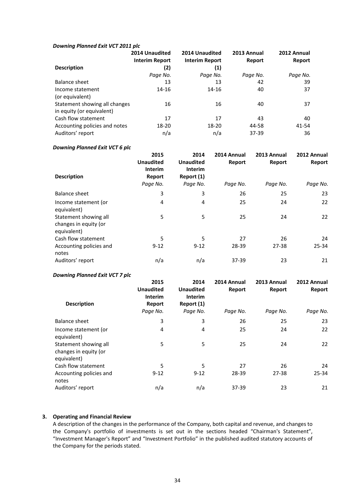#### *Downing Planned Exit VCT 2011 plc*

|                               | 2014 Unaudited<br><b>Interim Report</b> | 2014 Unaudited<br><b>Interim Report</b> | 2013 Annual<br>Report | 2012 Annual<br>Report |
|-------------------------------|-----------------------------------------|-----------------------------------------|-----------------------|-----------------------|
| <b>Description</b>            | (2)                                     | (1)                                     |                       |                       |
|                               | Page No.                                | Page No.                                | Page No.              | Page No.              |
| Balance sheet                 | 13                                      | 13                                      | 42                    | 39                    |
| Income statement              | 14-16                                   | 14-16                                   | 40                    | 37                    |
| (or equivalent)               |                                         |                                         |                       |                       |
| Statement showing all changes | 16                                      | 16                                      | 40                    | 37                    |
| in equity (or equivalent)     |                                         |                                         |                       |                       |
| Cash flow statement           | 17                                      | 17                                      | 43                    | 40                    |
| Accounting policies and notes | 18-20                                   | 18-20                                   | 44-58                 | 41-54                 |
| Auditors' report              | n/a                                     | n/a                                     | 37-39                 | 36                    |

# *Downing Planned Exit VCT 6 plc*

| <b>Description</b>                                            | 2015<br><b>Unaudited</b><br><b>Interim</b><br>Report<br>Page No. | 2014<br><b>Unaudited</b><br><b>Interim</b><br>Report (1)<br>Page No. | 2014 Annual<br>Report<br>Page No. | 2013 Annual<br>Report<br>Page No. | 2012 Annual<br>Report<br>Page No. |
|---------------------------------------------------------------|------------------------------------------------------------------|----------------------------------------------------------------------|-----------------------------------|-----------------------------------|-----------------------------------|
|                                                               |                                                                  |                                                                      |                                   |                                   |                                   |
| <b>Balance sheet</b>                                          | 3                                                                | 3                                                                    | 26                                | 25                                | 23                                |
| Income statement (or<br>equivalent)                           | 4                                                                | 4                                                                    | 25                                | 24                                | 22                                |
| Statement showing all<br>changes in equity (or<br>equivalent) | 5                                                                | 5                                                                    | 25                                | 24                                | 22                                |
| Cash flow statement                                           | 5                                                                | 5                                                                    | 27                                | 26                                | 24                                |
| Accounting policies and<br>notes                              | $9 - 12$                                                         | $9 - 12$                                                             | 28-39                             | $27 - 38$                         | 25-34                             |
| Auditors' report                                              | n/a                                                              | n/a                                                                  | 37-39                             | 23                                | 21                                |

# **Downing Planned Exit VCT 7 plc**

| <b>Description</b>                                            | 2015<br><b>Unaudited</b><br><b>Interim</b><br>Report<br>Page No. | 2014<br><b>Unaudited</b><br><b>Interim</b><br>Report (1)<br>Page No. | 2014 Annual<br>Report<br>Page No. | 2013 Annual<br>Report<br>Page No. | 2012 Annual<br>Report<br>Page No. |
|---------------------------------------------------------------|------------------------------------------------------------------|----------------------------------------------------------------------|-----------------------------------|-----------------------------------|-----------------------------------|
|                                                               |                                                                  |                                                                      |                                   |                                   |                                   |
| Balance sheet                                                 | 3                                                                | 3                                                                    | 26                                | 25                                | 23                                |
| Income statement (or<br>equivalent)                           | 4                                                                | 4                                                                    | 25                                | 24                                | 22                                |
| Statement showing all<br>changes in equity (or<br>equivalent) | 5                                                                | 5                                                                    | 25                                | 24                                | 22                                |
| Cash flow statement                                           | 5                                                                | 5                                                                    | 27                                | 26                                | 24                                |
| Accounting policies and<br>notes                              | $9 - 12$                                                         | $9 - 12$                                                             | 28-39                             | $27 - 38$                         | $25 - 34$                         |
| Auditors' report                                              | n/a                                                              | n/a                                                                  | $37 - 39$                         | 23                                | 21                                |

# **3. Operating and Financial Review**

A description of the changes in the performance of the Company, both capital and revenue, and changes to the Company's portfolio of investments is set out in the sections headed "Chairman's Statement", "Investment Manager's Report" and "Investment Portfolio" in the published audited statutory accounts of the Company for the periods stated.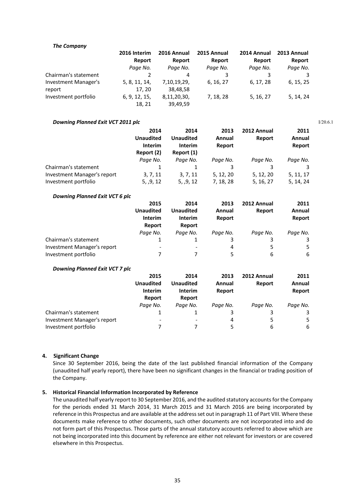#### *The Company*

|                             | 2016 Interim  | 2016 Annual | 2015 Annual | 2014 Annual | 2013 Annual |
|-----------------------------|---------------|-------------|-------------|-------------|-------------|
|                             | Report        | Report      | Report      | Report      | Report      |
|                             | Page No.      | Page No.    | Page No.    | Page No.    | Page No.    |
| Chairman's statement        |               | 4           |             |             | 3           |
| <b>Investment Manager's</b> | 5, 8, 11, 14, | 7,10,19,29, | 6, 16, 27   | 6, 17, 28   | 6, 15, 25   |
| report                      | 17.20         | 38,48,58    |             |             |             |
| Investment portfolio        | 6, 9, 12, 15, | 8,11,20,30, | 7, 18, 28   | 5, 16, 27   | 5, 14, 24   |
|                             | 18, 21        | 39,49,59    |             |             |             |

#### **Downing Planned Exit VCT 2011 plc**

|                                                     | 2014<br><b>Unaudited</b><br><b>Interim</b><br>Report (2) | 2014<br><b>Unaudited</b><br><b>Interim</b><br>Report (1) | 2013<br>Annual<br>Report | 2012 Annual<br>Report  | 2011<br>Annual<br>Report |
|-----------------------------------------------------|----------------------------------------------------------|----------------------------------------------------------|--------------------------|------------------------|--------------------------|
|                                                     | Page No.                                                 | Page No.                                                 | Page No.                 | Page No.               | Page No.                 |
| Chairman's statement                                |                                                          |                                                          |                          |                        |                          |
| Investment Manager's report<br>Investment portfolio | 3, 7, 11<br>5, 0, 12                                     | 3, 7, 11<br>5, 0, 12                                     | 5, 12, 20<br>7, 18, 28   | 5, 12, 20<br>5, 16, 27 | 5, 11, 17<br>5, 14, 24   |

#### *Downing Planned Exit VCT 6 plc*

|                             | 2015                     | 2014           | 2013     | 2012 Annual | 2011     |
|-----------------------------|--------------------------|----------------|----------|-------------|----------|
|                             | <b>Unaudited</b>         | Unaudited      | Annual   | Report      | Annual   |
|                             | <b>Interim</b>           | <b>Interim</b> | Report   |             | Report   |
|                             | Report                   | Report         |          |             |          |
|                             | Page No.                 | Paae No.       | Page No. | Paae No.    | Page No. |
| Chairman's statement        |                          |                |          | 3           | 3        |
| Investment Manager's report | $\overline{\phantom{a}}$ | ٠              | 4        | 5           | 5.       |
| Investment portfolio        |                          |                | 5        | 6           | 6        |

#### *Downing Planned Exit VCT 7 plc*

|                             | 2015             | 2014                     | 2013     | 2012 Annual | 2011     |
|-----------------------------|------------------|--------------------------|----------|-------------|----------|
|                             | <b>Unaudited</b> | <b>Unaudited</b>         | Annual   | Report      | Annual   |
|                             | Interim          | <b>Interim</b>           | Report   |             | Report   |
|                             | Report           | Report                   |          |             |          |
|                             | Page No.         | Paae No.                 | Page No. | Page No.    | Page No. |
| Chairman's statement        |                  |                          | 3        | 3           | 3        |
| Investment Manager's report | -                | $\overline{\phantom{a}}$ | 4        | 5           | 5.       |
| Investment portfolio        |                  |                          | 5        | 6           | 6        |

#### **4. Significant Change**

Since 30 September 2016, being the date of the last published financial information of the Company (unaudited half yearly report), there have been no significant changes in the financial or trading position of the Company.

#### **5. Historical Financial Information Incorporated by Reference**

The unaudited half yearly report to 30 September 2016, and the audited statutory accounts for the Company for the periods ended 31 March 2014, 31 March 2015 and 31 March 2016 are being incorporated by reference in this Prospectus and are available at the address set out in paragraph 11 of Part VIII. Where these documents make reference to other documents, such other documents are not incorporated into and do not form part of this Prospectus. Those parts of the annual statutory accounts referred to above which are not being incorporated into this document by reference are either not relevant for investors or are covered elsewhere in this Prospectus.

I/20.6.1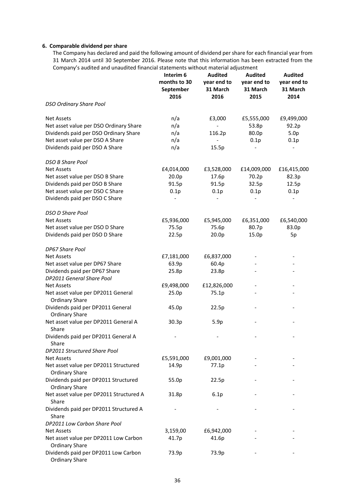# **6. Comparable dividend per share**

The Company has declared and paid the following amount of dividend per share for each financial year from 31 March 2014 until 30 September 2016. Please note that this information has been extracted from the Company's audited and unaudited financial statements without material adjustment

|                                                               | Interim 6<br>months to 30<br>September<br>2016 | <b>Audited</b><br>year end to<br>31 March<br>2016 | <b>Audited</b><br>year end to<br>31 March<br>2015 | <b>Audited</b><br>year end to<br>31 March<br>2014 |
|---------------------------------------------------------------|------------------------------------------------|---------------------------------------------------|---------------------------------------------------|---------------------------------------------------|
| <b>DSO Ordinary Share Pool</b>                                |                                                |                                                   |                                                   |                                                   |
| <b>Net Assets</b>                                             | n/a                                            | £3,000                                            | £5,555,000                                        | £9,499,000                                        |
| Net asset value per DSO Ordinary Share                        | n/a                                            |                                                   | 53.8p                                             | 92.2p                                             |
| Dividends paid per DSO Ordinary Share                         | n/a                                            | 116.2p                                            | 80.0p                                             | 5.0 <sub>p</sub>                                  |
| Net asset value per DSO A Share                               | n/a                                            |                                                   | 0.1p                                              | 0.1p                                              |
| Dividends paid per DSO A Share                                | n/a                                            | 15.5p                                             |                                                   |                                                   |
| <b>DSO B Share Pool</b>                                       |                                                |                                                   |                                                   |                                                   |
| <b>Net Assets</b>                                             | £4,014,000                                     | £3,528,000                                        | £14,009,000                                       | £16,415,000                                       |
| Net asset value per DSO B Share                               | 20.0p                                          | 17.6p                                             | 70.2p                                             | 82.3p                                             |
| Dividends paid per DSO B Share                                | 91.5p                                          | 91.5p                                             | 32.5p                                             | 12.5p                                             |
| Net asset value per DSO C Share                               | 0.1p                                           | 0.1p                                              | 0.1p                                              | 0.1p                                              |
| Dividends paid per DSO C Share                                |                                                |                                                   |                                                   |                                                   |
| <b>DSO D Share Pool</b>                                       |                                                |                                                   |                                                   |                                                   |
| <b>Net Assets</b>                                             | £5,936,000                                     | £5,945,000                                        | £6,351,000                                        | £6,540,000                                        |
| Net asset value per DSO D Share                               | 75.5p                                          | 75.6p                                             | 80.7p                                             | 83.0p                                             |
| Dividends paid per DSO D Share                                | 22.5p                                          | 20.0p                                             | 15.0p                                             | 5p                                                |
| DP67 Share Pool                                               |                                                |                                                   |                                                   |                                                   |
| <b>Net Assets</b>                                             | £7,181,000                                     | £6,837,000                                        |                                                   |                                                   |
| Net asset value per DP67 Share                                | 63.9p                                          | 60.4p                                             |                                                   |                                                   |
| Dividends paid per DP67 Share<br>DP2011 General Share Pool    | 25.8p                                          | 23.8p                                             |                                                   |                                                   |
| <b>Net Assets</b>                                             | £9,498,000                                     | £12,826,000                                       |                                                   |                                                   |
| Net asset value per DP2011 General<br><b>Ordinary Share</b>   | 25.0p                                          | 75.1p                                             |                                                   |                                                   |
| Dividends paid per DP2011 General                             | 45.0p                                          | 22.5p                                             |                                                   |                                                   |
| <b>Ordinary Share</b>                                         |                                                |                                                   |                                                   |                                                   |
| Net asset value per DP2011 General A<br>Share                 | 30.3p                                          | 5.9p                                              |                                                   |                                                   |
| Dividends paid per DP2011 General A<br>Share                  |                                                |                                                   |                                                   |                                                   |
| DP2011 Structured Share Pool                                  |                                                |                                                   |                                                   |                                                   |
| <b>Net Assets</b>                                             | £5,591,000                                     | £9,001,000                                        |                                                   |                                                   |
| Net asset value per DP2011 Structured                         | 14.9p                                          | 77.1p                                             |                                                   |                                                   |
| <b>Ordinary Share</b>                                         |                                                |                                                   |                                                   |                                                   |
| Dividends paid per DP2011 Structured<br><b>Ordinary Share</b> | 55.0p                                          | 22.5p                                             |                                                   |                                                   |
| Net asset value per DP2011 Structured A<br>Share              | 31.8p                                          | 6.1p                                              |                                                   |                                                   |
| Dividends paid per DP2011 Structured A<br>Share               |                                                |                                                   |                                                   |                                                   |
| DP2011 Low Carbon Share Pool                                  |                                                |                                                   |                                                   |                                                   |
| <b>Net Assets</b>                                             | 3,159,00                                       | £6,942,000                                        |                                                   |                                                   |
| Net asset value per DP2011 Low Carbon                         | 41.7p                                          | 41.6p                                             |                                                   |                                                   |
| <b>Ordinary Share</b>                                         |                                                |                                                   |                                                   |                                                   |
| Dividends paid per DP2011 Low Carbon<br><b>Ordinary Share</b> | 73.9p                                          | 73.9p                                             |                                                   |                                                   |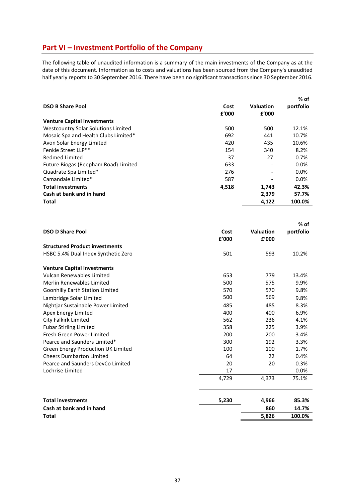# **Part VI – Investment Portfolio of the Company**

The following table of unaudited information is a summary of the main investments of the Company as at the date of this document. Information as to costs and valuations has been sourced from the Company's unaudited half yearly reports to 30 September 2016. There have been no significant transactions since 30 September 2016.

| <b>DSO B Share Pool</b>              | Cost<br>f'000 | <b>Valuation</b><br>f'000 | % of<br>portfolio |
|--------------------------------------|---------------|---------------------------|-------------------|
| <b>Venture Capital investments</b>   |               |                           |                   |
| Westcountry Solar Solutions Limited  | 500           | 500                       | 12.1%             |
| Mosaic Spa and Health Clubs Limited* | 692           | 441                       | 10.7%             |
| Avon Solar Energy Limited            | 420           | 435                       | 10.6%             |
| Fenkle Street LLP**                  | 154           | 340                       | 8.2%              |
| <b>Redmed Limited</b>                | 37            | 27                        | 0.7%              |
| Future Biogas (Reepham Road) Limited | 633           |                           | 0.0%              |
| Quadrate Spa Limited*                | 276           |                           | 0.0%              |
| Camandale Limited*                   | 587           | $\overline{\phantom{0}}$  | $0.0\%$           |
| <b>Total investments</b>             | 4,518         | 1,743                     | 42.3%             |
| Cash at bank and in hand             |               | 2,379                     | 57.7%             |
| Total                                |               | 4,122                     | 100.0%            |

|                                        |               |                           | $%$ of    |
|----------------------------------------|---------------|---------------------------|-----------|
| <b>DSO D Share Pool</b>                | Cost<br>f'000 | <b>Valuation</b><br>£'000 | portfolio |
| <b>Structured Product investments</b>  |               |                           |           |
| HSBC 5.4% Dual Index Synthetic Zero    | 501           | 593                       | 10.2%     |
| <b>Venture Capital investments</b>     |               |                           |           |
| Vulcan Renewables Limited              | 653           | 779                       | 13.4%     |
| <b>Merlin Renewables Limited</b>       | 500           | 575                       | 9.9%      |
| <b>Goonhilly Earth Station Limited</b> | 570           | 570                       | 9.8%      |
| Lambridge Solar Limited                | 500           | 569                       | 9.8%      |
| Nightjar Sustainable Power Limited     | 485           | 485                       | 8.3%      |
| Apex Energy Limited                    | 400           | 400                       | 6.9%      |
| City Falkirk Limited                   | 562           | 236                       | 4.1%      |
| <b>Fubar Stirling Limited</b>          | 358           | 225                       | 3.9%      |
| Fresh Green Power Limited              | 200           | 200                       | 3.4%      |
| Pearce and Saunders Limited*           | 300           | 192                       | 3.3%      |
| Green Energy Production UK Limited     | 100           | 100                       | 1.7%      |
| <b>Cheers Dumbarton Limited</b>        | 64            | 22                        | 0.4%      |
| Pearce and Saunders DevCo Limited      | 20            | 20                        | 0.3%      |
| Lochrise Limited                       | 17            |                           | 0.0%      |
|                                        | 4,729         | 4,373                     | 75.1%     |
| <b>Total investments</b>               | 5,230         | 4,966                     | 85.3%     |
| Cash at bank and in hand               |               | 860                       | 14.7%     |
| <b>Total</b>                           |               | 5,826                     | 100.0%    |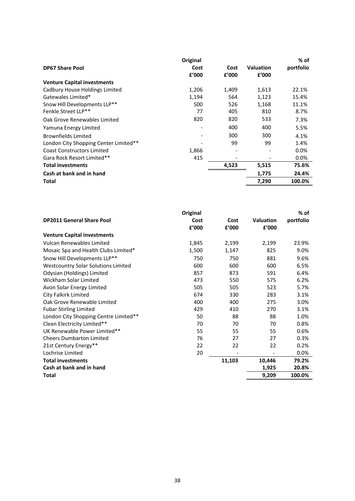|                                       | Original |       |                  | % of      |
|---------------------------------------|----------|-------|------------------|-----------|
| <b>DP67 Share Pool</b>                | Cost     | Cost  | <b>Valuation</b> | portfolio |
|                                       | £'000    | f'000 | £'000            |           |
| <b>Venture Capital investments</b>    |          |       |                  |           |
| Cadbury House Holdings Limited        | 1,206    | 1,409 | 1,613            | 22.1%     |
| Gatewales Limited*                    | 1,194    | 564   | 1,123            | 15.4%     |
| Snow Hill Developments LLP**          | 500      | 526   | 1,168            | 11.1%     |
| Fenkle Street LLP**                   | 77       | 405   | 810              | 8.7%      |
| Oak Grove Renewables Limited          | 820      | 820   | 533              | 7.3%      |
| Yamuna Energy Limited                 |          | 400   | 400              | 5.5%      |
| <b>Brownfields Limited</b>            |          | 300   | 300              | 4.1%      |
| London City Shopping Center Limited** |          | 99    | 99               | 1.4%      |
| <b>Coast Constructors Limited</b>     | 1,866    |       |                  | $0.0\%$   |
| Gara Rock Resort Limited**            | 415      |       |                  | $0.0\%$   |
| <b>Total investments</b>              |          | 4,523 | 5,515            | 75.6%     |
| Cash at bank and in hand              |          |       | 1,775            | 24.4%     |
| Total                                 |          |       | 7,290            | 100.0%    |

| Original |        |                          | % of      |
|----------|--------|--------------------------|-----------|
| Cost     | Cost   | <b>Valuation</b>         | portfolio |
| £'000    | £'000  | £'000                    |           |
|          |        |                          |           |
| 1,845    | 2,199  | 2,199                    | 23.9%     |
| 1,500    | 1,147  | 825                      | 9.0%      |
| 750      | 750    | 881                      | 9.6%      |
| 600      | 600    | 600                      | 6.5%      |
| 857      | 873    | 591                      | 6.4%      |
| 473      | 550    | 575                      | 6.2%      |
| 505      | 505    | 523                      | 5.7%      |
| 674      | 330    | 283                      | 3.1%      |
| 400      | 400    | 275                      | 3.0%      |
| 429      | 410    | 270                      | 3.1%      |
| 50       | 88     | 88                       | 1.0%      |
| 70       | 70     | 70                       | 0.8%      |
| 55       | 55     | 55                       | 0.6%      |
| 76       | 27     | 27                       | 0.3%      |
| 22       | 22     | 22                       | 0.2%      |
| 20       |        | $\overline{\phantom{a}}$ | $0.0\%$   |
|          | 11,103 | 10,446                   | 79.2%     |
|          |        | 1,925                    | 20.8%     |
|          |        | 9,209                    | 100.0%    |
|          |        |                          |           |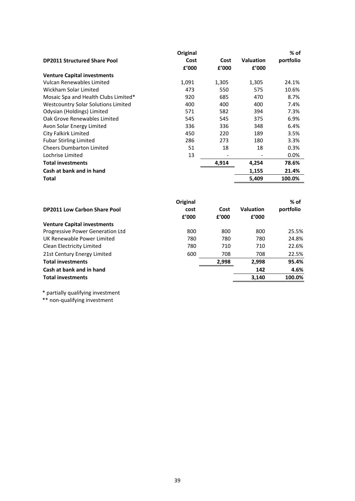|                                            | Original |       |                  | % of      |
|--------------------------------------------|----------|-------|------------------|-----------|
| <b>DP2011 Structured Share Pool</b>        | Cost     | Cost  | <b>Valuation</b> | portfolio |
|                                            | f'000    | f'000 | f'000            |           |
| <b>Venture Capital investments</b>         |          |       |                  |           |
| Vulcan Renewables Limited                  | 1,091    | 1,305 | 1,305            | 24.1%     |
| Wickham Solar Limited                      | 473      | 550   | 575              | 10.6%     |
| Mosaic Spa and Health Clubs Limited*       | 920      | 685   | 470              | 8.7%      |
| <b>Westcountry Solar Solutions Limited</b> | 400      | 400   | 400              | 7.4%      |
| Odysian (Holdings) Limited                 | 571      | 582   | 394              | 7.3%      |
| Oak Grove Renewables Limited               | 545      | 545   | 375              | 6.9%      |
| Avon Solar Energy Limited                  | 336      | 336   | 348              | 6.4%      |
| City Falkirk Limited                       | 450      | 220   | 189              | 3.5%      |
| <b>Fubar Stirling Limited</b>              | 286      | 273   | 180              | 3.3%      |
| <b>Cheers Dumbarton Limited</b>            | 51       | 18    | 18               | 0.3%      |
| Lochrise Limited                           | 13       |       |                  | $0.0\%$   |
| <b>Total investments</b>                   |          | 4,914 | 4,254            | 78.6%     |
| Cash at bank and in hand                   |          |       | 1,155            | 21.4%     |
| Total                                      |          |       | 5,409            | 100.0%    |

|                                     | Original |       |                  | % of      |
|-------------------------------------|----------|-------|------------------|-----------|
| <b>DP2011 Low Carbon Share Pool</b> | cost     | Cost  | <b>Valuation</b> | portfolio |
|                                     | £'000    | f'000 | f'000            |           |
| <b>Venture Capital investments</b>  |          |       |                  |           |
| Progressive Power Generation Ltd    | 800      | 800   | 800              | 25.5%     |
| UK Renewable Power Limited          | 780      | 780   | 780              | 24.8%     |
| Clean Electricity Limited           | 780      | 710   | 710              | 22.6%     |
| 21st Century Energy Limited         | 600      | 708   | 708              | 22.5%     |
| <b>Total investments</b>            |          | 2,998 | 2,998            | 95.4%     |
| Cash at bank and in hand            |          |       | 142              | 4.6%      |
| <b>Total investments</b>            |          |       | 3,140            | 100.0%    |

\* partially qualifying investment

\*\* non‐qualifying investment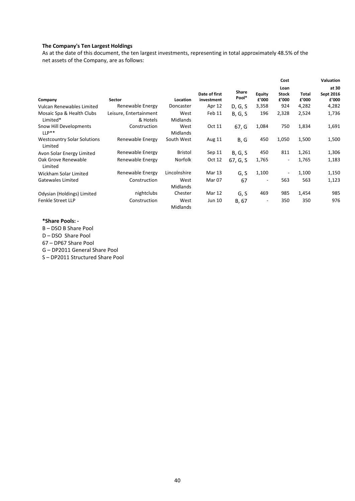# **The Company's Ten Largest Holdings**

As at the date of this document, the ten largest investments, representing in total approximately 48.5% of the net assets of the Company, are as follows:

|                                               |                                    |                  |                             |                |                          | Cost                          |                | Valuation                   |
|-----------------------------------------------|------------------------------------|------------------|-----------------------------|----------------|--------------------------|-------------------------------|----------------|-----------------------------|
| Company                                       | Sector                             | Location         | Date of first<br>investment | Share<br>Pool* | <b>Equity</b><br>£'000   | Loan<br><b>Stock</b><br>£'000 | Total<br>f'000 | at 30<br>Sept 2016<br>£'000 |
| Vulcan Renewables Limited                     | Renewable Energy                   | Doncaster        | Apr 12                      | D, G, S        | 3,358                    | 924                           | 4,282          | 4,282                       |
| Mosaic Spa & Health Clubs<br>Limited*         | Leisure, Entertainment<br>& Hotels | West<br>Midlands | Feb 11                      | B, G, S        | 196                      | 2,328                         | 2,524          | 1,736                       |
| Snow Hill Developments<br>$LLP**$             | Construction                       | West<br>Midlands | Oct 11                      | 67, G          | 1,084                    | 750                           | 1,834          | 1,691                       |
| <b>Westcountry Solar Solutions</b><br>Limited | Renewable Energy                   | South West       | Aug 11                      | B, G           | 450                      | 1,050                         | 1,500          | 1,500                       |
| Avon Solar Energy Limited                     | Renewable Energy                   | <b>Bristol</b>   | Sep 11                      | B, G, S        | 450                      | 811                           | 1,261          | 1,306                       |
| Oak Grove Renewable<br>Limited                | Renewable Energy                   | Norfolk          | Oct 12                      | 67, G, S       | 1,765                    | $\sim$                        | 1,765          | 1,183                       |
| Wickham Solar Limited                         | Renewable Energy                   | Lincolnshire     | Mar 13                      | G, S           | 1,100                    |                               | 1,100          | 1,150                       |
| Gatewales Limited                             | Construction                       | West<br>Midlands | Mar 07                      | 67             | $\overline{\phantom{a}}$ | 563                           | 563            | 1,123                       |
| Odysian (Holdings) Limited                    | nightclubs                         | Chester          | Mar 12                      | G, S           | 469                      | 985                           | 1,454          | 985                         |
| <b>Fenkle Street LLP</b>                      | Construction                       | West<br>Midlands | Jun 10                      | B, 67          | $\overline{\phantom{a}}$ | 350                           | 350            | 976                         |

#### **\*Share Pools: ‐**

B – DSO B Share Pool

D – DSO Share Pool

67 – DP67 Share Pool

G – DP2011 General Share Pool

S – DP2011 Structured Share Pool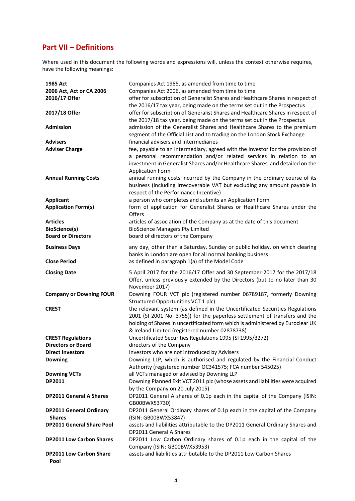# **Part VII – Definitions**

Where used in this document the following words and expressions will, unless the context otherwise requires, have the following meanings:

| 1985 Act<br>2006 Act, Act or CA 2006<br>2016/17 Offer                | Companies Act 1985, as amended from time to time<br>Companies Act 2006, as amended from time to time<br>offer for subscription of Generalist Shares and Healthcare Shares in respect of<br>the 2016/17 tax year, being made on the terms set out in the Prospectus                             |
|----------------------------------------------------------------------|------------------------------------------------------------------------------------------------------------------------------------------------------------------------------------------------------------------------------------------------------------------------------------------------|
| 2017/18 Offer<br><b>Admission</b>                                    | offer for subscription of Generalist Shares and Healthcare Shares in respect of<br>the 2017/18 tax year, being made on the terms set out in the Prospectus<br>admission of the Generalist Shares and Healthcare Shares to the premium                                                          |
| <b>Advisers</b>                                                      | segment of the Official List and to trading on the London Stock Exchange<br>financial advisers and Intermediaries                                                                                                                                                                              |
| <b>Adviser Charge</b>                                                | fee, payable to an Intermediary, agreed with the Investor for the provision of<br>a personal recommendation and/or related services in relation to an<br>investment in Generalist Shares and/or Healthcare Shares, and detailed on the<br><b>Application Form</b>                              |
| <b>Annual Running Costs</b>                                          | annual running costs incurred by the Company in the ordinary course of its<br>business (including irrecoverable VAT but excluding any amount payable in<br>respect of the Performance Incentive)                                                                                               |
| <b>Applicant</b><br><b>Application Form(s)</b>                       | a person who completes and submits an Application Form<br>form of application for Generalist Shares or Healthcare Shares under the<br>Offers                                                                                                                                                   |
| <b>Articles</b><br><b>BioScience(s)</b><br><b>Board or Directors</b> | articles of association of the Company as at the date of this document<br><b>BioScience Managers Pty Limited</b><br>board of directors of the Company                                                                                                                                          |
| <b>Business Days</b>                                                 | any day, other than a Saturday, Sunday or public holiday, on which clearing<br>banks in London are open for all normal banking business                                                                                                                                                        |
| <b>Close Period</b>                                                  | as defined in paragraph 1(a) of the Model Code                                                                                                                                                                                                                                                 |
| <b>Closing Date</b>                                                  | 5 April 2017 for the 2016/17 Offer and 30 September 2017 for the 2017/18<br>Offer, unless previously extended by the Directors (but to no later than 30<br>November 2017)                                                                                                                      |
| <b>Company or Downing FOUR</b>                                       | Downing FOUR VCT plc (registered number 06789187, formerly Downing<br>Structured Opportunities VCT 1 plc)                                                                                                                                                                                      |
| <b>CREST</b>                                                         | the relevant system (as defined in the Uncertificated Securities Regulations<br>2001 (SI 2001 No. 3755)) for the paperless settlement of transfers and the<br>holding of Shares in uncertificated form which is administered by Euroclear UK<br>& Ireland Limited (registered number 02878738) |
| <b>CREST Regulations</b>                                             | Uncertificated Securities Regulations 1995 (SI 1995/3272)                                                                                                                                                                                                                                      |
| <b>Directors or Board</b>                                            | directors of the Company                                                                                                                                                                                                                                                                       |
| <b>Direct Investors</b><br><b>Downing</b>                            | Investors who are not introduced by Advisers<br>Downing LLP, which is authorised and regulated by the Financial Conduct<br>Authority (registered number OC341575; FCA number 545025)                                                                                                           |
| <b>Downing VCTs</b><br>DP2011                                        | all VCTs managed or advised by Downing LLP<br>Downing Planned Exit VCT 2011 plc (whose assets and liabilities were acquired<br>by the Company on 20 July 2015)                                                                                                                                 |
| <b>DP2011 General A Shares</b>                                       | DP2011 General A shares of 0.1p each in the capital of the Company (ISIN:<br>GB00BWX53730)                                                                                                                                                                                                     |
| <b>DP2011 General Ordinary</b><br><b>Shares</b>                      | DP2011 General Ordinary shares of 0.1p each in the capital of the Company<br>(ISIN: GB00BWX53847)                                                                                                                                                                                              |
| <b>DP2011 General Share Pool</b>                                     | assets and liabilities attributable to the DP2011 General Ordinary Shares and<br>DP2011 General A Shares                                                                                                                                                                                       |
| <b>DP2011 Low Carbon Shares</b>                                      | DP2011 Low Carbon Ordinary shares of 0.1p each in the capital of the<br>Company (ISIN: GB00BWX53953)                                                                                                                                                                                           |
| <b>DP2011 Low Carbon Share</b><br>Pool                               | assets and liabilities attributable to the DP2011 Low Carbon Shares                                                                                                                                                                                                                            |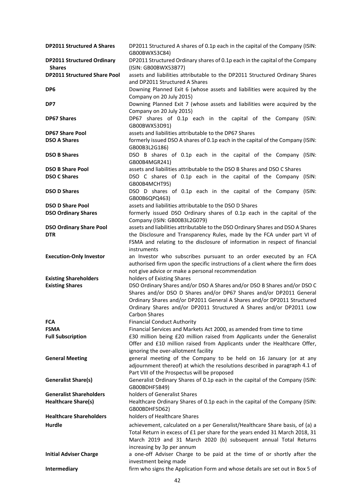| <b>DP2011 Structured A Shares</b>   | DP2011 Structured A shares of 0.1p each in the capital of the Company (ISIN:<br>GB00BWX53C84)                                                                                                                                                                  |
|-------------------------------------|----------------------------------------------------------------------------------------------------------------------------------------------------------------------------------------------------------------------------------------------------------------|
|                                     |                                                                                                                                                                                                                                                                |
| <b>DP2011 Structured Ordinary</b>   | DP2011 Structured Ordinary shares of 0.1p each in the capital of the Company                                                                                                                                                                                   |
| <b>Shares</b>                       | (ISIN: GB00BWX53B77)                                                                                                                                                                                                                                           |
| <b>DP2011 Structured Share Pool</b> | assets and liabilities attributable to the DP2011 Structured Ordinary Shares<br>and DP2011 Structured A Shares                                                                                                                                                 |
| DP <sub>6</sub>                     | Downing Planned Exit 6 (whose assets and liabilities were acquired by the<br>Company on 20 July 2015)                                                                                                                                                          |
| DP7                                 | Downing Planned Exit 7 (whose assets and liabilities were acquired by the<br>Company on 20 July 2015)                                                                                                                                                          |
| <b>DP67 Shares</b>                  | DP67 shares of 0.1p each in the capital of the Company (ISIN:<br>GB00BWX53D91)                                                                                                                                                                                 |
| <b>DP67 Share Pool</b>              | assets and liabilities attributable to the DP67 Shares                                                                                                                                                                                                         |
| <b>DSO A Shares</b>                 | formerly issued DSO A shares of 0.1p each in the capital of the Company (ISIN:<br>GB00B3L2G186)                                                                                                                                                                |
| <b>DSO B Shares</b>                 | DSO B shares of 0.1p each in the capital of the Company (ISIN:<br>GB00B4MGR241)                                                                                                                                                                                |
| <b>DSO B Share Pool</b>             | assets and liabilities attributable to the DSO B Shares and DSO C Shares                                                                                                                                                                                       |
| <b>DSO C Shares</b>                 | DSO C shares of 0.1p each in the capital of the Company (ISIN:<br>GB00B4MCHT95)                                                                                                                                                                                |
| <b>DSO D Shares</b>                 | DSO D shares of 0.1p each in the capital of the Company (ISIN:<br>GB00B6QPQ463)                                                                                                                                                                                |
| <b>DSO D Share Pool</b>             | assets and liabilities attributable to the DSO D Shares                                                                                                                                                                                                        |
| <b>DSO Ordinary Shares</b>          | formerly issued DSO Ordinary shares of 0.1p each in the capital of the                                                                                                                                                                                         |
|                                     | Company (ISIN: GB00B3L2G079)                                                                                                                                                                                                                                   |
| <b>DSO Ordinary Share Pool</b>      | assets and liabilities attributable to the DSO Ordinary Shares and DSO A Shares                                                                                                                                                                                |
| <b>DTR</b>                          | the Disclosure and Transparency Rules, made by the FCA under part VI of<br>FSMA and relating to the disclosure of information in respect of financial<br>instruments                                                                                           |
| <b>Execution-Only Investor</b>      | an Investor who subscribes pursuant to an order executed by an FCA<br>authorised firm upon the specific instructions of a client where the firm does<br>not give advice or make a personal recommendation                                                      |
| <b>Existing Shareholders</b>        | holders of Existing Shares                                                                                                                                                                                                                                     |
| <b>Existing Shares</b>              | DSO Ordinary Shares and/or DSO A Shares and/or DSO B Shares and/or DSO C                                                                                                                                                                                       |
|                                     | Shares and/or DSO D Shares and/or DP67 Shares and/or DP2011 General<br>Ordinary Shares and/or DP2011 General A Shares and/or DP2011 Structured<br>Ordinary Shares and/or DP2011 Structured A Shares and/or DP2011 Low<br><b>Carbon Shares</b>                  |
| <b>FCA</b>                          | <b>Financial Conduct Authority</b>                                                                                                                                                                                                                             |
| <b>FSMA</b>                         | Financial Services and Markets Act 2000, as amended from time to time                                                                                                                                                                                          |
| <b>Full Subscription</b>            | £30 million being £20 million raised from Applicants under the Generalist                                                                                                                                                                                      |
|                                     | Offer and £10 million raised from Applicants under the Healthcare Offer,<br>ignoring the over-allotment facility                                                                                                                                               |
| <b>General Meeting</b>              | general meeting of the Company to be held on 16 January (or at any                                                                                                                                                                                             |
|                                     | adjournment thereof) at which the resolutions described in paragraph 4.1 of<br>Part VIII of the Prospectus will be proposed                                                                                                                                    |
| <b>Generalist Share(s)</b>          | Generalist Ordinary Shares of 0.1p each in the capital of the Company (ISIN:<br>GB00BDHF5B49)                                                                                                                                                                  |
| <b>Generalist Shareholders</b>      | holders of Generalist Shares                                                                                                                                                                                                                                   |
| <b>Healthcare Share(s)</b>          | Healthcare Ordinary Shares of 0.1p each in the capital of the Company (ISIN:<br>GB00BDHF5D62)                                                                                                                                                                  |
| <b>Healthcare Shareholders</b>      | holders of Healthcare Shares                                                                                                                                                                                                                                   |
| Hurdle                              | achievement, calculated on a per Generalist/Healthcare Share basis, of (a) a<br>Total Return in excess of £1 per share for the years ended 31 March 2018, 31<br>March 2019 and 31 March 2020 (b) subsequent annual Total Returns<br>increasing by 3p per annum |
| <b>Initial Adviser Charge</b>       | a one-off Adviser Charge to be paid at the time of or shortly after the<br>investment being made                                                                                                                                                               |
| Intermediary                        | firm who signs the Application Form and whose details are set out in Box 5 of                                                                                                                                                                                  |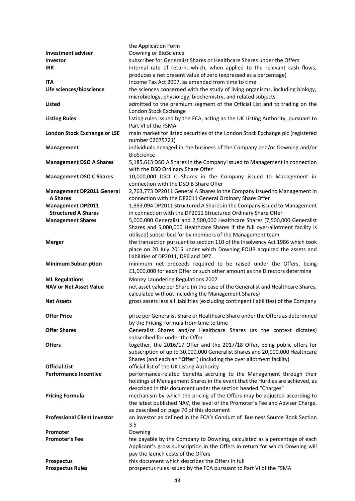| <b>Investment adviser</b><br><b>Investor</b>        | the Application Form<br>Downing or BioScience<br>subscriber for Generalist Shares or Healthcare Shares under the Offers                                     |
|-----------------------------------------------------|-------------------------------------------------------------------------------------------------------------------------------------------------------------|
| <b>IRR</b>                                          | internal rate of return, which, when applied to the relevant cash flows,<br>produces a net present value of zero (expressed as a percentage)                |
| <b>ITA</b>                                          | Income Tax Act 2007, as amended from time to time                                                                                                           |
| Life sciences/bioscience                            | the sciences concerned with the study of living organisms, including biology,                                                                               |
| Listed                                              | microbiology, physiology, biochemistry, and related subjects.<br>admitted to the premium segment of the Official List and to trading on the                 |
|                                                     | London Stock Exchange                                                                                                                                       |
| <b>Listing Rules</b>                                | listing rules issued by the FCA, acting as the UK Listing Authority, pursuant to<br>Part VI of the FSMA                                                     |
| <b>London Stock Exchange or LSE</b>                 | main market for listed securities of the London Stock Exchange plc (registered                                                                              |
|                                                     | number 02075721)                                                                                                                                            |
| <b>Management</b>                                   | individuals engaged in the business of the Company and/or Downing and/or                                                                                    |
| <b>Management DSO A Shares</b>                      | <b>BioScience</b><br>5,185,613 DSO A Shares in the Company issued to Management in connection                                                               |
|                                                     | with the DSO Ordinary Share Offer                                                                                                                           |
| <b>Management DSO C Shares</b>                      | 10,000,000 DSO C Shares in the Company issued to Management in                                                                                              |
|                                                     | connection with the DSO B Share Offer                                                                                                                       |
| <b>Management DP2011 General</b><br><b>A Shares</b> | 2,763,773 DP2011 General A Shares in the Company issued to Management in<br>connection with the DP2011 General Ordinary Share Offer                         |
| <b>Management DP2011</b>                            | 1,883,094 DP2011 Structured A Shares in the Company issued to Management                                                                                    |
| <b>Structured A Shares</b>                          | in connection with the DP2011 Structured Ordinary Share Offer                                                                                               |
| <b>Management Shares</b>                            | 5,000,000 Generalist and 2,500,000 Healthcare Shares (7,500,000 Generalist<br>Shares and 5,000,000 Healthcare Shares if the full over-allotment facility is |
|                                                     | utilised) subscribed for by members of the Management team                                                                                                  |
| <b>Merger</b>                                       | the transaction pursuant to section 110 of the Insolvency Act 1986 which took                                                                               |
|                                                     | place on 20 July 2015 under which Downing FOUR acquired the assets and                                                                                      |
|                                                     | liabilities of DP2011, DP6 and DP7                                                                                                                          |
| <b>Minimum Subscription</b>                         | minimum net proceeds required to be raised under the Offers, being<br>£1,000,000 for each Offer or such other amount as the Directors determine             |
| <b>ML Regulations</b>                               | Money Laundering Regulations 2007                                                                                                                           |
| <b>NAV or Net Asset Value</b>                       | net asset value per Share (in the case of the Generalist and Healthcare Shares,                                                                             |
| <b>Net Assets</b>                                   | calculated without including the Management Shares)<br>gross assets less all liabilities (excluding contingent liabilities) of the Company                  |
|                                                     |                                                                                                                                                             |
| <b>Offer Price</b>                                  | price per Generalist Share or Healthcare Share under the Offers as determined<br>by the Pricing Formula from time to time                                   |
| <b>Offer Shares</b>                                 | Generalist Shares and/or Healthcare Shares (as the context dictates)                                                                                        |
|                                                     | subscribed for under the Offer                                                                                                                              |
| <b>Offers</b>                                       | together, the 2016/17 Offer and the 2017/18 Offer, being public offers for                                                                                  |
|                                                     | subscription of up to 30,000,000 Generalist Shares and 20,000,000 Healthcare<br>Shares (and each an "Offer") (including the over allotment facility)        |
| <b>Official List</b>                                | official list of the UK Listing Authority                                                                                                                   |
| <b>Performance Incentive</b>                        | performance-related benefits accruing to the Management through their                                                                                       |
|                                                     | holdings of Management Shares in the event that the Hurdles are achieved, as                                                                                |
|                                                     | described in this document under the section headed "Charges"                                                                                               |
| <b>Pricing Formula</b>                              | mechanism by which the pricing of the Offers may be adjusted according to                                                                                   |
|                                                     | the latest published NAV, the level of the Promoter's Fee and Adviser Charge,                                                                               |
| <b>Professional Client Investor</b>                 | as described on page 70 of this document<br>an investor as defined in the FCA's Conduct of Business Source Book Section                                     |
|                                                     | 3.5                                                                                                                                                         |
| Promoter                                            | Downing                                                                                                                                                     |
| <b>Promoter's Fee</b>                               | fee payable by the Company to Downing, calculated as a percentage of each                                                                                   |
|                                                     | Applicant's gross subscription in the Offers in return for which Downing will                                                                               |
|                                                     | pay the launch costs of the Offers                                                                                                                          |
| <b>Prospectus</b>                                   | this document which describes the Offers in full                                                                                                            |
| <b>Prospectus Rules</b>                             | prospectus rules issued by the FCA pursuant to Part VI of the FSMA                                                                                          |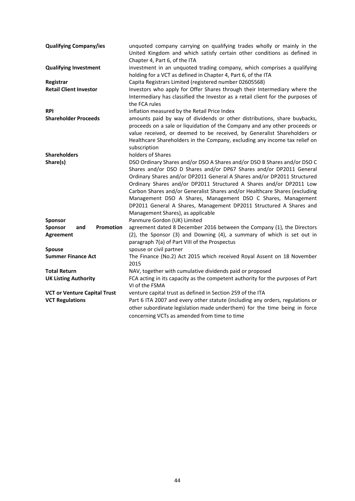| <b>Qualifying Company/ies</b>                   | unquoted company carrying on qualifying trades wholly or mainly in the<br>United Kingdom and which satisfy certain other conditions as defined in<br>Chapter 4, Part 6, of the ITA                                                                                                                                                                                                                                                                                                                                                                         |
|-------------------------------------------------|------------------------------------------------------------------------------------------------------------------------------------------------------------------------------------------------------------------------------------------------------------------------------------------------------------------------------------------------------------------------------------------------------------------------------------------------------------------------------------------------------------------------------------------------------------|
| <b>Qualifying Investment</b>                    | investment in an unquoted trading company, which comprises a qualifying<br>holding for a VCT as defined in Chapter 4, Part 6, of the ITA                                                                                                                                                                                                                                                                                                                                                                                                                   |
| Registrar                                       | Capita Registrars Limited (registered number 02605568)                                                                                                                                                                                                                                                                                                                                                                                                                                                                                                     |
| <b>Retail Client Investor</b>                   | Investors who apply for Offer Shares through their Intermediary where the<br>Intermediary has classified the Investor as a retail client for the purposes of<br>the FCA rules                                                                                                                                                                                                                                                                                                                                                                              |
| <b>RPI</b>                                      | inflation measured by the Retail Price Index                                                                                                                                                                                                                                                                                                                                                                                                                                                                                                               |
| <b>Shareholder Proceeds</b>                     | amounts paid by way of dividends or other distributions, share buybacks,<br>proceeds on a sale or liquidation of the Company and any other proceeds or<br>value received, or deemed to be received, by Generalist Shareholders or<br>Healthcare Shareholders in the Company, excluding any income tax relief on<br>subscription                                                                                                                                                                                                                            |
| <b>Shareholders</b>                             | holders of Shares                                                                                                                                                                                                                                                                                                                                                                                                                                                                                                                                          |
| Share(s)                                        | DSO Ordinary Shares and/or DSO A Shares and/or DSO B Shares and/or DSO C<br>Shares and/or DSO D Shares and/or DP67 Shares and/or DP2011 General<br>Ordinary Shares and/or DP2011 General A Shares and/or DP2011 Structured<br>Ordinary Shares and/or DP2011 Structured A Shares and/or DP2011 Low<br>Carbon Shares and/or Generalist Shares and/or Healthcare Shares (excluding<br>Management DSO A Shares, Management DSO C Shares, Management<br>DP2011 General A Shares, Management DP2011 Structured A Shares and<br>Management Shares), as applicable |
| <b>Sponsor</b>                                  | Panmure Gordon (UK) Limited                                                                                                                                                                                                                                                                                                                                                                                                                                                                                                                                |
| Promotion<br>Sponsor<br>and<br><b>Agreement</b> | agreement dated 8 December 2016 between the Company (1), the Directors<br>(2), the Sponsor (3) and Downing (4), a summary of which is set out in<br>paragraph 7(a) of Part VIII of the Prospectus                                                                                                                                                                                                                                                                                                                                                          |
| Spouse                                          | spouse or civil partner                                                                                                                                                                                                                                                                                                                                                                                                                                                                                                                                    |
| <b>Summer Finance Act</b>                       | The Finance (No.2) Act 2015 which received Royal Assent on 18 November<br>2015                                                                                                                                                                                                                                                                                                                                                                                                                                                                             |
| <b>Total Return</b>                             | NAV, together with cumulative dividends paid or proposed                                                                                                                                                                                                                                                                                                                                                                                                                                                                                                   |
| <b>UK Listing Authority</b>                     | FCA acting in its capacity as the competent authority for the purposes of Part<br>VI of the FSMA                                                                                                                                                                                                                                                                                                                                                                                                                                                           |
| <b>VCT or Venture Capital Trust</b>             | venture capital trust as defined in Section 259 of the ITA                                                                                                                                                                                                                                                                                                                                                                                                                                                                                                 |
| <b>VCT Regulations</b>                          | Part 6 ITA 2007 and every other statute (including any orders, regulations or<br>other subordinate legislation made underthem) for the time being in force<br>concerning VCTs as amended from time to time                                                                                                                                                                                                                                                                                                                                                 |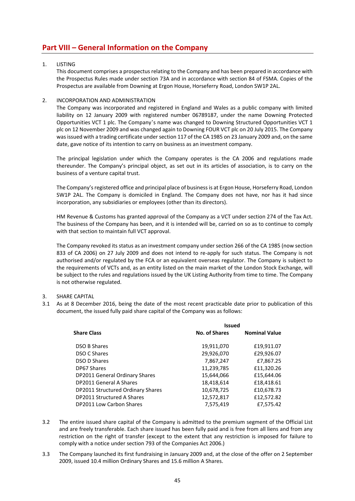# **Part VIII – General Information on the Company**

# 1. LISTING

This document comprises a prospectus relating to the Company and has been prepared in accordance with the Prospectus Rules made under section 73A and in accordance with section 84 of FSMA. Copies of the Prospectus are available from Downing at Ergon House, Horseferry Road, London SW1P 2AL.

# 2. INCORPORATION AND ADMINISTRATION

The Company was incorporated and registered in England and Wales as a public company with limited liability on 12 January 2009 with registered number 06789187, under the name Downing Protected Opportunities VCT 1 plc. The Company's name was changed to Downing Structured Opportunities VCT 1 plc on 12 November 2009 and was changed again to Downing FOUR VCT plc on 20 July 2015. The Company was issued with a trading certificate under section 117 of the CA 1985 on 23 January 2009 and, on the same date, gave notice of its intention to carry on business as an investment company.

The principal legislation under which the Company operates is the CA 2006 and regulations made thereunder. The Company's principal object, as set out in its articles of association, is to carry on the business of a venture capital trust.

The Company's registered office and principal place of business is at Ergon House, Horseferry Road, London SW1P 2AL. The Company is domiciled in England. The Company does not have, nor has it had since incorporation, any subsidiaries or employees (other than its directors).

HM Revenue & Customs has granted approval of the Company as a VCT under section 274 of the Tax Act. The business of the Company has been, and it is intended will be, carried on so as to continue to comply with that section to maintain full VCT approval.

The Company revoked its status as an investment company under section 266 of the CA 1985 (now section 833 of CA 2006) on 27 July 2009 and does not intend to re-apply for such status. The Company is not authorised and/or regulated by the FCA or an equivalent overseas regulator. The Company is subject to the requirements of VCTs and, as an entity listed on the main market of the London Stock Exchange, will be subject to the rules and regulations issued by the UK Listing Authority from time to time. The Company is not otherwise regulated.

# 3. SHARE CAPITAL

3.1 As at 8 December 2016, being the date of the most recent practicable date prior to publication of this document, the issued fully paid share capital of the Company was as follows:

|                                   | <b>Issued</b> |                      |
|-----------------------------------|---------------|----------------------|
| <b>Share Class</b>                | No. of Shares | <b>Nominal Value</b> |
| <b>DSO B Shares</b>               | 19,911,070    | £19,911.07           |
| DSO C Shares                      | 29,926,070    | £29,926.07           |
| DSO D Shares                      | 7,867,247     | £7,867.25            |
| DP67 Shares                       | 11,239,785    | £11,320.26           |
| DP2011 General Ordinary Shares    | 15,644,066    | £15,644.06           |
| DP2011 General A Shares           | 18,418,614    | £18,418.61           |
| DP2011 Structured Ordinary Shares | 10,678,725    | £10,678.73           |
| DP2011 Structured A Shares        | 12,572,817    | £12,572.82           |
| DP2011 Low Carbon Shares          | 7,575,419     | £7,575.42            |

- 3.2 The entire issued share capital of the Company is admitted to the premium segment of the Official List and are freely transferable. Each share issued has been fully paid and is free from all liens and from any restriction on the right of transfer (except to the extent that any restriction is imposed for failure to comply with a notice under section 793 of the Companies Act 2006.)
- 3.3 The Company launched its first fundraising in January 2009 and, at the close of the offer on 2 September 2009, issued 10.4 million Ordinary Shares and 15.6 million A Shares.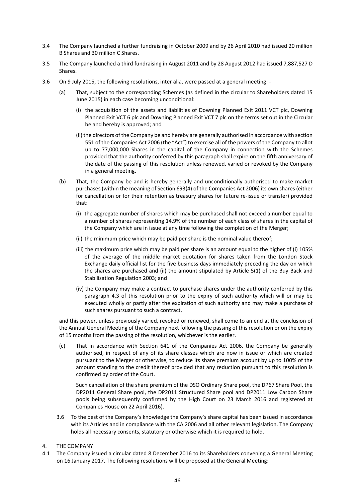- 3.4 The Company launched a further fundraising in October 2009 and by 26 April 2010 had issued 20 million B Shares and 30 million C Shares.
- 3.5 The Company launched a third fundraising in August 2011 and by 28 August 2012 had issued 7,887,527 D Shares.
- 3.6 On 9 July 2015, the following resolutions, inter alia, were passed at a general meeting: ‐
	- (a) That, subject to the corresponding Schemes (as defined in the circular to Shareholders dated 15 June 2015) in each case becoming unconditional:
		- (i) the acquisition of the assets and liabilities of Downing Planned Exit 2011 VCT plc, Downing Planned Exit VCT 6 plc and Downing Planned Exit VCT 7 plc on the terms set out in the Circular be and hereby is approved; and
		- (ii) the directors of the Company be and hereby are generally authorised in accordance with section 551 of the Companies Act 2006 (the "Act") to exercise all of the powers of the Company to allot up to 77,000,000 Shares in the capital of the Company in connection with the Schemes provided that the authority conferred by this paragraph shall expire on the fifth anniversary of the date of the passing of this resolution unless renewed, varied or revoked by the Company in a general meeting.
	- (b) That, the Company be and is hereby generally and unconditionally authorised to make market purchases (within the meaning of Section 693(4) of the Companies Act 2006) its own shares (either for cancellation or for their retention as treasury shares for future re-issue or transfer) provided that:
		- (i) the aggregate number of shares which may be purchased shall not exceed a number equal to a number of shares representing 14.9% of the number of each class of shares in the capital of the Company which are in issue at any time following the completion of the Merger;
		- (ii) the minimum price which may be paid per share is the nominal value thereof;
		- (iii) the maximum price which may be paid per share is an amount equal to the higher of (i) 105% of the average of the middle market quotation for shares taken from the London Stock Exchange daily official list for the five business days immediately preceding the day on which the shares are purchased and (ii) the amount stipulated by Article 5(1) of the Buy Back and Stabilisation Regulation 2003; and
		- (iv) the Company may make a contract to purchase shares under the authority conferred by this paragraph 4.3 of this resolution prior to the expiry of such authority which will or may be executed wholly or partly after the expiration of such authority and may make a purchase of such shares pursuant to such a contract,

and this power, unless previously varied, revoked or renewed, shall come to an end at the conclusion of the Annual General Meeting of the Company next following the passing of this resolution or on the expiry of 15 months from the passing of the resolution, whichever is the earlier.

(c) That in accordance with Section 641 of the Companies Act 2006, the Company be generally authorised, in respect of any of its share classes which are now in issue or which are created pursuant to the Merger or otherwise, to reduce its share premium account by up to 100% of the amount standing to the credit thereof provided that any reduction pursuant to this resolution is confirmed by order of the Court.

 Such cancellation of the share premium of the DSO Ordinary Share pool, the DP67 Share Pool, the DP2011 General Share pool, the DP2011 Structured Share pool and DP2011 Low Carbon Share pools being subsequently confirmed by the High Court on 23 March 2016 and registered at Companies House on 22 April 2016).

- 3.6 To the best of the Company's knowledge the Company's share capital has been issued in accordance with its Articles and in compliance with the CA 2006 and all other relevant legislation. The Company holds all necessary consents, statutory or otherwise which it is required to hold.
- 4. THE COMPANY
- 4.1 The Company issued a circular dated 8 December 2016 to its Shareholders convening a General Meeting on 16 January 2017. The following resolutions will be proposed at the General Meeting: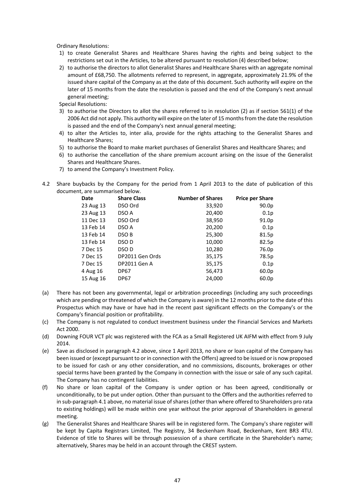Ordinary Resolutions:

- 1) to create Generalist Shares and Healthcare Shares having the rights and being subject to the restrictions set out in the Articles, to be altered pursuant to resolution (4) described below;
- 2) to authorise the directors to allot Generalist Shares and Healthcare Shares with an aggregate nominal amount of £68,750. The allotments referred to represent, in aggregate, approximately 21.9% of the issued share capital of the Company as at the date of this document. Such authority will expire on the later of 15 months from the date the resolution is passed and the end of the Company's next annual general meeting;

Special Resolutions:

- 3) to authorise the Directors to allot the shares referred to in resolution (2) as if section 561(1) of the 2006 Act did not apply. This authority will expire on the later of 15 months from the date the resolution is passed and the end of the Company's next annual general meeting;
- 4) to alter the Articles to, inter alia, provide for the rights attaching to the Generalist Shares and Healthcare Shares;
- 5) to authorise the Board to make market purchases of Generalist Shares and Healthcare Shares; and
- 6) to authorise the cancellation of the share premium account arising on the issue of the Generalist Shares and Healthcare Shares.
- 7) to amend the Company's Investment Policy.
- 4.2 Share buybacks by the Company for the period from 1 April 2013 to the date of publication of this document, are summarised below.

| Date      | <b>Share Class</b> | <b>Number of Shares</b> | <b>Price per Share</b> |
|-----------|--------------------|-------------------------|------------------------|
| 23 Aug 13 | DSO Ord            | 33,920                  | 90.0p                  |
| 23 Aug 13 | DSO A              | 20,400                  | 0.1 <sub>p</sub>       |
| 11 Dec 13 | DSO Ord            | 38,950                  | 91.0p                  |
| 13 Feb 14 | DSO A              | 20,200                  | 0.1 <sub>p</sub>       |
| 13 Feb 14 | DSO B              | 25,300                  | 81.5p                  |
| 13 Feb 14 | DSO D              | 10,000                  | 82.5p                  |
| 7 Dec 15  | DSO D              | 10,280                  | 76.0p                  |
| 7 Dec 15  | DP2011 Gen Ords    | 35,175                  | 78.5p                  |
| 7 Dec 15  | DP2011 Gen A       | 35,175                  | 0.1p                   |
| 4 Aug 16  | <b>DP67</b>        | 56,473                  | 60.0p                  |
| 15 Aug 16 | <b>DP67</b>        | 24,000                  | 60.0p                  |
|           |                    |                         |                        |

- (a) There has not been any governmental, legal or arbitration proceedings (including any such proceedings which are pending or threatened of which the Company is aware) in the 12 months prior to the date of this Prospectus which may have or have had in the recent past significant effects on the Company's or the Company's financial position or profitability.
- (c) The Company is not regulated to conduct investment business under the Financial Services and Markets Act 2000.
- (d) Downing FOUR VCT plc was registered with the FCA as a Small Registered UK AIFM with effect from 9 July 2014.
- (e) Save as disclosed in paragraph 4.2 above, since 1 April 2013, no share or loan capital of the Company has been issued or (except pursuant to or in connection with the Offers) agreed to be issued or is now proposed to be issued for cash or any other consideration, and no commissions, discounts, brokerages or other special terms have been granted by the Company in connection with the issue or sale of any such capital. The Company has no contingent liabilities.
- (f) No share or loan capital of the Company is under option or has been agreed, conditionally or unconditionally, to be put under option. Other than pursuant to the Offers and the authorities referred to in sub‐paragraph 4.1 above, no material issue of shares (other than where offered to Shareholders pro rata to existing holdings) will be made within one year without the prior approval of Shareholders in general meeting.
- (g) The Generalist Shares and Healthcare Shares will be in registered form. The Company's share register will be kept by Capita Registrars Limited, The Registry, 34 Beckenham Road, Beckenham, Kent BR3 4TU. Evidence of title to Shares will be through possession of a share certificate in the Shareholder's name; alternatively, Shares may be held in an account through the CREST system.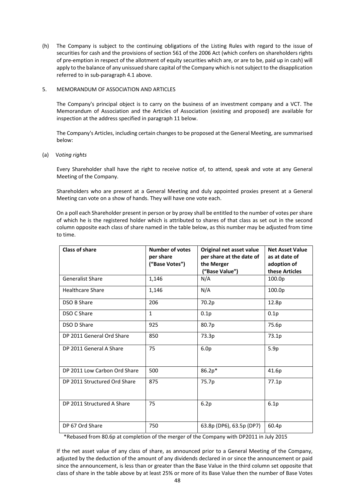(h) The Company is subject to the continuing obligations of the Listing Rules with regard to the issue of securities for cash and the provisions of section 561 of the 2006 Act (which confers on shareholders rights of pre‐emption in respect of the allotment of equity securities which are, or are to be, paid up in cash) will apply to the balance of any unissued share capital of the Company which is not subject to the disapplication referred to in sub‐paragraph 4.1 above.

# 5. MEMORANDUM OF ASSOCIATION AND ARTICLES

The Company's principal object is to carry on the business of an investment company and a VCT. The Memorandum of Association and the Articles of Association (existing and proposed) are available for inspection at the address specified in paragraph 11 below.

 The Company's Articles, including certain changes to be proposed at the General Meeting, are summarised below:

## (a) V*oting rights*

Every Shareholder shall have the right to receive notice of, to attend, speak and vote at any General Meeting of the Company.

Shareholders who are present at a General Meeting and duly appointed proxies present at a General Meeting can vote on a show of hands. They will have one vote each.

On a poll each Shareholder present in person or by proxy shall be entitled to the number of votes per share of which he is the registered holder which is attributed to shares of that class as set out in the second column opposite each class of share named in the table below, as this number may be adjusted from time to time.

| Class of share               | Number of votes<br>per share<br>("Base Votes") | Original net asset value<br>per share at the date of<br>the Merger<br>("Base Value") | <b>Net Asset Value</b><br>as at date of<br>adoption of<br>these Articles |
|------------------------------|------------------------------------------------|--------------------------------------------------------------------------------------|--------------------------------------------------------------------------|
| <b>Generalist Share</b>      | 1,146                                          | N/A                                                                                  | 100.0p                                                                   |
| <b>Healthcare Share</b>      | 1,146                                          | N/A                                                                                  | 100.0p                                                                   |
| DSO B Share                  | 206                                            | 70.2p                                                                                | 12.8p                                                                    |
| DSO C Share                  | $\mathbf{1}$                                   | 0.1p                                                                                 | 0.1p                                                                     |
| DSO D Share                  | 925                                            | 80.7p                                                                                | 75.6p                                                                    |
| DP 2011 General Ord Share    | 850                                            | 73.3p                                                                                | 73.1p                                                                    |
| DP 2011 General A Share      | 75                                             | 6.0 <sub>p</sub>                                                                     | 5.9p                                                                     |
| DP 2011 Low Carbon Ord Share | 500                                            | 86.2p*                                                                               | 41.6p                                                                    |
| DP 2011 Structured Ord Share | 875                                            | 75.7p                                                                                | 77.1p                                                                    |
| DP 2011 Structured A Share   | 75                                             | 6.2p                                                                                 | 6.1p                                                                     |
| DP 67 Ord Share              | 750                                            | 63.8p (DP6), 63.5p (DP7)                                                             | 60.4p                                                                    |

\*Rebased from 80.6p at completion of the merger of the Company with DP2011 in July 2015

If the net asset value of any class of share, as announced prior to a General Meeting of the Company, adjusted by the deduction of the amount of any dividends declared in or since the announcement or paid since the announcement, is less than or greater than the Base Value in the third column set opposite that class of share in the table above by at least 25% or more of its Base Value then the number of Base Votes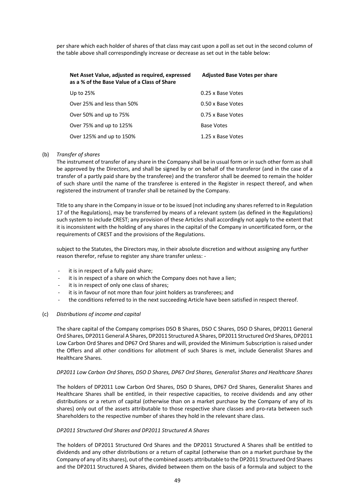per share which each holder of shares of that class may cast upon a poll as set out in the second column of the table above shall correspondingly increase or decrease as set out in the table below:

| Net Asset Value, adjusted as required, expressed<br>as a % of the Base Value of a Class of Share | <b>Adjusted Base Votes per share</b> |
|--------------------------------------------------------------------------------------------------|--------------------------------------|
| Up to 25%                                                                                        | 0.25 x Base Votes                    |
| Over 25% and less than 50%                                                                       | 0.50 x Base Votes                    |
| Over 50% and up to 75%                                                                           | 0.75 x Base Votes                    |
| Over 75% and up to 125%                                                                          | <b>Base Votes</b>                    |
| Over 125% and up to 150%                                                                         | 1.25 x Base Votes                    |

#### (b)  *Transfer of shares*

The instrument of transfer of any share in the Company shall be in usual form or in such other form as shall be approved by the Directors, and shall be signed by or on behalf of the transferor (and in the case of a transfer of a partly paid share by the transferee) and the transferor shall be deemed to remain the holder of such share until the name of the transferee is entered in the Register in respect thereof, and when registered the instrument of transfer shall be retained by the Company.

Title to any share in the Company in issue or to be issued (not including any shares referred to in Regulation 17 of the Regulations), may be transferred by means of a relevant system (as defined in the Regulations) such system to include CREST; any provision of these Articles shall accordingly not apply to the extent that it is inconsistent with the holding of any shares in the capital of the Company in uncertificated form, or the requirements of CREST and the provisions of the Regulations.

subject to the Statutes, the Directors may, in their absolute discretion and without assigning any further reason therefor, refuse to register any share transfer unless: ‐

- it is in respect of a fully paid share;
- ‐ it is in respect of a share on which the Company does not have a lien;
- it is in respect of only one class of shares;
- it is in favour of not more than four joint holders as transferees; and
- the conditions referred to in the next succeeding Article have been satisfied in respect thereof.

#### (c) *Distributions of income and capital*

The share capital of the Company comprises DSO B Shares, DSO C Shares, DSO D Shares, DP2011 General Ord Shares, DP2011 General A Shares, DP2011 Structured A Shares, DP2011 Structured Ord Shares, DP2011 Low Carbon Ord Shares and DP67 Ord Shares and will, provided the Minimum Subscription is raised under the Offers and all other conditions for allotment of such Shares is met, include Generalist Shares and Healthcare Shares.

#### *DP2011 Low Carbon Ord Shares, DSO D Shares, DP67 Ord Shares, Generalist Shares and Healthcare Shares*

The holders of DP2011 Low Carbon Ord Shares, DSO D Shares, DP67 Ord Shares, Generalist Shares and Healthcare Shares shall be entitled, in their respective capacities, to receive dividends and any other distributions or a return of capital (otherwise than on a market purchase by the Company of any of its shares) only out of the assets attributable to those respective share classes and pro-rata between such Shareholders to the respective number of shares they hold in the relevant share class.

#### *DP2011 Structured Ord Shares and DP2011 Structured A Shares*

The holders of DP2011 Structured Ord Shares and the DP2011 Structured A Shares shall be entitled to dividends and any other distributions or a return of capital (otherwise than on a market purchase by the Company of any of its shares), out of the combined assets attributable to the DP2011 Structured Ord Shares and the DP2011 Structured A Shares, divided between them on the basis of a formula and subject to the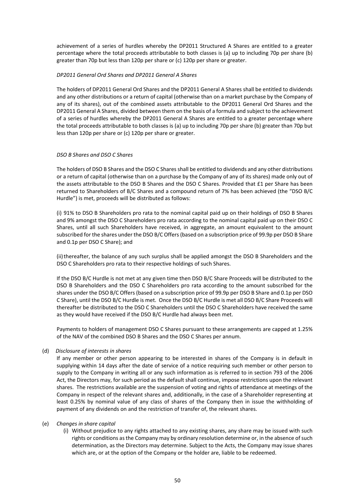achievement of a series of hurdles whereby the DP2011 Structured A Shares are entitled to a greater percentage where the total proceeds attributable to both classes is (a) up to including 70p per share (b) greater than 70p but less than 120p per share or (c) 120p per share or greater.

## *DP2011 General Ord Shares and DP2011 General A Shares*

The holders of DP2011 General Ord Shares and the DP2011 General A Shares shall be entitled to dividends and any other distributions or a return of capital (otherwise than on a market purchase by the Company of any of its shares), out of the combined assets attributable to the DP2011 General Ord Shares and the DP2011 General A Shares, divided between them on the basis of a formula and subject to the achievement of a series of hurdles whereby the DP2011 General A Shares are entitled to a greater percentage where the total proceeds attributable to both classes is (a) up to including 70p per share (b) greater than 70p but less than 120p per share or (c) 120p per share or greater.

# *DSO B Shares and DSO C Shares*

The holders of DSO B Shares and the DSO C Shares shall be entitled to dividends and any other distributions or a return of capital (otherwise than on a purchase by the Company of any of its shares) made only out of the assets attributable to the DSO B Shares and the DSO C Shares. Provided that £1 per Share has been returned to Shareholders of B/C Shares and a compound return of 7% has been achieved (the "DSO B/C Hurdle") is met, proceeds will be distributed as follows:

(i) 91% to DSO B Shareholders pro rata to the nominal capital paid up on their holdings of DSO B Shares and 9% amongst the DSO C Shareholders pro rata according to the nominal capital paid up on their DSO C Shares, until all such Shareholders have received, in aggregate, an amount equivalent to the amount subscribed for the shares under the DSO B/C Offers (based on a subscription price of 99.9p per DSO B Share and 0.1p per DSO C Share); and

(ii) thereafter, the balance of any such surplus shall be applied amongst the DSO B Shareholders and the DSO C Shareholders pro rata to their respective holdings of such Shares.

If the DSO B/C Hurdle is not met at any given time then DSO B/C Share Proceeds will be distributed to the DSO B Shareholders and the DSO C Shareholders pro rata according to the amount subscribed for the shares under the DSO B/C Offers (based on a subscription price of 99.9p per DSO B Share and 0.1p per DSO C Share), until the DSO B/C Hurdle is met. Once the DSO B/C Hurdle is met all DSO B/C Share Proceeds will thereafter be distributed to the DSO C Shareholders until the DSO C Shareholders have received the same as they would have received if the DSO B/C Hurdle had always been met.

Payments to holders of management DSO C Shares pursuant to these arrangements are capped at 1.25% of the NAV of the combined DSO B Shares and the DSO C Shares per annum.

## (d)  *Disclosure of interests in shares*

If any member or other person appearing to be interested in shares of the Company is in default in supplying within 14 days after the date of service of a notice requiring such member or other person to supply to the Company in writing all or any such information as is referred to in section 793 of the 2006 Act, the Directors may, for such period as the default shall continue, impose restrictions upon the relevant shares. The restrictions available are the suspension of voting and rights of attendance at meetings of the Company in respect of the relevant shares and, additionally, in the case of a Shareholder representing at least 0.25% by nominal value of any class of shares of the Company then in issue the withholding of payment of any dividends on and the restriction of transfer of, the relevant shares.

## (e) *Changes in share capital*

(i) Without prejudice to any rights attached to any existing shares, any share may be issued with such rights or conditions as the Company may by ordinary resolution determine or, in the absence of such determination, as the Directors may determine. Subject to the Acts, the Company may issue shares which are, or at the option of the Company or the holder are, liable to be redeemed.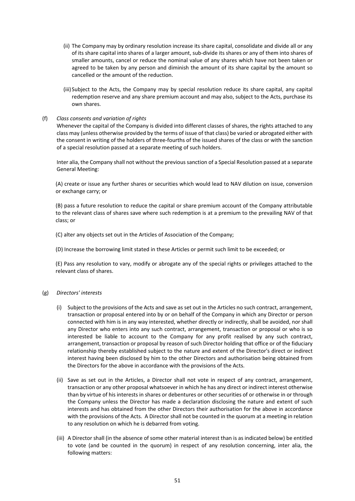- (ii) The Company may by ordinary resolution increase its share capital, consolidate and divide all or any of its share capital into shares of a larger amount, sub‐divide its shares or any of them into shares of smaller amounts, cancel or reduce the nominal value of any shares which have not been taken or agreed to be taken by any person and diminish the amount of its share capital by the amount so cancelled or the amount of the reduction.
- (iii) Subject to the Acts, the Company may by special resolution reduce its share capital, any capital redemption reserve and any share premium account and may also, subject to the Acts, purchase its own shares.

## (f) *Class consents and variation of rights*

 Whenever the capital of the Company is divided into different classes of shares, the rights attached to any class may (unless otherwise provided by the terms of issue of that class) be varied or abrogated either with the consent in writing of the holders of three‐fourths of the issued shares of the class or with the sanction of a special resolution passed at a separate meeting of such holders.

Inter alia, the Company shall not without the previous sanction of a Special Resolution passed at a separate General Meeting:

(A) create or issue any further shares or securities which would lead to NAV dilution on issue, conversion or exchange carry; or

(B) pass a future resolution to reduce the capital or share premium account of the Company attributable to the relevant class of shares save where such redemption is at a premium to the prevailing NAV of that class; or

(C) alter any objects set out in the Articles of Association of the Company;

(D) Increase the borrowing limit stated in these Articles or permit such limit to be exceeded; or

(E) Pass any resolution to vary, modify or abrogate any of the special rights or privileges attached to the relevant class of shares.

# (g) *Directors' interests*

- (i) Subject to the provisions of the Acts and save as set out in the Articles no such contract, arrangement, transaction or proposal entered into by or on behalf of the Company in which any Director or person connected with him is in any way interested, whether directly or indirectly, shall be avoided, nor shall any Director who enters into any such contract, arrangement, transaction or proposal or who is so interested be liable to account to the Company for any profit realised by any such contract, arrangement, transaction or proposal by reason of such Director holding that office or of the fiduciary relationship thereby established subject to the nature and extent of the Director's direct or indirect interest having been disclosed by him to the other Directors and authorisation being obtained from the Directors for the above in accordance with the provisions of the Acts.
- (ii) Save as set out in the Articles, a Director shall not vote in respect of any contract, arrangement, transaction or any other proposal whatsoever in which he has any direct or indirect interest otherwise than by virtue of his interests in shares or debentures or other securities of or otherwise in or through the Company unless the Director has made a declaration disclosing the nature and extent of such interests and has obtained from the other Directors their authorisation for the above in accordance with the provisions of the Acts. A Director shall not be counted in the quorum at a meeting in relation to any resolution on which he is debarred from voting.
- (iii) A Director shall (in the absence of some other material interest than is as indicated below) be entitled to vote (and be counted in the quorum) in respect of any resolution concerning, inter alia, the following matters: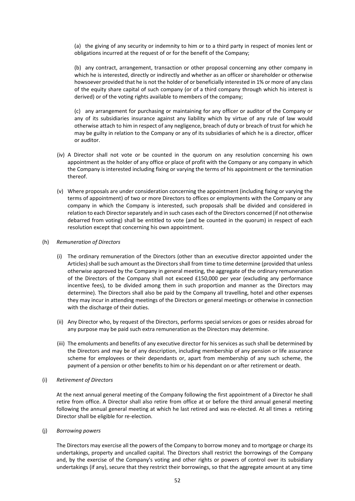(a) the giving of any security or indemnity to him or to a third party in respect of monies lent or obligations incurred at the request of or for the benefit of the Company;

(b) any contract, arrangement, transaction or other proposal concerning any other company in which he is interested, directly or indirectly and whether as an officer or shareholder or otherwise howsoever provided that he is not the holder of or beneficially interested in 1% or more of any class of the equity share capital of such company (or of a third company through which his interest is derived) or of the voting rights available to members of the company;

(c) any arrangement for purchasing or maintaining for any officer or auditor of the Company or any of its subsidiaries insurance against any liability which by virtue of any rule of law would otherwise attach to him in respect of any negligence, breach of duty or breach of trust for which he may be guilty in relation to the Company or any of its subsidiaries of which he is a director, officer or auditor.

- (iv) A Director shall not vote or be counted in the quorum on any resolution concerning his own appointment as the holder of any office or place of profit with the Company or any company in which the Company is interested including fixing or varying the terms of his appointment or the termination thereof.
- (v) Where proposals are under consideration concerning the appointment (including fixing or varying the terms of appointment) of two or more Directors to offices or employments with the Company or any company in which the Company is interested, such proposals shall be divided and considered in relation to each Director separately and in such cases each of the Directors concerned (if not otherwise debarred from voting) shall be entitled to vote (and be counted in the quorum) in respect of each resolution except that concerning his own appointment.

#### (h) *Remuneration of Directors*

- (i) The ordinary remuneration of the Directors (other than an executive director appointed under the Articles) shall be such amount as the Directors shall from time to time determine (provided that unless otherwise approved by the Company in general meeting, the aggregate of the ordinary remuneration of the Directors of the Company shall not exceed £150,000 per year (excluding any performance incentive fees), to be divided among them in such proportion and manner as the Directors may determine). The Directors shall also be paid by the Company all travelling, hotel and other expenses they may incur in attending meetings of the Directors or general meetings or otherwise in connection with the discharge of their duties.
- (ii) Any Director who, by request of the Directors, performs special services or goes or resides abroad for any purpose may be paid such extra remuneration as the Directors may determine.
- (iii) The emoluments and benefits of any executive director for his services as such shall be determined by the Directors and may be of any description, including membership of any pension or life assurance scheme for employees or their dependants or, apart from membership of any such scheme, the payment of a pension or other benefits to him or his dependant on or after retirement or death.

#### (i) *Retirement of Directors*

At the next annual general meeting of the Company following the first appointment of a Director he shall retire from office. A Director shall also retire from office at or before the third annual general meeting following the annual general meeting at which he last retired and was re-elected. At all times a retiring Director shall be eligible for re‐election.

#### (j) *Borrowing powers*

The Directors may exercise all the powers of the Company to borrow money and to mortgage or charge its undertakings, property and uncalled capital. The Directors shall restrict the borrowings of the Company and, by the exercise of the Company's voting and other rights or powers of control over its subsidiary undertakings (if any), secure that they restrict their borrowings, so that the aggregate amount at any time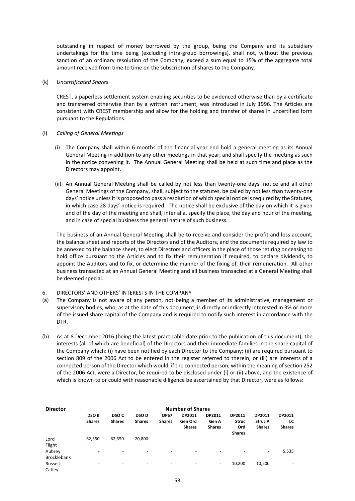outstanding in respect of money borrowed by the group, being the Company and its subsidiary undertakings for the time being (excluding intra‐group borrowings), shall not, without the previous sanction of an ordinary resolution of the Company, exceed a sum equal to 15% of the aggregate total amount received from time to time on the subscription of shares to the Company.

#### (k) *Uncertificated Shares*

CREST, a paperless settlement system enabling securities to be evidenced otherwise than by a certificate and transferred otherwise than by a written instrument, was introduced in July 1996. The Articles are consistent with CREST membership and allow for the holding and transfer of shares in uncertified form pursuant to the Regulations.

#### (l) *Calling of General Meetings*

- (i) The Company shall within 6 months of the financial year end hold a general meeting as its Annual General Meeting in addition to any other meetings in that year, and shall specify the meeting as such in the notice convening it. The Annual General Meeting shall be held at such time and place as the Directors may appoint.
- (ii) An Annual General Meeting shall be called by not less than twenty‐one days' notice and all other General Meetings of the Company, shall, subject to the statutes, be called by not less than twenty-one days' notice unless it is proposed to pass a resolution of which special notice is required by the Statutes, in which case 28 days' notice is required. The notice shall be exclusive of the day on which it is given and of the day of the meeting and shall, inter alia, specify the place, the day and hour of the meeting, and in case of special business the general nature of such business.

The business of an Annual General Meeting shall be to receive and consider the profit and loss account, the balance sheet and reports of the Directors and of the Auditors, and the documents required by law to be annexed to the balance sheet, to elect Directors and officers in the place of those retiring or ceasing to hold office pursuant to the Articles and to fix their remuneration if required, to declare dividends, to appoint the Auditors and to fix, or determine the manner of the fixing of, their remuneration. All other business transacted at an Annual General Meeting and all business transacted at a General Meeting shall be deemed special.

- 6. DIRECTORS' AND OTHERS' INTERESTS IN THE COMPANY
- (a) The Company is not aware of any person, not being a member of its administrative, management or supervisory bodies, who, as at the date of this document, is directly or indirectly interested in 3% or more of the issued share capital of the Company and is required to notify such interest in accordance with the DTR.
- (b) As at 8 December 2016 (being the latest practicable date prior to the publication of this document), the interests (all of which are beneficial) of the Directors and their immediate families in the share capital of the Company which: (i) have been notified by each Director to the Company; (ii) are required pursuant to section 809 of the 2006 Act to be entered in the register referred to therein; or (iii) are interests of a connected person of the Director which would, if the connected person, within the meaning of section 252 of the 2006 Act, were a Director, be required to be disclosed under (i) or (ii) above, and the existence of which is known to or could with reasonable diligence be ascertained by that Director, were as follows:

| <b>Director</b>              | <b>Number of Shares</b>      |                                   |                              |                              |                                    |                                  |                                                |                                           |                                      |
|------------------------------|------------------------------|-----------------------------------|------------------------------|------------------------------|------------------------------------|----------------------------------|------------------------------------------------|-------------------------------------------|--------------------------------------|
|                              | <b>DSOB</b><br><b>Shares</b> | DSO <sub>C</sub><br><b>Shares</b> | <b>DSOD</b><br><b>Shares</b> | <b>DP67</b><br><b>Shares</b> | DP2011<br>Gen Ord<br><b>Shares</b> | DP2011<br>Gen A<br><b>Shares</b> | DP2011<br><b>Struc</b><br>Ord<br><b>Shares</b> | DP2011<br><b>Struc A</b><br><b>Shares</b> | <b>DP2011</b><br>LC<br><b>Shares</b> |
| Lord<br>Flight               | 62,550                       | 62,550                            | 20,800                       | ٠                            | $\overline{\phantom{a}}$           | -                                |                                                | $\overline{\phantom{a}}$                  |                                      |
| Aubrey<br><b>Brocklebank</b> |                              | $\overline{\phantom{a}}$          | -                            | $\overline{\phantom{a}}$     | $\overline{\phantom{a}}$           |                                  |                                                | $\overline{\phantom{a}}$                  | 5,535                                |
| Russell<br>Catley            |                              | $\overline{\phantom{0}}$          | -                            | $\overline{\phantom{a}}$     |                                    | ٠                                | 10,200                                         | 10,200                                    |                                      |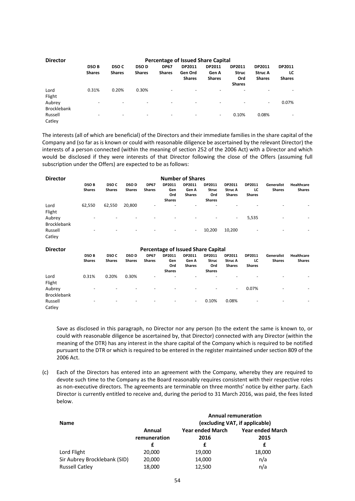| <b>Director</b>              | Percentage of Issued Share Capital |                          |                          |               |                          |                          |                      |                |               |  |  |
|------------------------------|------------------------------------|--------------------------|--------------------------|---------------|--------------------------|--------------------------|----------------------|----------------|---------------|--|--|
|                              | <b>DSOB</b>                        | <b>DSO C</b>             | <b>DSOD</b>              | <b>DP67</b>   | DP2011                   | DP2011                   | DP2011               | DP2011         | DP2011        |  |  |
|                              | <b>Shares</b>                      | <b>Shares</b>            | <b>Shares</b>            | <b>Shares</b> | Gen Ord                  | Gen A                    | <b>Struc</b>         | <b>Struc A</b> | LC            |  |  |
|                              |                                    |                          |                          |               | <b>Shares</b>            | <b>Shares</b>            | Ord<br><b>Shares</b> | <b>Shares</b>  | <b>Shares</b> |  |  |
| Lord<br>Flight               | 0.31%                              | 0.20%                    | 0.30%                    | -             |                          | $\overline{\phantom{0}}$ |                      |                |               |  |  |
| Aubrey<br><b>Brocklebank</b> | ۰                                  | $\overline{\phantom{a}}$ | $\overline{\phantom{a}}$ | ٠             | $\overline{\phantom{0}}$ | -                        |                      | ٠              | 0.07%         |  |  |
| Russell<br>Catley            | ۰                                  | -                        | $\overline{\phantom{a}}$ | ٠             | $\overline{\phantom{0}}$ | $\overline{\phantom{a}}$ | 0.10%                | 0.08%          |               |  |  |

The interests (all of which are beneficial) of the Directors and their immediate families in the share capital of the Company and (so far as is known or could with reasonable diligence be ascertained by the relevant Director) the interests of a person connected (within the meaning of section 252 of the 2006 Act) with a Director and which would be disclosed if they were interests of that Director following the close of the Offers (assuming full subscription under the Offers) are expected to be as follows:

| <b>Director</b>              | <b>Number of Shares</b>      |                          |                        |                              |                                       |                                  |                                                |                                           |                               |                             |                             |
|------------------------------|------------------------------|--------------------------|------------------------|------------------------------|---------------------------------------|----------------------------------|------------------------------------------------|-------------------------------------------|-------------------------------|-----------------------------|-----------------------------|
|                              | <b>DSOB</b><br><b>Shares</b> | DSO C<br><b>Shares</b>   | <b>DSO D</b><br>Shares | <b>DP67</b><br><b>Shares</b> | DP2011<br>Gen<br>Ord<br><b>Shares</b> | DP2011<br>Gen A<br><b>Shares</b> | DP2011<br><b>Struc</b><br>Ord<br><b>Shares</b> | DP2011<br><b>Struc A</b><br><b>Shares</b> | DP2011<br>LC<br><b>Shares</b> | Generalist<br><b>Shares</b> | <b>Healthcare</b><br>Shares |
| Lord<br>Flight               | 62,550                       | 62,550                   | 20,800                 | $\overline{\phantom{a}}$     |                                       | $\overline{\phantom{0}}$         |                                                |                                           |                               | -                           |                             |
| Aubrey<br><b>Brocklebank</b> | -                            | $\overline{\phantom{a}}$ |                        | -                            | $\overline{\phantom{a}}$              | $\overline{\phantom{a}}$         |                                                | ۰                                         | 5,535                         | -                           |                             |
| Russell<br>Catley            | $\overline{\phantom{0}}$     | $\overline{\phantom{a}}$ |                        | -                            | $\overline{\phantom{a}}$              | $\overline{\phantom{a}}$         | 10,200                                         | 10,200                                    | $\overline{\phantom{a}}$      | -                           |                             |

| <b>Director</b>              | <b>Percentage of Issued Share Capital</b> |                        |                               |                              |                                       |                                  |                                                |                                           |                               |                             |                                    |
|------------------------------|-------------------------------------------|------------------------|-------------------------------|------------------------------|---------------------------------------|----------------------------------|------------------------------------------------|-------------------------------------------|-------------------------------|-----------------------------|------------------------------------|
|                              | <b>DSOB</b><br><b>Shares</b>              | DSO C<br><b>Shares</b> | <b>DSO D</b><br><b>Shares</b> | <b>DP67</b><br><b>Shares</b> | DP2011<br>Gen<br>Ord<br><b>Shares</b> | DP2011<br>Gen A<br><b>Shares</b> | DP2011<br><b>Struc</b><br>Ord<br><b>Shares</b> | DP2011<br><b>Struc A</b><br><b>Shares</b> | DP2011<br>LC<br><b>Shares</b> | Generalist<br><b>Shares</b> | <b>Healthcare</b><br><b>Shares</b> |
| Lord<br>Flight               | 0.31%                                     | 0.20%                  | 0.30%                         | -                            |                                       | -                                |                                                |                                           |                               |                             |                                    |
| Aubrey<br><b>Brocklebank</b> |                                           |                        |                               |                              | $\overline{\phantom{0}}$              | $\overline{\phantom{a}}$         |                                                | $\overline{\phantom{a}}$                  | 0.07%                         | -                           |                                    |
| Russell<br>Catley            |                                           | -                      |                               | -                            | $\overline{\phantom{a}}$              | $\overline{\phantom{a}}$         | 0.10%                                          | 0.08%                                     | $\overline{\phantom{a}}$      | -                           |                                    |

 Save as disclosed in this paragraph, no Director nor any person (to the extent the same is known to, or could with reasonable diligence be ascertained by, that Director) connected with any Director (within the meaning of the DTR) has any interest in the share capital of the Company which is required to be notified pursuant to the DTR or which is required to be entered in the register maintained under section 809 of the 2006 Act.

(c) Each of the Directors has entered into an agreement with the Company, whereby they are required to devote such time to the Company as the Board reasonably requires consistent with their respective roles as non-executive directors. The agreements are terminable on three months' notice by either party. Each Director is currently entitled to receive and, during the period to 31 March 2016, was paid, the fees listed below.

| <b>Name</b>                  |                        | <b>Annual remuneration</b><br>(excluding VAT, if applicable) |                                 |  |  |
|------------------------------|------------------------|--------------------------------------------------------------|---------------------------------|--|--|
|                              | Annual<br>remuneration | <b>Year ended March</b><br>2016                              | <b>Year ended March</b><br>2015 |  |  |
|                              |                        | £                                                            |                                 |  |  |
| Lord Flight                  | 20,000                 | 19,000                                                       | 18,000                          |  |  |
| Sir Aubrey Brocklebank (SID) | 20,000                 | 14,000                                                       | n/a                             |  |  |
| <b>Russell Catley</b>        | 18,000                 | 12,500                                                       | n/a                             |  |  |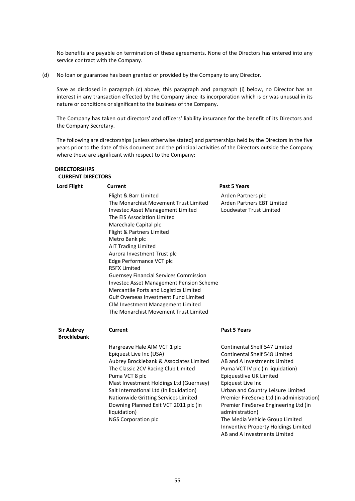No benefits are payable on termination of these agreements. None of the Directors has entered into any service contract with the Company.

(d) No loan or guarantee has been granted or provided by the Company to any Director.

Save as disclosed in paragraph (c) above, this paragraph and paragraph (i) below, no Director has an interest in any transaction effected by the Company since its incorporation which is or was unusual in its nature or conditions or significant to the business of the Company.

 The Company has taken out directors' and officers' liability insurance for the benefit of its Directors and the Company Secretary.

 The following are directorships (unless otherwise stated) and partnerships held by the Directors in the five years prior to the date of this document and the principal activities of the Directors outside the Company where these are significant with respect to the Company:

| <b>DIRECTORSHIPS</b><br><b>CURRENT DIRECTORS</b> |                                                                                                                                                                                                                                                                                                                                                                                                                                                                                                                                                                                                        |                                                                                                                                                                                                                                                                                                                                                                                                                                                    |
|--------------------------------------------------|--------------------------------------------------------------------------------------------------------------------------------------------------------------------------------------------------------------------------------------------------------------------------------------------------------------------------------------------------------------------------------------------------------------------------------------------------------------------------------------------------------------------------------------------------------------------------------------------------------|----------------------------------------------------------------------------------------------------------------------------------------------------------------------------------------------------------------------------------------------------------------------------------------------------------------------------------------------------------------------------------------------------------------------------------------------------|
| <b>Lord Flight</b>                               | <b>Current</b>                                                                                                                                                                                                                                                                                                                                                                                                                                                                                                                                                                                         | <b>Past 5 Years</b>                                                                                                                                                                                                                                                                                                                                                                                                                                |
|                                                  | Flight & Barr Limited<br>The Monarchist Movement Trust Limited<br>Investec Asset Management Limited<br>The EIS Association Limited<br>Marechale Capital plc<br>Flight & Partners Limited<br>Metro Bank plc<br><b>AIT Trading Limited</b><br>Aurora Investment Trust plc<br>Edge Performance VCT plc<br><b>R5FX Limited</b><br><b>Guernsey Financial Services Commission</b><br><b>Investec Asset Management Pension Scheme</b><br>Mercantile Ports and Logistics Limited<br><b>Gulf Overseas Investment Fund Limited</b><br>CIM Investment Management Limited<br>The Monarchist Movement Trust Limited | Arden Partners plc<br>Arden Partners EBT Limited<br>Loudwater Trust Limited                                                                                                                                                                                                                                                                                                                                                                        |
| <b>Sir Aubrey</b><br><b>Brocklebank</b>          | <b>Current</b>                                                                                                                                                                                                                                                                                                                                                                                                                                                                                                                                                                                         | <b>Past 5 Years</b>                                                                                                                                                                                                                                                                                                                                                                                                                                |
|                                                  | Hargreave Hale AIM VCT 1 plc<br>Epiquest Live Inc (USA)<br>Aubrey Brocklebank & Associates Limited<br>The Classic 2CV Racing Club Limited<br>Puma VCT 8 plc<br>Mast Investment Holdings Ltd (Guernsey)<br>Salt International Ltd (In liquidation)<br>Nationwide Gritting Services Limited<br>Downing Planned Exit VCT 2011 plc (in<br>liquidation)<br>NGS Corporation plc                                                                                                                                                                                                                              | <b>Continental Shelf 547 Limited</b><br>Continental Shelf 548 Limited<br>AB and A Investments Limited<br>Puma VCT IV plc (in liquidation)<br>Epiquestlive UK Limited<br>Epiquest Live Inc<br>Urban and Country Leisure Limited<br>Premier FireServe Ltd (in administration)<br>Premier FireServe Engineering Ltd (in<br>administration)<br>The Media Vehicle Group Limited<br>Innventive Property Holdings Limited<br>AB and A Investments Limited |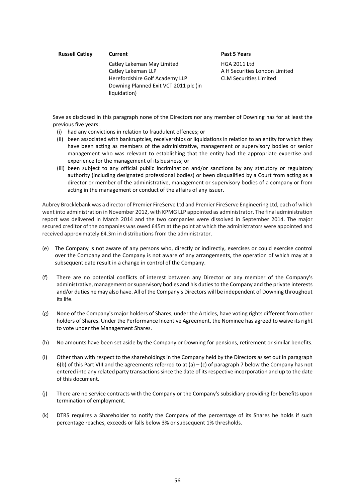#### **Russell Catley <b>Current Past 5 Years**

Catley Lakeman May Limited Catley Lakeman LLP Herefordshire Golf Academy LLP Downing Planned Exit VCT 2011 plc (in liquidation)

HGA 2011 Ltd A H Securities London Limited CLM Securities Limited

Save as disclosed in this paragraph none of the Directors nor any member of Downing has for at least the previous five years:

- (i) had any convictions in relation to fraudulent offences; or
- (ii) been associated with bankruptcies, receiverships or liquidations in relation to an entity for which they have been acting as members of the administrative, management or supervisory bodies or senior management who was relevant to establishing that the entity had the appropriate expertise and experience for the management of its business; or
- (iii) been subject to any official public incrimination and/or sanctions by any statutory or regulatory authority (including designated professional bodies) or been disqualified by a Court from acting as a director or member of the administrative, management or supervisory bodies of a company or from acting in the management or conduct of the affairs of any issuer.

Aubrey Brocklebank was a director of Premier FireServe Ltd and Premier FireServe Engineering Ltd, each of which went into administration in November 2012, with KPMG LLP appointed as administrator. The final administration report was delivered in March 2014 and the two companies were dissolved in September 2014. The major secured creditor of the companies was owed £45m at the point at which the administrators were appointed and received approximately £4.3m in distributions from the administrator.

- (e) The Company is not aware of any persons who, directly or indirectly, exercises or could exercise control over the Company and the Company is not aware of any arrangements, the operation of which may at a subsequent date result in a change in control of the Company.
- (f) There are no potential conflicts of interest between any Director or any member of the Company's administrative, management or supervisory bodies and his duties to the Company and the private interests and/or duties he may also have. All of the Company's Directors will be independent of Downing throughout its life.
- (g) None of the Company's major holders of Shares, under the Articles, have voting rights different from other holders of Shares. Under the Performance Incentive Agreement, the Nominee has agreed to waive its right to vote under the Management Shares.
- (h) No amounts have been set aside by the Company or Downing for pensions, retirement or similar benefits.
- (i) Other than with respect to the shareholdings in the Company held by the Directors as set out in paragraph 6(b) of this Part VIII and the agreements referred to at (a) – (c) of paragraph 7 below the Company has not entered into any related party transactions since the date of its respective incorporation and up to the date of this document.
- (j) There are no service contracts with the Company or the Company's subsidiary providing for benefits upon termination of employment.
- (k) DTR5 requires a Shareholder to notify the Company of the percentage of its Shares he holds if such percentage reaches, exceeds or falls below 3% or subsequent 1% thresholds.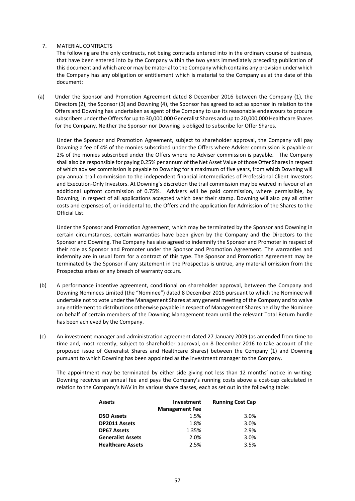# 7. MATERIAL CONTRACTS

The following are the only contracts, not being contracts entered into in the ordinary course of business, that have been entered into by the Company within the two years immediately preceding publication of this document and which are or may be material to the Company which contains any provision under which the Company has any obligation or entitlement which is material to the Company as at the date of this document:

(a) Under the Sponsor and Promotion Agreement dated 8 December 2016 between the Company (1), the Directors (2), the Sponsor (3) and Downing (4), the Sponsor has agreed to act as sponsor in relation to the Offers and Downing has undertaken as agent of the Company to use its reasonable endeavours to procure subscribers under the Offers for up to 30,000,000 Generalist Shares and up to 20,000,000 Healthcare Shares for the Company. Neither the Sponsor nor Downing is obliged to subscribe for Offer Shares.

 Under the Sponsor and Promotion Agreement, subject to shareholder approval, the Company will pay Downing a fee of 4% of the monies subscribed under the Offers where Adviser commission is payable or 2% of the monies subscribed under the Offers where no Adviser commission is payable. The Company shall also be responsible for paying 0.25% per annum of the Net Asset Value of those Offer Shares in respect of which adviser commission is payable to Downing for a maximum of five years, from which Downing will pay annual trail commission to the independent financial intermediaries of Professional Client Investors and Execution‐Only Investors. At Downing's discretion the trail commission may be waived in favour of an additional upfront commission of 0.75%. Advisers will be paid commission, where permissible, by Downing, in respect of all applications accepted which bear their stamp. Downing will also pay all other costs and expenses of, or incidental to, the Offers and the application for Admission of the Shares to the Official List.

 Under the Sponsor and Promotion Agreement, which may be terminated by the Sponsor and Downing in certain circumstances, certain warranties have been given by the Company and the Directors to the Sponsor and Downing. The Company has also agreed to indemnify the Sponsor and Promoter in respect of their role as Sponsor and Promoter under the Sponsor and Promotion Agreement. The warranties and indemnity are in usual form for a contract of this type. The Sponsor and Promotion Agreement may be terminated by the Sponsor if any statement in the Prospectus is untrue, any material omission from the Prospectus arises or any breach of warranty occurs.

- (b) A performance incentive agreement, conditional on shareholder approval, between the Company and Downing Nominees Limited (the "Nominee") dated 8 December 2016 pursuant to which the Nominee will undertake not to vote under the Management Shares at any general meeting of the Company and to waive any entitlement to distributions otherwise payable in respect of Management Shares held by the Nominee on behalf of certain members of the Downing Management team until the relevant Total Return hurdle has been achieved by the Company.
- (c) An investment manager and administration agreement dated 27 January 2009 (as amended from time to time and, most recently, subject to shareholder approval, on 8 December 2016 to take account of the proposed issue of Generalist Shares and Healthcare Shares) between the Company (1) and Downing pursuant to which Downing has been appointed as the investment manager to the Company.

The appointment may be terminated by either side giving not less than 12 months' notice in writing. Downing receives an annual fee and pays the Company's running costs above a cost-cap calculated in relation to the Company's NAV in its various share classes, each as set out in the following table:

| <b>Assets</b>            | <b>Investment</b>     | <b>Running Cost Cap</b> |
|--------------------------|-----------------------|-------------------------|
|                          | <b>Management Fee</b> |                         |
| <b>DSO Assets</b>        | 1.5%                  | 3.0%                    |
| <b>DP2011 Assets</b>     | 1.8%                  | 3.0%                    |
| <b>DP67 Assets</b>       | 1.35%                 | 2.9%                    |
| <b>Generalist Assets</b> | 2.0%                  | 3.0%                    |
| <b>Healthcare Assets</b> | 2.5%                  | 3.5%                    |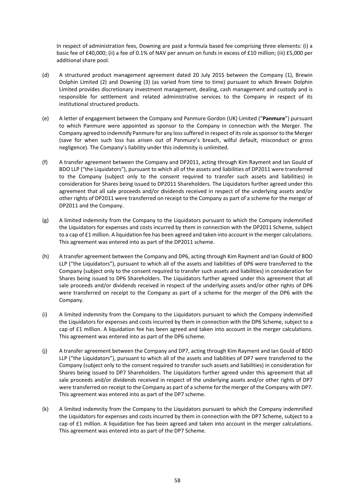In respect of administration fees, Downing are paid a formula based fee comprising three elements: (i) a basic fee of £40,000; (ii) a fee of 0.1% of NAV per annum on funds in excess of £10 million; (iii) £5,000 per additional share pool.

- (d) A structured product management agreement dated 20 July 2015 between the Company (1), Brewin Dolphin Limited (2) and Downing (3) (as varied from time to time) pursuant to which Brewin Dolphin Limited provides discretionary investment management, dealing, cash management and custody and is responsible for settlement and related administrative services to the Company in respect of its institutional structured products.
- (e) A letter of engagement between the Company and Panmure Gordon (UK) Limited ("**Panmure**") pursuant to which Panmure were appointed as sponsor to the Company in connection with the Merger. The Company agreed to indemnify Panmure for any loss suffered in respect of its role as sponsor to the Merger (save for when such loss has arisen out of Panmure's breach, wilful default, misconduct or gross negligence). The Company's liability under this indemnity is unlimited.
- (f) A transfer agreement between the Company and DP2011, acting through Kim Rayment and Ian Gould of BDO LLP ("the Liquidators"), pursuant to which all of the assets and liabilities of DP2011 were transferred to the Company (subject only to the consent required to transfer such assets and liabilities) in consideration for Shares being issued to DP2011 Shareholders. The Liquidators further agreed under this agreement that all sale proceeds and/or dividends received in respect of the underlying assets and/or other rights of DP2011 were transferred on receipt to the Company as part of a scheme for the merger of DP2011 and the Company.
- (g) A limited indemnity from the Company to the Liquidators pursuant to which the Company indemnified the Liquidators for expenses and costs incurred by them in connection with the DP2011 Scheme, subject to a cap of £1 million. A liquidation fee has been agreed and taken into account in the merger calculations. This agreement was entered into as part of the DP2011 scheme.
- (h) A transfer agreement between the Company and DP6, acting through Kim Rayment and Ian Gould of BDO LLP ("the Liquidators"), pursuant to which all of the assets and liabilities of DP6 were transferred to the Company (subject only to the consent required to transfer such assets and liabilities) in consideration for Shares being issued to DP6 Shareholders. The Liquidators further agreed under this agreement that all sale proceeds and/or dividends received in respect of the underlying assets and/or other rights of DP6 were transferred on receipt to the Company as part of a scheme for the merger of the DP6 with the Company.
- (i) A limited indemnity from the Company to the Liquidators pursuant to which the Company indemnified the Liquidators for expenses and costs incurred by them in connection with the DP6 Scheme, subject to a cap of £1 million. A liquidation fee has been agreed and taken into account in the merger calculations. This agreement was entered into as part of the DP6 scheme.
- (j) A transfer agreement between the Company and DP7, acting through Kim Rayment and Ian Gould of BDO LLP ("the Liquidators"), pursuant to which all of the assets and liabilities of DP7 were transferred to the Company (subject only to the consent required to transfer such assets and liabilities) in consideration for Shares being issued to DP7 Shareholders. The Liquidators further agreed under this agreement that all sale proceeds and/or dividends received in respect of the underlying assets and/or other rights of DP7 were transferred on receipt to the Company as part of a scheme for the merger of the Company with DP7. This agreement was entered into as part of the DP7 scheme.
- (k) A limited indemnity from the Company to the Liquidators pursuant to which the Company indemnified the Liquidators for expenses and costs incurred by them in connection with the DP7 Scheme, subject to a cap of £1 million. A liquidation fee has been agreed and taken into account in the merger calculations. This agreement was entered into as part of the DP7 Scheme.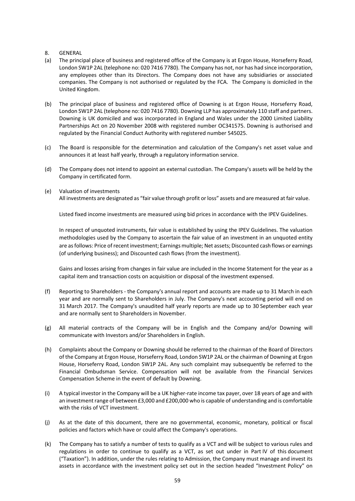- 8. GENERAL
- (a) The principal place of business and registered office of the Company is at Ergon House, Horseferry Road, London SW1P 2AL (telephone no: 020 7416 7780). The Company has not, nor has had since incorporation, any employees other than its Directors. The Company does not have any subsidiaries or associated companies. The Company is not authorised or regulated by the FCA. The Company is domiciled in the United Kingdom.
- (b) The principal place of business and registered office of Downing is at Ergon House, Horseferry Road, London SW1P 2AL (telephone no: 020 7416 7780). Downing LLP has approximately 110 staff and partners. Downing is UK domiciled and was incorporated in England and Wales under the 2000 Limited Liability Partnerships Act on 20 November 2008 with registered number OC341575. Downing is authorised and regulated by the Financial Conduct Authority with registered number 545025.
- (c) The Board is responsible for the determination and calculation of the Company's net asset value and announces it at least half yearly, through a regulatory information service.
- (d) The Company does not intend to appoint an external custodian. The Company's assets will be held by the Company in certificated form.
- (e) Valuation of investments All investments are designated as "fair value through profit or loss" assets and are measured at fair value.

Listed fixed income investments are measured using bid prices in accordance with the IPEV Guidelines.

 In respect of unquoted instruments, fair value is established by using the IPEV Guidelines. The valuation methodologies used by the Company to ascertain the fair value of an investment in an unquoted entity are as follows: Price of recent investment; Earnings multiple; Net assets; Discounted cash flows or earnings (of underlying business); and Discounted cash flows (from the investment).

 Gains and losses arising from changes in fair value are included in the Income Statement for the year as a capital item and transaction costs on acquisition or disposal of the investment expensed.

- (f) Reporting to Shareholders ‐ the Company's annual report and accounts are made up to 31 March in each year and are normally sent to Shareholders in July. The Company's next accounting period will end on 31 March 2017. The Company's unaudited half yearly reports are made up to 30 September each year and are normally sent to Shareholders in November.
- (g) All material contracts of the Company will be in English and the Company and/or Downing will communicate with Investors and/or Shareholders in English.
- (h) Complaints about the Company or Downing should be referred to the chairman of the Board of Directors of the Company at Ergon House, Horseferry Road, London SW1P 2AL or the chairman of Downing at Ergon House, Horseferry Road, London SW1P 2AL. Any such complaint may subsequently be referred to the Financial Ombudsman Service. Compensation will not be available from the Financial Services Compensation Scheme in the event of default by Downing.
- (i) A typical investor in the Company will be a UK higher‐rate income tax payer, over 18 years of age and with an investment range of between £3,000 and £200,000 who is capable of understanding and is comfortable with the risks of VCT investment.
- (j) As at the date of this document, there are no governmental, economic, monetary, political or fiscal policies and factors which have or could affect the Company's operations.
- (k) The Company has to satisfy a number of tests to qualify as a VCT and will be subject to various rules and regulations in order to continue to qualify as a VCT, as set out under in Part IV of this document ("Taxation"). In addition, under the rules relating to Admission, the Company must manage and invest its assets in accordance with the investment policy set out in the section headed "Investment Policy" on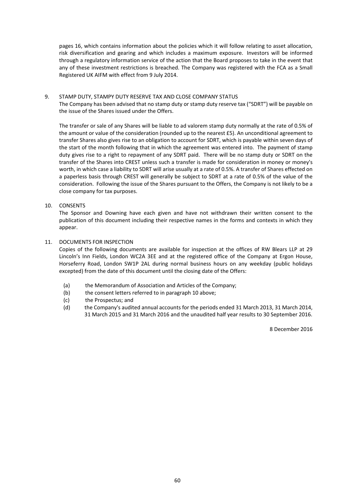pages 16, which contains information about the policies which it will follow relating to asset allocation, risk diversification and gearing and which includes a maximum exposure. Investors will be informed through a regulatory information service of the action that the Board proposes to take in the event that any of these investment restrictions is breached. The Company was registered with the FCA as a Small Registered UK AIFM with effect from 9 July 2014.

## 9. STAMP DUTY, STAMPY DUTY RESERVE TAX AND CLOSE COMPANY STATUS

The Company has been advised that no stamp duty or stamp duty reserve tax ("SDRT") will be payable on the issue of the Shares issued under the Offers.

The transfer or sale of any Shares will be liable to ad valorem stamp duty normally at the rate of 0.5% of the amount or value of the consideration (rounded up to the nearest £5). An unconditional agreement to transfer Shares also gives rise to an obligation to account for SDRT, which is payable within seven days of the start of the month following that in which the agreement was entered into. The payment of stamp duty gives rise to a right to repayment of any SDRT paid. There will be no stamp duty or SDRT on the transfer of the Shares into CREST unless such a transfer is made for consideration in money or money's worth, in which case a liability to SDRT will arise usually at a rate of 0.5%. A transfer of Shares effected on a paperless basis through CREST will generally be subject to SDRT at a rate of 0.5% of the value of the consideration. Following the issue of the Shares pursuant to the Offers, the Company is not likely to be a close company for tax purposes.

## 10. CONSENTS

The Sponsor and Downing have each given and have not withdrawn their written consent to the publication of this document including their respective names in the forms and contexts in which they appear.

#### 11. DOCUMENTS FOR INSPECTION

Copies of the following documents are available for inspection at the offices of RW Blears LLP at 29 Lincoln's Inn Fields, London WC2A 3EE and at the registered office of the Company at Ergon House, Horseferry Road, London SW1P 2AL during normal business hours on any weekday (public holidays excepted) from the date of this document until the closing date of the Offers:

- (a) the Memorandum of Association and Articles of the Company;
- (b) the consent letters referred to in paragraph 10 above;
- (c) the Prospectus; and
- (d) the Company's audited annual accounts for the periods ended 31 March 2013, 31 March 2014, 31 March 2015 and 31 March 2016 and the unaudited half year results to 30 September 2016.

8 December 2016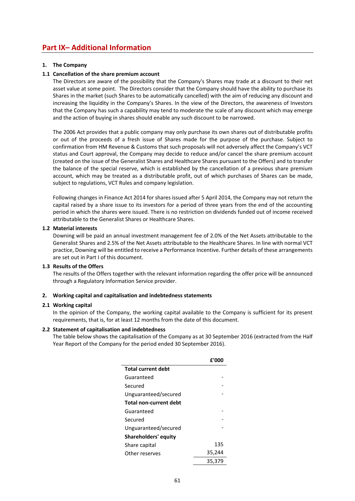# **Part IX– Additional Information**

## **1. The Company**

# **1.1 Cancellation of the share premium account**

The Directors are aware of the possibility that the Company's Shares may trade at a discount to their net asset value at some point. The Directors consider that the Company should have the ability to purchase its Shares in the market (such Shares to be automatically cancelled) with the aim of reducing any discount and increasing the liquidity in the Company's Shares. In the view of the Directors, the awareness of Investors that the Company has such a capability may tend to moderate the scale of any discount which may emerge and the action of buying in shares should enable any such discount to be narrowed.

 The 2006 Act provides that a public company may only purchase its own shares out of distributable profits or out of the proceeds of a fresh issue of Shares made for the purpose of the purchase. Subject to confirmation from HM Revenue & Customs that such proposals will not adversely affect the Company's VCT status and Court approval, the Company may decide to reduce and/or cancel the share premium account (created on the issue of the Generalist Shares and Healthcare Shares pursuant to the Offers) and to transfer the balance of the special reserve, which is established by the cancellation of a previous share premium account, which may be treated as a distributable profit, out of which purchases of Shares can be made, subject to regulations, VCT Rules and company legislation.

 Following changes in Finance Act 2014 for shares issued after 5 April 2014, the Company may not return the capital raised by a share issue to its investors for a period of three years from the end of the accounting period in which the shares were issued. There is no restriction on dividends funded out of income received attributable to the Generalist Shares or Healthcare Shares.

## **1.2 Material interests**

Downing will be paid an annual investment management fee of 2.0% of the Net Assets attributable to the Generalist Shares and 2.5% of the Net Assets attributable to the Healthcare Shares. In line with normal VCT practice, Downing will be entitled to receive a Performance Incentive. Further details of these arrangements are set out in Part I of this document.

## **1.3 Results of the Offers**

The results of the Offers together with the relevant information regarding the offer price will be announced through a Regulatory Information Service provider.

## **2. Working capital and capitalisation and indebtedness statements**

## **2.1 Working capital**

In the opinion of the Company, the working capital available to the Company is sufficient for its present requirements, that is, for at least 12 months from the date of this document.

## **2.2 Statement of capitalisation and indebtedness**

The table below shows the capitalisation of the Company as at 30 September 2016 (extracted from the Half Year Report of the Company for the period ended 30 September 2016).

|                           | f'000  |
|---------------------------|--------|
| <b>Total current debt</b> |        |
| Guaranteed                |        |
| Secured                   |        |
| Unguaranteed/secured      |        |
| Total non-current debt    |        |
| Guaranteed                |        |
| Secured                   |        |
| Unguaranteed/secured      |        |
| Shareholders' equity      |        |
| Share capital             | 135    |
| Other reserves            | 35,244 |
|                           | 35.379 |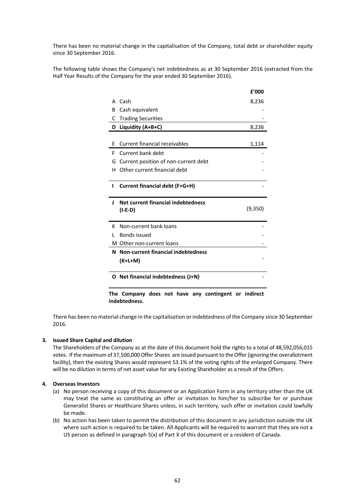There has been no material change in the capitalisation of the Company, total debt or shareholder equity since 30 September 2016.

The following table shows the Company's net indebtedness as at 30 September 2016 (extracted from the Half Year Results of the Company for the year ended 30 September 2016).

**£'000** 

|                                                | £′000   |
|------------------------------------------------|---------|
| Cash<br>А                                      | 8,236   |
| Cash equivalent<br>в                           |         |
| <b>Trading Securities</b><br>C                 |         |
| Liquidity (A+B+C)<br>D                         | 8,236   |
|                                                |         |
| Current financial receivables<br>Е             | 1,114   |
| Current bank debt<br>F                         |         |
| Current position of non-current debt<br>G      |         |
| Other current financial debt<br>н              |         |
|                                                |         |
| <b>Current financial debt (F+G+H)</b><br>ı     |         |
|                                                |         |
|                                                |         |
| Net current financial indebtedness<br>J        |         |
| $(I-E-D)$                                      | (9,350) |
|                                                |         |
| Non-current bank loans<br>к                    |         |
| Bonds issued                                   |         |
| M Other non-current loans                      |         |
| <b>Non-current financial indebtedness</b><br>N |         |
| (K+L+M)                                        |         |
|                                                |         |
| O Net financial indebtedness (J+N)             |         |

**The Company does not have any contingent or indirect indebtedness.** 

There has been no material change in the capitalisation or indebtedness of the Company since 30 September 2016.

# **3. Issued Share Capital and dilution**

The Shareholders of the Company as at the date of this document hold the rights to a total of 48,592,056,015 votes. If the maximum of 37,500,000 Offer Shares are issued pursuant to the Offer (ignoring the overallotment facility), then the existing Shares would represent 53.1% of the voting rights of the enlarged Company. There will be no dilution in terms of net asset value for any Existing Shareholder as a result of the Offers.

#### **4. Overseas Investors**

- (a) No person receiving a copy of this document or an Application Form in any territory other than the UK may treat the same as constituting an offer or invitation to him/her to subscribe for or purchase Generalist Shares or Healthcare Shares unless, in such territory, such offer or invitation could lawfully be made.
- (b) No action has been taken to permit the distribution of this document in any jurisdiction outside the UK where such action is required to be taken. All Applicants will be required to warrant that they are not a US person as defined in paragraph 5(x) of Part X of this document or a resident of Canada.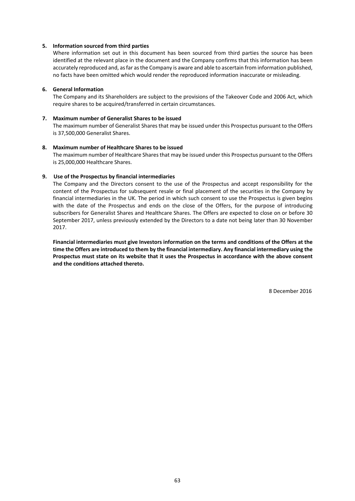#### **5. Information sourced from third parties**

Where information set out in this document has been sourced from third parties the source has been identified at the relevant place in the document and the Company confirms that this information has been accurately reproduced and, as far as the Company is aware and able to ascertain from information published, no facts have been omitted which would render the reproduced information inaccurate or misleading.

#### **6. General Information**

The Company and its Shareholders are subject to the provisions of the Takeover Code and 2006 Act, which require shares to be acquired/transferred in certain circumstances.

#### **7. Maximum number of Generalist Shares to be issued**

The maximum number of Generalist Shares that may be issued under this Prospectus pursuant to the Offers is 37,500,000 Generalist Shares.

#### **8. Maximum number of Healthcare Shares to be issued**

The maximum number of Healthcare Shares that may be issued under this Prospectus pursuant to the Offers is 25,000,000 Healthcare Shares.

#### **9. Use of the Prospectus by financial intermediaries**

The Company and the Directors consent to the use of the Prospectus and accept responsibility for the content of the Prospectus for subsequent resale or final placement of the securities in the Company by financial intermediaries in the UK. The period in which such consent to use the Prospectus is given begins with the date of the Prospectus and ends on the close of the Offers, for the purpose of introducing subscribers for Generalist Shares and Healthcare Shares. The Offers are expected to close on or before 30 September 2017, unless previously extended by the Directors to a date not being later than 30 November 2017.

**Financial intermediaries must give Investors information on the terms and conditions of the Offers at the time the Offers are introduced to them by the financial intermediary. Any financial intermediary using the Prospectus must state on its website that it uses the Prospectus in accordance with the above consent and the conditions attached thereto.**

8 December 2016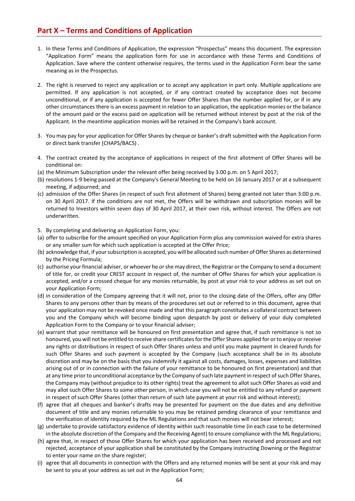# **Part X – Terms and Conditions of Application**

- 1. In these Terms and Conditions of Application, the expression "Prospectus" means this document. The expression "Application Form" means the application form for use in accordance with these Terms and Conditions of Application. Save where the content otherwise requires, the terms used in the Application Form bear the same meaning as in the Prospectus.
- 2. The right is reserved to reject any application or to accept any application in part only. Multiple applications are permitted. If any application is not accepted, or if any contract created by acceptance does not become unconditional, or if any application is accepted for fewer Offer Shares than the number applied for, or if in any other circumstances there is an excess payment in relation to an application, the application monies or the balance of the amount paid or the excess paid on application will be returned without interest by post at the risk of the Applicant. In the meantime application monies will be retained in the Company's bank account.
- 3. You may pay for your application for Offer Shares by cheque or banker's draft submitted with the Application Form or direct bank transfer (CHAPS/BACS) .
- 4. The contract created by the acceptance of applications in respect of the first allotment of Offer Shares will be conditional on:
- (a) the Minimum Subscription under the relevant offer being received by 3.00 p.m. on 5 April 2017;
- (b) resolutions 1‐9 being passed at the Company's General Meeting to be held on 16 January 2017 or at a subsequent meeting, if adjourned; and
- (c) admission of the Offer Shares (in respect of such first allotment of Shares) being granted not later than 3:00 p.m. on 30 April 2017. If the conditions are not met, the Offers will be withdrawn and subscription monies will be returned to Investors within seven days of 30 April 2017, at their own risk, without interest. The Offers are not underwritten.
- 5. By completing and delivering an Application Form, you:
- (a) offer to subscribe for the amount specified on your Application Form plus any commission waived for extra shares or any smaller sum for which such application is accepted at the Offer Price;
- (b) acknowledge that, if your subscription is accepted, you will be allocated such number of Offer Shares as determined by the Pricing Formula;
- (c) authorise your financial adviser, or whoever he or she may direct, the Registrar or the Company to send a document of title for, or credit your CREST account in respect of, the number of Offer Shares for which your application is accepted, and/or a crossed cheque for any monies returnable, by post at your risk to your address as set out on your Application Form;
- (d) in consideration of the Company agreeing that it will not, prior to the closing date of the Offers, offer any Offer Shares to any persons other than by means of the procedures set out or referred to in this document, agree that your application may not be revoked once made and that this paragraph constitutes a collateral contract between you and the Company which will become binding upon despatch by post or delivery of your duly completed Application Form to the Company or to your financial adviser;
- (e) warrant that your remittance will be honoured on first presentation and agree that, if such remittance is not so honoured, you will not be entitled to receive share certificates for the Offer Shares applied for or to enjoy or receive any rights or distributions in respect of such Offer Shares unless and until you make payment in cleared funds for such Offer Shares and such payment is accepted by the Company (such acceptance shall be in its absolute discretion and may be on the basis that you indemnify it against all costs, damages, losses, expenses and liabilities arising out of or in connection with the failure of your remittance to be honoured on first presentation) and that at any time prior to unconditional acceptance by the Company of such late payment in respect of such Offer Shares, the Company may (without prejudice to its other rights) treat the agreement to allot such Offer Shares as void and may allot such Offer Shares to some other person, in which case you will not be entitled to any refund or payment in respect of such Offer Shares (other than return of such late payment at your risk and without interest);
- (f) agree that all cheques and banker's drafts may be presented for payment on the due dates and any definitive document of title and any monies returnable to you may be retained pending clearance of your remittance and the verification of identity required by the ML Regulations and that such monies will not bear interest;
- (g) undertake to provide satisfactory evidence of identity within such reasonable time (in each case to be determined in the absolute discretion of the Company and the Receiving Agent) to ensure compliance with the ML Regulations;
- (h) agree that, in respect of those Offer Shares for which your application has been received and processed and not rejected, acceptance of your application shall be constituted by the Company instructing Downing or the Registrar to enter your name on the share register;
- (i) agree that all documents in connection with the Offers and any returned monies will be sent at your risk and may be sent to you at your address as set out in the Application Form;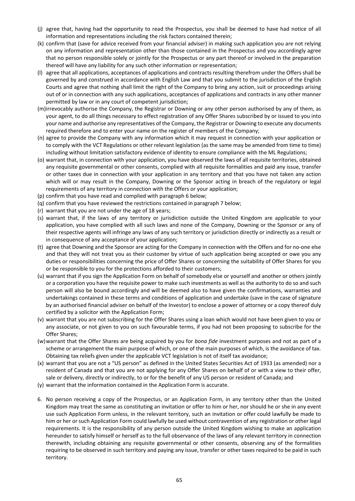- (j) agree that, having had the opportunity to read the Prospectus, you shall be deemed to have had notice of all information and representations including the risk factors contained therein;
- (k) confirm that (save for advice received from your financial adviser) in making such application you are not relying on any information and representation other than those contained in the Prospectus and you accordingly agree that no person responsible solely or jointly for the Prospectus or any part thereof or involved in the preparation thereof will have any liability for any such other information or representation;
- (l) agree that all applications, acceptances of applications and contracts resulting therefrom under the Offers shall be governed by and construed in accordance with English Law and that you submit to the jurisdiction of the English Courts and agree that nothing shall limit the right of the Company to bring any action, suit or proceedings arising out of or in connection with any such applications, acceptances of applications and contracts in any other manner permitted by law or in any court of competent jurisdiction;
- (m) irrevocably authorise the Company, the Registrar or Downing or any other person authorised by any of them, as your agent, to do all things necessary to effect registration of any Offer Shares subscribed by or issued to you into your name and authorise any representatives of the Company, the Registrar or Downing to execute any documents required therefore and to enter your name on the register of members of the Company;
- (n) agree to provide the Company with any information which it may request in connection with your application or to comply with the VCT Regulations or other relevant legislation (as the same may be amended from time to time) including without limitation satisfactory evidence of identity to ensure compliance with the ML Regulations;
- (o) warrant that, in connection with your application, you have observed the laws of all requisite territories, obtained any requisite governmental or other consents, complied with all requisite formalities and paid any issue, transfer or other taxes due in connection with your application in any territory and that you have not taken any action which will or may result in the Company, Downing or the Sponsor acting in breach of the regulatory or legal requirements of any territory in connection with the Offers or your application;
- (p) confirm that you have read and complied with paragraph 6 below;
- (q) confirm that you have reviewed the restrictions contained in paragraph 7 below;
- (r) warrant that you are not under the age of 18 years;
- (s) warrant that, if the laws of any territory or jurisdiction outside the United Kingdom are applicable to your application, you have complied with all such laws and none of the Company, Downing or the Sponsor or any of their respective agents will infringe any laws of any such territory or jurisdiction directly or indirectly as a result or in consequence of any acceptance of your application;
- (t) agree that Downing and the Sponsor are acting for the Company in connection with the Offers and for no‐one else and that they will not treat you as their customer by virtue of such application being accepted or owe you any duties or responsibilities concerning the price of Offer Shares or concerning the suitability of Offer Shares for you or be responsible to you for the protections afforded to their customers;
- (u) warrant that if you sign the Application Form on behalf of somebody else or yourself and another or others jointly or a corporation you have the requisite power to make such investments as well as the authority to do so and such person will also be bound accordingly and will be deemed also to have given the confirmations, warranties and undertakings contained in these terms and conditions of application and undertake (save in the case of signature by an authorised financial adviser on behalf of the Investor) to enclose a power of attorney or a copy thereof duly certified by a solicitor with the Application Form;
- (v) warrant that you are not subscribing for the Offer Shares using a loan which would not have been given to you or any associate, or not given to you on such favourable terms, if you had not been proposing to subscribe for the Offer Shares;
- (w) warrant that the Offer Shares are being acquired by you for *bona fide* investment purposes and not as part of a scheme or arrangement the main purpose of which, or one of the main purposes of which, is the avoidance of tax. Obtaining tax reliefs given under the applicable VCT legislation is not of itself tax avoidance;
- (x) warrant that you are not a "US person" as defined in the United States Securities Act of 1933 (as amended) nor a resident of Canada and that you are not applying for any Offer Shares on behalf of or with a view to their offer, sale or delivery, directly or indirectly, to or for the benefit of any US person or resident of Canada; and
- (y) warrant that the information contained in the Application Form is accurate.
- 6. No person receiving a copy of the Prospectus, or an Application Form, in any territory other than the United Kingdom may treat the same as constituting an invitation or offer to him or her, nor should he or she in any event use such Application Form unless, in the relevant territory, such an invitation or offer could lawfully be made to him or her or such Application Form could lawfully be used without contravention of any registration or other legal requirements. It is the responsibility of any person outside the United Kingdom wishing to make an application hereunder to satisfy himself or herself as to the full observance of the laws of any relevant territory in connection therewith, including obtaining any requisite governmental or other consents, observing any of the formalities requiring to be observed in such territory and paying any issue, transfer or other taxes required to be paid in such territory.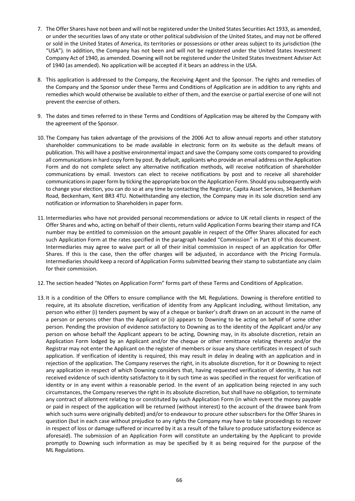- 7. The Offer Shares have not been and will not be registered under the United States Securities Act 1933, as amended, or under the securities laws of any state or other political subdivision of the United States, and may not be offered or sold in the United States of America, its territories or possessions or other areas subject to its jurisdiction (the "USA"). In addition, the Company has not been and will not be registered under the United States Investment Company Act of 1940, as amended. Downing will not be registered under the United States Investment Adviser Act of 1940 (as amended). No application will be accepted if it bears an address in the USA.
- 8. This application is addressed to the Company, the Receiving Agent and the Sponsor. The rights and remedies of the Company and the Sponsor under these Terms and Conditions of Application are in addition to any rights and remedies which would otherwise be available to either of them, and the exercise or partial exercise of one will not prevent the exercise of others.
- 9. The dates and times referred to in these Terms and Conditions of Application may be altered by the Company with the agreement of the Sponsor.
- 10. The Company has taken advantage of the provisions of the 2006 Act to allow annual reports and other statutory shareholder communications to be made available in electronic form on its website as the default means of publication. This will have a positive environmental impact and save the Company some costs compared to providing all communications in hard copy form by post. By default, applicants who provide an email address on the Application Form and do not complete select any alternative notification methods, will receive notification of shareholder communications by email. Investors can elect to receive notifications by post and to receive all shareholder communications in paper form by ticking the appropriate box on the Application Form. Should you subsequently wish to change your election, you can do so at any time by contacting the Registrar, Capita Asset Services, 34 Beckenham Road, Beckenham, Kent BR3 4TU. Notwithstanding any election, the Company may in its sole discretion send any notification or information to Shareholders in paper form.
- 11. Intermediaries who have not provided personal recommendations or advice to UK retail clients in respect of the Offer Shares and who, acting on behalf of their clients, return valid Application Forms bearing their stamp and FCA number may be entitled to commission on the amount payable in respect of the Offer Shares allocated for each such Application Form at the rates specified in the paragraph headed "Commission" in Part XI of this document. Intermediaries may agree to waive part or all of their initial commission in respect of an application for Offer Shares. If this is the case, then the offer charges will be adjusted, in accordance with the Pricing Formula. Intermediaries should keep a record of Application Forms submitted bearing their stamp to substantiate any claim for their commission.
- 12. The section headed "Notes on Application Form" forms part of these Terms and Conditions of Application.
- 13. It is a condition of the Offers to ensure compliance with the ML Regulations. Downing is therefore entitled to require, at its absolute discretion, verification of identity from any Applicant including, without limitation, any person who either (i) tenders payment by way of a cheque or banker's draft drawn on an account in the name of a person or persons other than the Applicant or (ii) appears to Downing to be acting on behalf of some other person. Pending the provision of evidence satisfactory to Downing as to the identity of the Applicant and/or any person on whose behalf the Applicant appears to be acting, Downing may, in its absolute discretion, retain an Application Form lodged by an Applicant and/or the cheque or other remittance relating thereto and/or the Registrar may not enter the Applicant on the register of members or issue any share certificates in respect of such application. If verification of identity is required, this may result in delay in dealing with an application and in rejection of the application. The Company reserves the right, in its absolute discretion, for it or Downing to reject any application in respect of which Downing considers that, having requested verification of identity, it has not received evidence of such identity satisfactory to it by such time as was specified in the request for verification of identity or in any event within a reasonable period. In the event of an application being rejected in any such circumstances, the Company reserves the right in its absolute discretion, but shall have no obligation, to terminate any contract of allotment relating to or constituted by such Application Form (in which event the money payable or paid in respect of the application will be returned (without interest) to the account of the drawee bank from which such sums were originally debited) and/or to endeavour to procure other subscribers for the Offer Shares in question (but in each case without prejudice to any rights the Company may have to take proceedings to recover in respect of loss or damage suffered or incurred by it as a result of the failure to produce satisfactory evidence as aforesaid). The submission of an Application Form will constitute an undertaking by the Applicant to provide promptly to Downing such information as may be specified by it as being required for the purpose of the ML Regulations.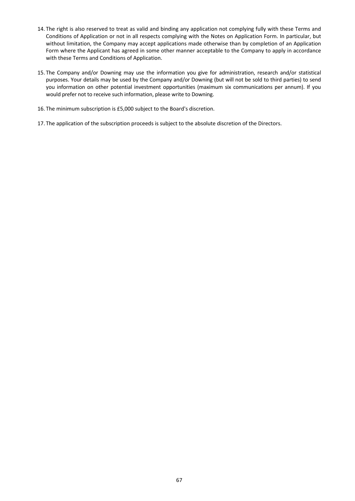- 14. The right is also reserved to treat as valid and binding any application not complying fully with these Terms and Conditions of Application or not in all respects complying with the Notes on Application Form. In particular, but without limitation, the Company may accept applications made otherwise than by completion of an Application Form where the Applicant has agreed in some other manner acceptable to the Company to apply in accordance with these Terms and Conditions of Application.
- 15. The Company and/or Downing may use the information you give for administration, research and/or statistical purposes. Your details may be used by the Company and/or Downing (but will not be sold to third parties) to send you information on other potential investment opportunities (maximum six communications per annum). If you would prefer not to receive such information, please write to Downing.
- 16. The minimum subscription is £5,000 subject to the Board's discretion.
- 17. The application of the subscription proceeds is subject to the absolute discretion of the Directors.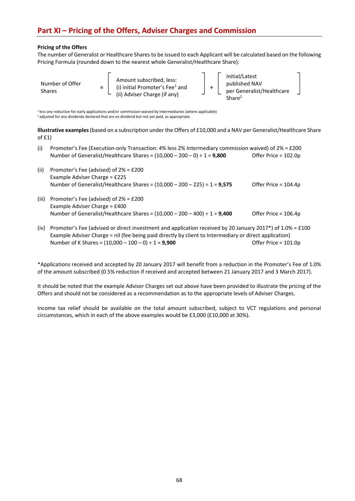# **Part XI – Pricing of the Offers, Adviser Charges and Commission**

# **Pricing of the Offers**

The number of Generalist or Healthcare Shares to be issued to each Applicant will be calculated based on the following Pricing Formula (rounded down to the nearest whole Generalist/Healthcare Share):

| Number of Offer<br>$=$<br>Shares | Amount subscribed, less:<br>(i) initial Promoter's Fee <sup>1</sup> and<br>(ii) Adviser Charge (if any) | $\overline{\phantom{a}}$ | Initial/Latest<br>published NAV<br>per Generalist/Healthcare<br>Share <sup>2</sup> |  |
|----------------------------------|---------------------------------------------------------------------------------------------------------|--------------------------|------------------------------------------------------------------------------------|--|
|----------------------------------|---------------------------------------------------------------------------------------------------------|--------------------------|------------------------------------------------------------------------------------|--|

1 less any reduction for early applications and/or commission waived by Intermediaries (where applicable) <sup>2</sup> adjusted for any dividends declared that are ex-dividend but not yet paid, as appropriate.

**Illustrative examples** (based on a subscription under the Offers of £10,000 and a NAV per Generalist/Healthcare Share of £1)

| (i) Promoter's Fee (Execution-only Transaction: 4% less 2% Intermediary commission waived) of $2\% = \text{\textsterling}200$ |                      |
|-------------------------------------------------------------------------------------------------------------------------------|----------------------|
| Number of Generalist/Healthcare Shares = $(10,000 - 200 - 0) \div 1 = 9,800$                                                  | Offer Price = 102.0p |

- (ii) Promoter's Fee (advised) of 2% = £200 Example Adviser Charge = £225 Number of Generalist/Healthcare Shares = (10,000 – 200 – 225) ÷ 1 = **9,575**  Offer Price = 104.4p
- (iii) Promoter's Fee (advised) of 2% = £200 Example Adviser Charge = £400 Number of Generalist/Healthcare Shares = (10,000 – 200 – 400) ÷ 1 = **9,400** Offer Price = 106.4p
- (iv) Promoter's Fee (advised or direct investment and application received by 20 January 2017\*) of 1.0% = £100 Example Adviser Charge = nil (fee being paid directly by client to Intermediary or direct application) Number of K Shares = (10,000 – 100 – 0) ÷ 1 = **9,900**  Offer Price = 101.0p

\*Applications received and accepted by 20 January 2017 will benefit from a reduction in the Promoter's Fee of 1.0% of the amount subscribed (0.5% reduction if received and accepted between 21 January 2017 and 3 March 2017).

It should be noted that the example Adviser Charges set out above have been provided to illustrate the pricing of the Offers and should not be considered as a recommendation as to the appropriate levels of Adviser Charges.

Income tax relief should be available on the total amount subscribed, subject to VCT regulations and personal circumstances, which in each of the above examples would be £3,000 (£10,000 at 30%).